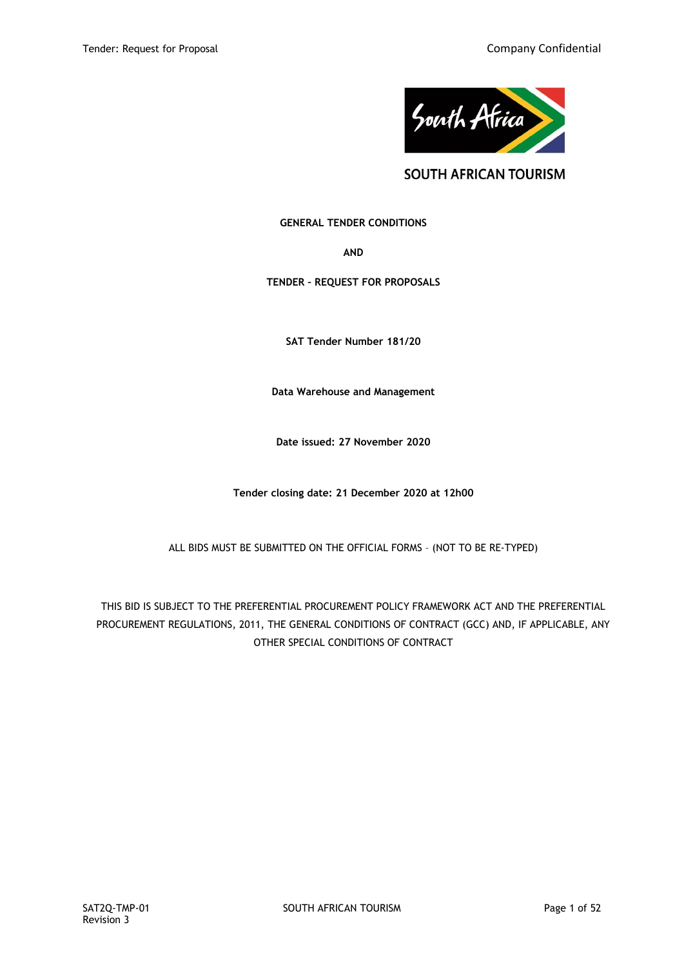

**SOUTH AFRICAN TOURISM** 

## **GENERAL TENDER CONDITIONS**

**AND**

**TENDER – REQUEST FOR PROPOSALS**

**SAT Tender Number 181/20**

**Data Warehouse and Management**

**Date issued: 27 November 2020**

**Tender closing date: 21 December 2020 at 12h00**

ALL BIDS MUST BE SUBMITTED ON THE OFFICIAL FORMS – (NOT TO BE RE-TYPED)

THIS BID IS SUBJECT TO THE PREFERENTIAL PROCUREMENT POLICY FRAMEWORK ACT AND THE PREFERENTIAL PROCUREMENT REGULATIONS, 2011, THE GENERAL CONDITIONS OF CONTRACT (GCC) AND, IF APPLICABLE, ANY OTHER SPECIAL CONDITIONS OF CONTRACT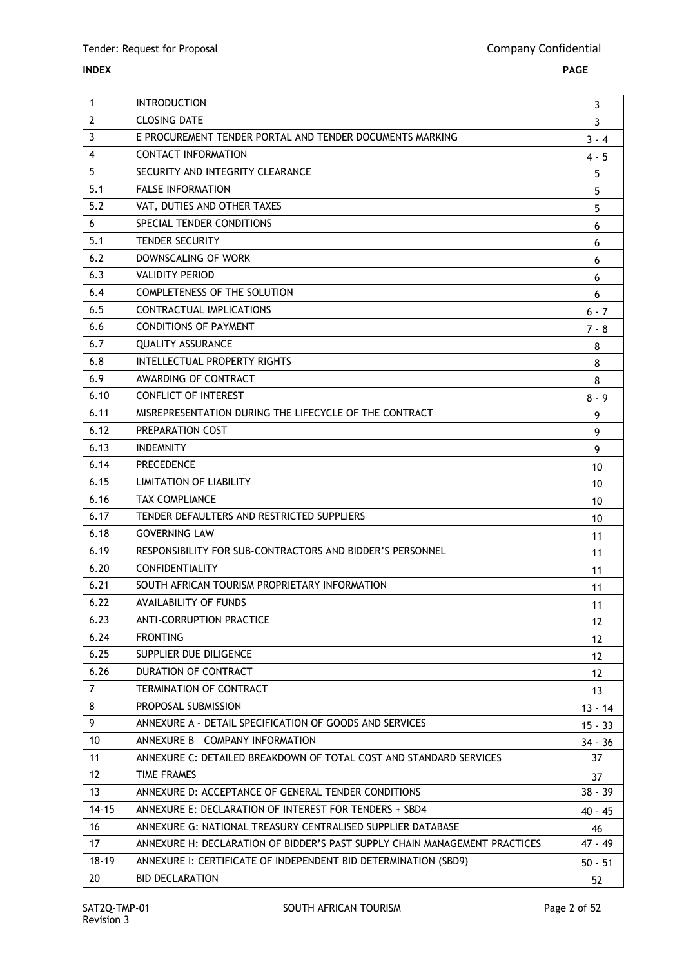## **INDEX PAGE**

| 1              | <b>INTRODUCTION</b>                                                        | 3         |
|----------------|----------------------------------------------------------------------------|-----------|
| $\overline{2}$ | <b>CLOSING DATE</b>                                                        | 3         |
| 3              | E PROCUREMENT TENDER PORTAL AND TENDER DOCUMENTS MARKING                   | $3 - 4$   |
| 4              | CONTACT INFORMATION                                                        | $4 - 5$   |
| 5              | SECURITY AND INTEGRITY CLEARANCE                                           | 5         |
| 5.1            | <b>FALSE INFORMATION</b>                                                   | 5         |
| 5.2            | VAT, DUTIES AND OTHER TAXES                                                | 5         |
| 6              | SPECIAL TENDER CONDITIONS                                                  | 6         |
| 5.1            | <b>TENDER SECURITY</b>                                                     | 6         |
| 6.2            | DOWNSCALING OF WORK                                                        | 6         |
| 6.3            | <b>VALIDITY PERIOD</b>                                                     | 6         |
| 6.4            | <b>COMPLETENESS OF THE SOLUTION</b>                                        | 6         |
| 6.5            | CONTRACTUAL IMPLICATIONS                                                   | $6 - 7$   |
| 6.6            | <b>CONDITIONS OF PAYMENT</b>                                               | $7 - 8$   |
| 6.7            | <b>QUALITY ASSURANCE</b>                                                   | 8         |
| 6.8            | <b>INTELLECTUAL PROPERTY RIGHTS</b>                                        | 8         |
| 6.9            | AWARDING OF CONTRACT                                                       | 8         |
| 6.10           | CONFLICT OF INTEREST                                                       | $8 - 9$   |
| 6.11           | MISREPRESENTATION DURING THE LIFECYCLE OF THE CONTRACT                     | 9         |
| 6.12           | PREPARATION COST                                                           | 9         |
| 6.13           | <b>INDEMNITY</b>                                                           | 9         |
| 6.14           | <b>PRECEDENCE</b>                                                          | 10        |
| 6.15           | <b>LIMITATION OF LIABILITY</b>                                             | 10        |
| 6.16           | <b>TAX COMPLIANCE</b>                                                      | 10        |
| 6.17           | TENDER DEFAULTERS AND RESTRICTED SUPPLIERS                                 | 10        |
| 6.18           | <b>GOVERNING LAW</b>                                                       | 11        |
| 6.19           | RESPONSIBILITY FOR SUB-CONTRACTORS AND BIDDER'S PERSONNEL                  | 11        |
| 6.20           | <b>CONFIDENTIALITY</b>                                                     | 11        |
| 6.21           | SOUTH AFRICAN TOURISM PROPRIETARY INFORMATION                              | 11        |
| 6.22           | AVAILABILITY OF FUNDS                                                      | 11        |
| 6.23           | <b>ANTI-CORRUPTION PRACTICE</b>                                            | 12        |
| 6.24           | <b>FRONTING</b>                                                            | 12        |
| 6.25           | SUPPLIER DUE DILIGENCE                                                     | 12        |
| 6.26           | DURATION OF CONTRACT                                                       | 12        |
| $\overline{7}$ | <b>TERMINATION OF CONTRACT</b>                                             | 13        |
| 8              | PROPOSAL SUBMISSION                                                        | $13 - 14$ |
| 9              | ANNEXURE A - DETAIL SPECIFICATION OF GOODS AND SERVICES                    | $15 - 33$ |
| 10             | ANNEXURE B - COMPANY INFORMATION                                           | $34 - 36$ |
| 11             | ANNEXURE C: DETAILED BREAKDOWN OF TOTAL COST AND STANDARD SERVICES         | 37        |
| 12             | <b>TIME FRAMES</b>                                                         | 37        |
| 13             | ANNEXURE D: ACCEPTANCE OF GENERAL TENDER CONDITIONS                        | $38 - 39$ |
| $14 - 15$      | ANNEXURE E: DECLARATION OF INTEREST FOR TENDERS + SBD4                     | $40 - 45$ |
| 16             | ANNEXURE G: NATIONAL TREASURY CENTRALISED SUPPLIER DATABASE                | 46        |
| 17             | ANNEXURE H: DECLARATION OF BIDDER'S PAST SUPPLY CHAIN MANAGEMENT PRACTICES | 47 - 49   |
| $18 - 19$      | ANNEXURE I: CERTIFICATE OF INDEPENDENT BID DETERMINATION (SBD9)            | $50 - 51$ |
| 20             | <b>BID DECLARATION</b>                                                     | 52        |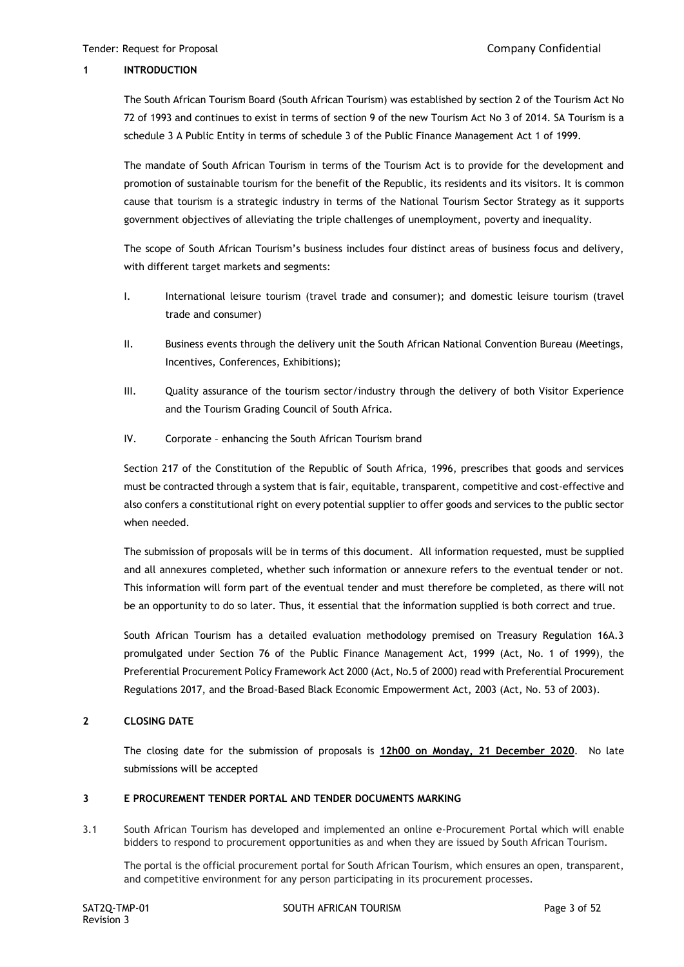### **1 INTRODUCTION**

The South African Tourism Board (South African Tourism) was established by section 2 of the Tourism Act No 72 of 1993 and continues to exist in terms of section 9 of the new Tourism Act No 3 of 2014. SA Tourism is a schedule 3 A Public Entity in terms of schedule 3 of the Public Finance Management Act 1 of 1999.

The mandate of South African Tourism in terms of the Tourism Act is to provide for the development and promotion of sustainable tourism for the benefit of the Republic, its residents and its visitors. It is common cause that tourism is a strategic industry in terms of the National Tourism Sector Strategy as it supports government objectives of alleviating the triple challenges of unemployment, poverty and inequality.

The scope of South African Tourism's business includes four distinct areas of business focus and delivery, with different target markets and segments:

- I. International leisure tourism (travel trade and consumer); and domestic leisure tourism (travel trade and consumer)
- II. Business events through the delivery unit the South African National Convention Bureau (Meetings, Incentives, Conferences, Exhibitions);
- III. Quality assurance of the tourism sector/industry through the delivery of both Visitor Experience and the Tourism Grading Council of South Africa.
- IV. Corporate enhancing the South African Tourism brand

Section 217 of the Constitution of the Republic of South Africa, 1996, prescribes that goods and services must be contracted through a system that is fair, equitable, transparent, competitive and cost-effective and also confers a constitutional right on every potential supplier to offer goods and services to the public sector when needed.

The submission of proposals will be in terms of this document. All information requested, must be supplied and all annexures completed, whether such information or annexure refers to the eventual tender or not. This information will form part of the eventual tender and must therefore be completed, as there will not be an opportunity to do so later. Thus, it essential that the information supplied is both correct and true.

South African Tourism has a detailed evaluation methodology premised on Treasury Regulation 16A.3 promulgated under Section 76 of the Public Finance Management Act, 1999 (Act, No. 1 of 1999), the Preferential Procurement Policy Framework Act 2000 (Act, No.5 of 2000) read with Preferential Procurement Regulations 2017, and the Broad-Based Black Economic Empowerment Act, 2003 (Act, No. 53 of 2003).

## **2 CLOSING DATE**

The closing date for the submission of proposals is **12h00 on Monday, 21 December 2020**. No late submissions will be accepted

## **3 E PROCUREMENT TENDER PORTAL AND TENDER DOCUMENTS MARKING**

3.1 South African Tourism has developed and implemented an online e-Procurement Portal which will enable bidders to respond to procurement opportunities as and when they are issued by South African Tourism.

The portal is the official procurement portal for South African Tourism, which ensures an open, transparent, and competitive environment for any person participating in its procurement processes.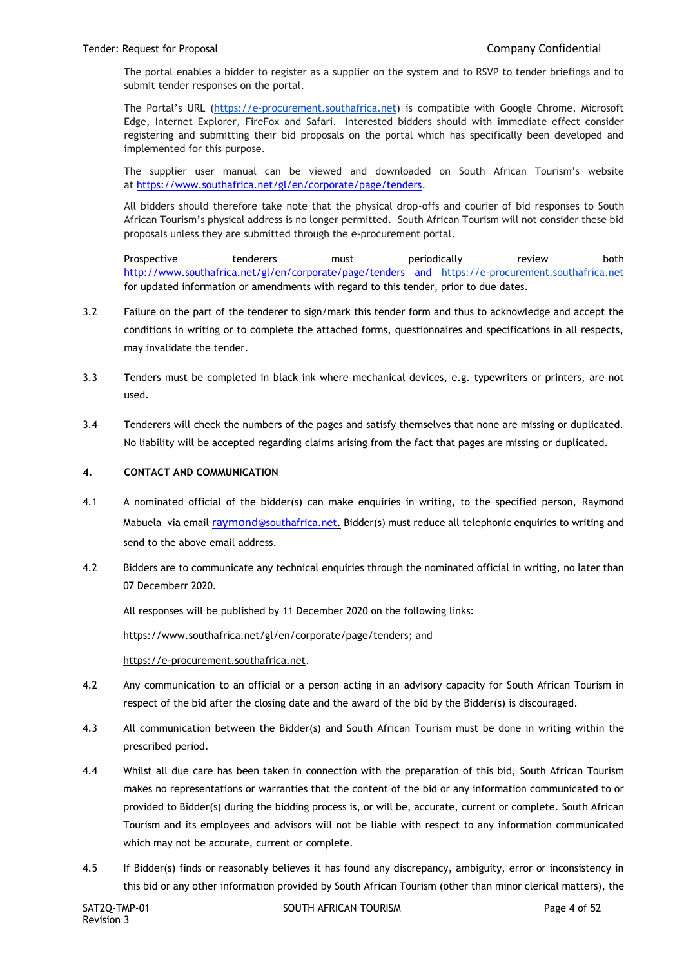The portal enables a bidder to register as a supplier on the system and to RSVP to tender briefings and to submit tender responses on the portal.

The Portal's URL ([https://e-procurement.southafrica.net\)](https://e-procurement.southafrica.net/) is compatible with Google Chrome, Microsoft Edge, Internet Explorer, FireFox and Safari. Interested bidders should with immediate effect consider registering and submitting their bid proposals on the portal which has specifically been developed and implemented for this purpose.

The supplier user manual can be viewed and downloaded on South African Tourism's website at [https://www.southafrica.net/gl/en/corporate/page/tenders.](https://www.southafrica.net/gl/en/corporate/page/tenders)

All bidders should therefore take note that the physical drop-offs and courier of bid responses to South African Tourism's physical address is no longer permitted. South African Tourism will not consider these bid proposals unless they are submitted through the e-procurement portal.

Prospective tenderers must periodically review both <http://www.southafrica.net/gl/en/corporate/page/tenders> and [https://e-procurement.southafrica.net](https://e-procurement.southafrica.net/) for updated information or amendments with regard to this tender, prior to due dates.

- 3.2 Failure on the part of the tenderer to sign/mark this tender form and thus to acknowledge and accept the conditions in writing or to complete the attached forms, questionnaires and specifications in all respects, may invalidate the tender.
- 3.3 Tenders must be completed in black ink where mechanical devices, e.g. typewriters or printers, are not used.
- 3.4 Tenderers will check the numbers of the pages and satisfy themselves that none are missing or duplicated. No liability will be accepted regarding claims arising from the fact that pages are missing or duplicated.

## **4. CONTACT AND COMMUNICATION**

- 4.1 A nominated official of the bidder(s) can make enquiries in writing, to the specified person, Raymond Mabuela via email raymond[@southafrica.net.](mailto:raymond@southafrica.net) Bidder(s) must reduce all telephonic enquiries to writing and send to the above email address.
- 4.2 Bidders are to communicate any technical enquiries through the nominated official in writing, no later than 07 Decemberr 2020.

All responses will be published by 11 December 2020 on the following links:

[https://www.southafrica.net/gl/en/corporate/page/tenders;](https://www.southafrica.net/gl/en/corporate/page/tenders) and

[https://e-procurement.southafrica.net.](https://e-procurement.southafrica.net/)

- 4.2 Any communication to an official or a person acting in an advisory capacity for South African Tourism in respect of the bid after the closing date and the award of the bid by the Bidder(s) is discouraged.
- 4.3 All communication between the Bidder(s) and South African Tourism must be done in writing within the prescribed period.
- 4.4 Whilst all due care has been taken in connection with the preparation of this bid, South African Tourism makes no representations or warranties that the content of the bid or any information communicated to or provided to Bidder(s) during the bidding process is, or will be, accurate, current or complete. South African Tourism and its employees and advisors will not be liable with respect to any information communicated which may not be accurate, current or complete.
- 4.5 If Bidder(s) finds or reasonably believes it has found any discrepancy, ambiguity, error or inconsistency in this bid or any other information provided by South African Tourism (other than minor clerical matters), the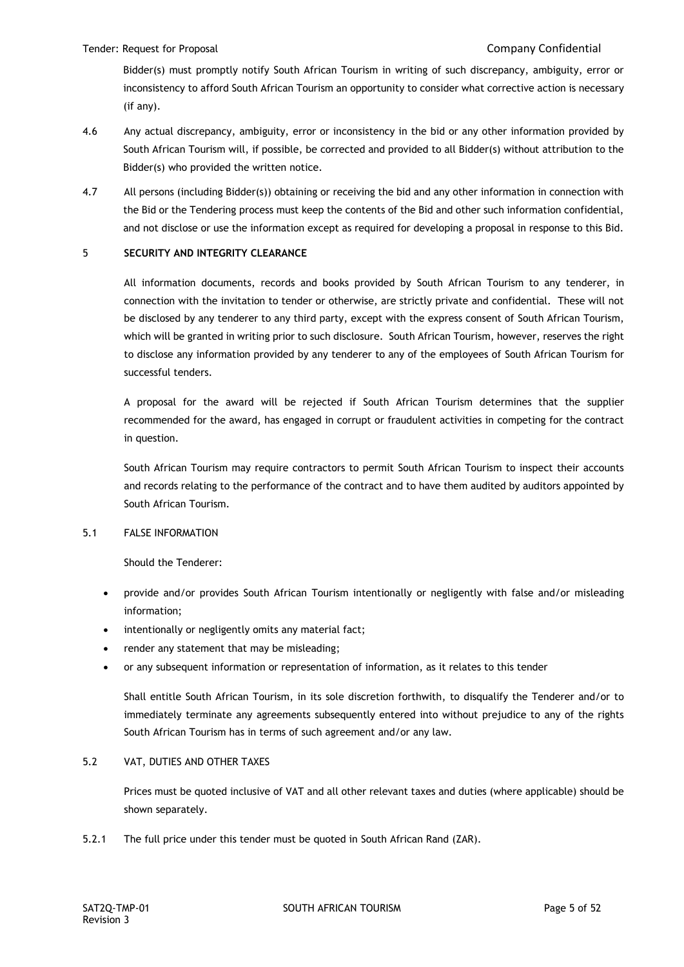Bidder(s) must promptly notify South African Tourism in writing of such discrepancy, ambiguity, error or inconsistency to afford South African Tourism an opportunity to consider what corrective action is necessary (if any).

- 4.6 Any actual discrepancy, ambiguity, error or inconsistency in the bid or any other information provided by South African Tourism will, if possible, be corrected and provided to all Bidder(s) without attribution to the Bidder(s) who provided the written notice.
- 4.7 All persons (including Bidder(s)) obtaining or receiving the bid and any other information in connection with the Bid or the Tendering process must keep the contents of the Bid and other such information confidential, and not disclose or use the information except as required for developing a proposal in response to this Bid.

## 5 **SECURITY AND INTEGRITY CLEARANCE**

All information documents, records and books provided by South African Tourism to any tenderer, in connection with the invitation to tender or otherwise, are strictly private and confidential. These will not be disclosed by any tenderer to any third party, except with the express consent of South African Tourism, which will be granted in writing prior to such disclosure. South African Tourism, however, reserves the right to disclose any information provided by any tenderer to any of the employees of South African Tourism for successful tenders.

A proposal for the award will be rejected if South African Tourism determines that the supplier recommended for the award, has engaged in corrupt or fraudulent activities in competing for the contract in question.

South African Tourism may require contractors to permit South African Tourism to inspect their accounts and records relating to the performance of the contract and to have them audited by auditors appointed by South African Tourism.

## 5.1 FALSE INFORMATION

Should the Tenderer:

- provide and/or provides South African Tourism intentionally or negligently with false and/or misleading information;
- intentionally or negligently omits any material fact;
- render any statement that may be misleading;
- or any subsequent information or representation of information, as it relates to this tender

Shall entitle South African Tourism, in its sole discretion forthwith, to disqualify the Tenderer and/or to immediately terminate any agreements subsequently entered into without prejudice to any of the rights South African Tourism has in terms of such agreement and/or any law.

## 5.2 VAT, DUTIES AND OTHER TAXES

Prices must be quoted inclusive of VAT and all other relevant taxes and duties (where applicable) should be shown separately.

5.2.1 The full price under this tender must be quoted in South African Rand (ZAR).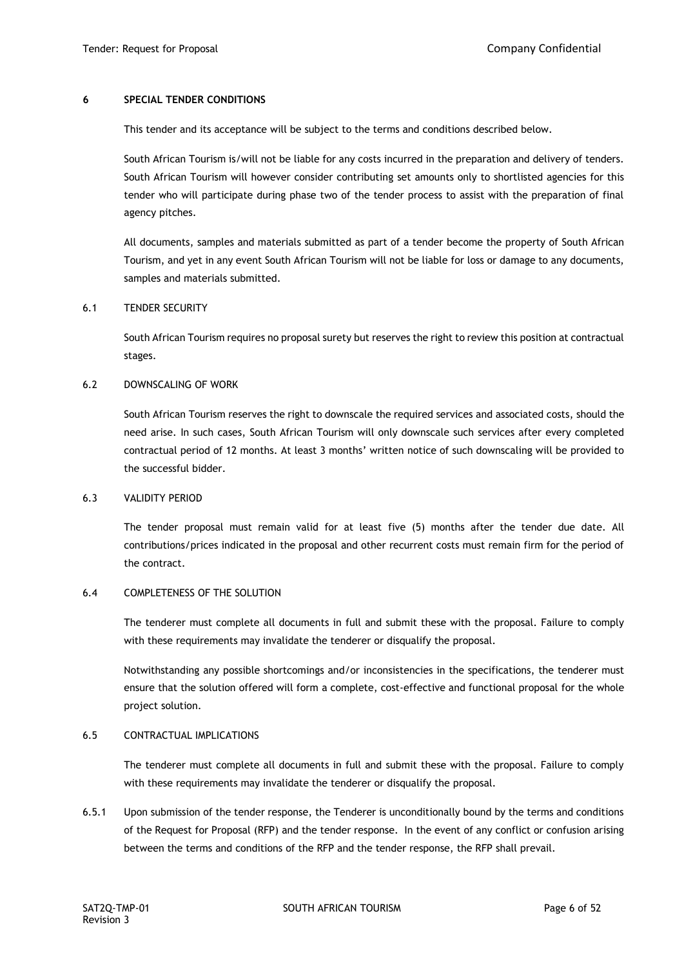#### **6 SPECIAL TENDER CONDITIONS**

This tender and its acceptance will be subject to the terms and conditions described below.

South African Tourism is/will not be liable for any costs incurred in the preparation and delivery of tenders. South African Tourism will however consider contributing set amounts only to shortlisted agencies for this tender who will participate during phase two of the tender process to assist with the preparation of final agency pitches.

All documents, samples and materials submitted as part of a tender become the property of South African Tourism, and yet in any event South African Tourism will not be liable for loss or damage to any documents, samples and materials submitted.

#### 6.1 TENDER SECURITY

South African Tourism requires no proposal surety but reserves the right to review this position at contractual stages.

#### 6.2 DOWNSCALING OF WORK

South African Tourism reserves the right to downscale the required services and associated costs, should the need arise. In such cases, South African Tourism will only downscale such services after every completed contractual period of 12 months. At least 3 months' written notice of such downscaling will be provided to the successful bidder.

### 6.3 VALIDITY PERIOD

The tender proposal must remain valid for at least five (5) months after the tender due date. All contributions/prices indicated in the proposal and other recurrent costs must remain firm for the period of the contract.

### 6.4 COMPLETENESS OF THE SOLUTION

The tenderer must complete all documents in full and submit these with the proposal. Failure to comply with these requirements may invalidate the tenderer or disqualify the proposal.

Notwithstanding any possible shortcomings and/or inconsistencies in the specifications, the tenderer must ensure that the solution offered will form a complete, cost-effective and functional proposal for the whole project solution.

### 6.5 CONTRACTUAL IMPLICATIONS

The tenderer must complete all documents in full and submit these with the proposal. Failure to comply with these requirements may invalidate the tenderer or disqualify the proposal.

6.5.1 Upon submission of the tender response, the Tenderer is unconditionally bound by the terms and conditions of the Request for Proposal (RFP) and the tender response. In the event of any conflict or confusion arising between the terms and conditions of the RFP and the tender response, the RFP shall prevail.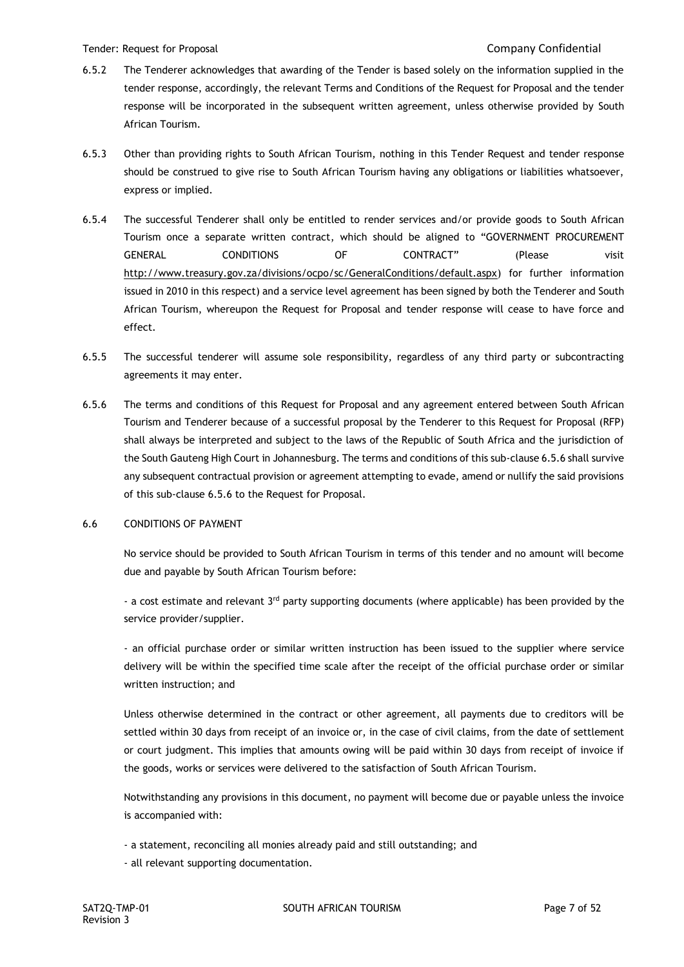- 6.5.2 The Tenderer acknowledges that awarding of the Tender is based solely on the information supplied in the tender response, accordingly, the relevant Terms and Conditions of the Request for Proposal and the tender response will be incorporated in the subsequent written agreement, unless otherwise provided by South African Tourism.
- 6.5.3 Other than providing rights to South African Tourism, nothing in this Tender Request and tender response should be construed to give rise to South African Tourism having any obligations or liabilities whatsoever, express or implied.
- 6.5.4 The successful Tenderer shall only be entitled to render services and/or provide goods to South African Tourism once a separate written contract, which should be aligned to "GOVERNMENT PROCUREMENT GENERAL CONDITIONS OF CONTRACT" (Please visit [http://www.treasury.gov.za/divisions/ocpo/sc/GeneralConditions/default.aspx\)](http://www.treasury.gov.za/divisions/ocpo/sc/GeneralConditions/default.aspx) for further information issued in 2010 in this respect) and a service level agreement has been signed by both the Tenderer and South African Tourism, whereupon the Request for Proposal and tender response will cease to have force and effect.
- 6.5.5 The successful tenderer will assume sole responsibility, regardless of any third party or subcontracting agreements it may enter.
- 6.5.6 The terms and conditions of this Request for Proposal and any agreement entered between South African Tourism and Tenderer because of a successful proposal by the Tenderer to this Request for Proposal (RFP) shall always be interpreted and subject to the laws of the Republic of South Africa and the jurisdiction of the South Gauteng High Court in Johannesburg. The terms and conditions of this sub-clause 6.5.6 shall survive any subsequent contractual provision or agreement attempting to evade, amend or nullify the said provisions of this sub-clause 6.5.6 to the Request for Proposal.

### 6.6 CONDITIONS OF PAYMENT

No service should be provided to South African Tourism in terms of this tender and no amount will become due and payable by South African Tourism before:

- a cost estimate and relevant  $3^{rd}$  party supporting documents (where applicable) has been provided by the service provider/supplier.

- an official purchase order or similar written instruction has been issued to the supplier where service delivery will be within the specified time scale after the receipt of the official purchase order or similar written instruction; and

Unless otherwise determined in the contract or other agreement, all payments due to creditors will be settled within 30 days from receipt of an invoice or, in the case of civil claims, from the date of settlement or court judgment. This implies that amounts owing will be paid within 30 days from receipt of invoice if the goods, works or services were delivered to the satisfaction of South African Tourism.

Notwithstanding any provisions in this document, no payment will become due or payable unless the invoice is accompanied with:

- a statement, reconciling all monies already paid and still outstanding; and
- all relevant supporting documentation.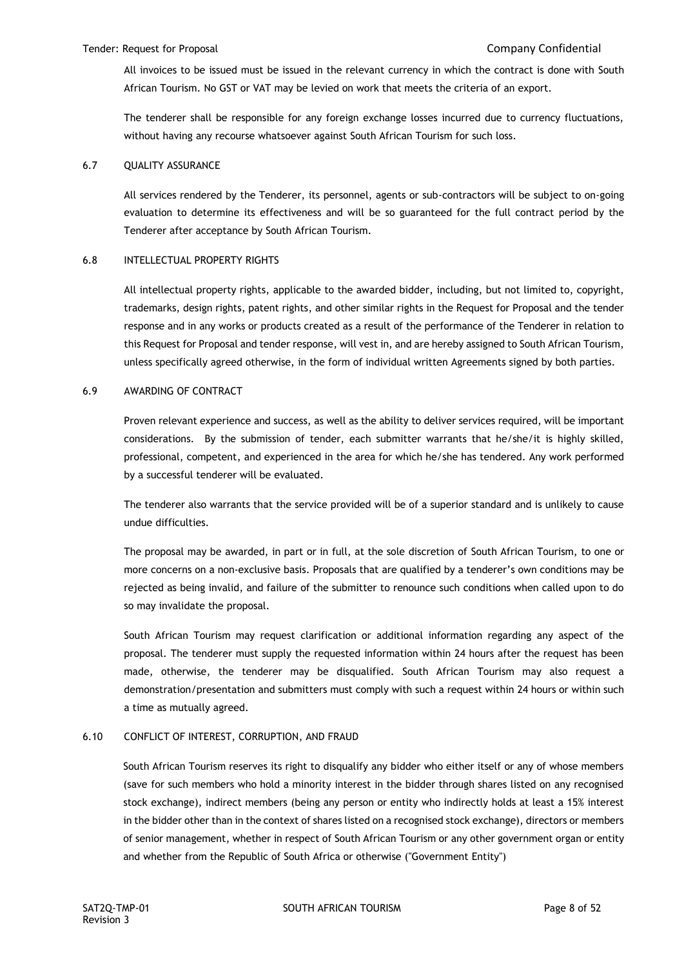All invoices to be issued must be issued in the relevant currency in which the contract is done with South African Tourism. No GST or VAT may be levied on work that meets the criteria of an export.

The tenderer shall be responsible for any foreign exchange losses incurred due to currency fluctuations, without having any recourse whatsoever against South African Tourism for such loss.

#### 6.7 QUALITY ASSURANCE

All services rendered by the Tenderer, its personnel, agents or sub-contractors will be subject to on-going evaluation to determine its effectiveness and will be so guaranteed for the full contract period by the Tenderer after acceptance by South African Tourism.

#### 6.8 INTELLECTUAL PROPERTY RIGHTS

All intellectual property rights, applicable to the awarded bidder, including, but not limited to, copyright, trademarks, design rights, patent rights, and other similar rights in the Request for Proposal and the tender response and in any works or products created as a result of the performance of the Tenderer in relation to this Request for Proposal and tender response, will vest in, and are hereby assigned to South African Tourism, unless specifically agreed otherwise, in the form of individual written Agreements signed by both parties.

#### 6.9 AWARDING OF CONTRACT

Proven relevant experience and success, as well as the ability to deliver services required, will be important considerations. By the submission of tender, each submitter warrants that he/she/it is highly skilled, professional, competent, and experienced in the area for which he/she has tendered. Any work performed by a successful tenderer will be evaluated.

The tenderer also warrants that the service provided will be of a superior standard and is unlikely to cause undue difficulties.

The proposal may be awarded, in part or in full, at the sole discretion of South African Tourism, to one or more concerns on a non-exclusive basis. Proposals that are qualified by a tenderer's own conditions may be rejected as being invalid, and failure of the submitter to renounce such conditions when called upon to do so may invalidate the proposal.

South African Tourism may request clarification or additional information regarding any aspect of the proposal. The tenderer must supply the requested information within 24 hours after the request has been made, otherwise, the tenderer may be disqualified. South African Tourism may also request a demonstration/presentation and submitters must comply with such a request within 24 hours or within such a time as mutually agreed.

### 6.10 CONFLICT OF INTEREST, CORRUPTION, AND FRAUD

South African Tourism reserves its right to disqualify any bidder who either itself or any of whose members (save for such members who hold a minority interest in the bidder through shares listed on any recognised stock exchange), indirect members (being any person or entity who indirectly holds at least a 15% interest in the bidder other than in the context of shares listed on a recognised stock exchange), directors or members of senior management, whether in respect of South African Tourism or any other government organ or entity and whether from the Republic of South Africa or otherwise ("Government Entity")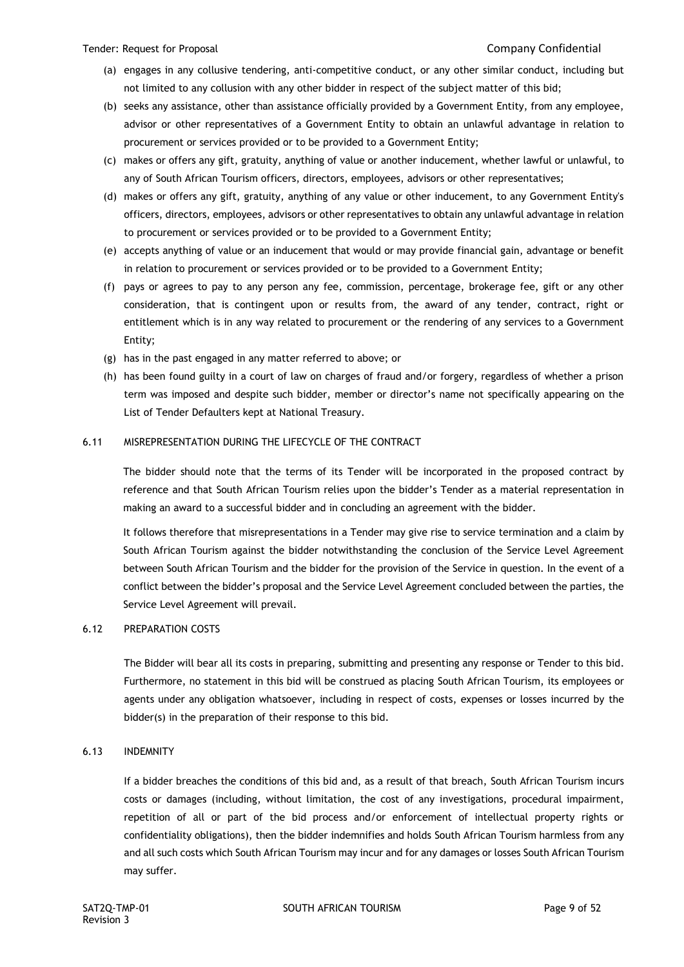- (a) engages in any collusive tendering, anti-competitive conduct, or any other similar conduct, including but not limited to any collusion with any other bidder in respect of the subject matter of this bid;
- (b) seeks any assistance, other than assistance officially provided by a Government Entity, from any employee, advisor or other representatives of a Government Entity to obtain an unlawful advantage in relation to procurement or services provided or to be provided to a Government Entity;
- (c) makes or offers any gift, gratuity, anything of value or another inducement, whether lawful or unlawful, to any of South African Tourism officers, directors, employees, advisors or other representatives;
- (d) makes or offers any gift, gratuity, anything of any value or other inducement, to any Government Entity's officers, directors, employees, advisors or other representatives to obtain any unlawful advantage in relation to procurement or services provided or to be provided to a Government Entity;
- (e) accepts anything of value or an inducement that would or may provide financial gain, advantage or benefit in relation to procurement or services provided or to be provided to a Government Entity;
- (f) pays or agrees to pay to any person any fee, commission, percentage, brokerage fee, gift or any other consideration, that is contingent upon or results from, the award of any tender, contract, right or entitlement which is in any way related to procurement or the rendering of any services to a Government Entity;
- (g) has in the past engaged in any matter referred to above; or
- (h) has been found guilty in a court of law on charges of fraud and/or forgery, regardless of whether a prison term was imposed and despite such bidder, member or director's name not specifically appearing on the List of Tender Defaulters kept at National Treasury.

## 6.11 MISREPRESENTATION DURING THE LIFECYCLE OF THE CONTRACT

The bidder should note that the terms of its Tender will be incorporated in the proposed contract by reference and that South African Tourism relies upon the bidder's Tender as a material representation in making an award to a successful bidder and in concluding an agreement with the bidder.

It follows therefore that misrepresentations in a Tender may give rise to service termination and a claim by South African Tourism against the bidder notwithstanding the conclusion of the Service Level Agreement between South African Tourism and the bidder for the provision of the Service in question. In the event of a conflict between the bidder's proposal and the Service Level Agreement concluded between the parties, the Service Level Agreement will prevail.

### 6.12 PREPARATION COSTS

The Bidder will bear all its costs in preparing, submitting and presenting any response or Tender to this bid. Furthermore, no statement in this bid will be construed as placing South African Tourism, its employees or agents under any obligation whatsoever, including in respect of costs, expenses or losses incurred by the bidder(s) in the preparation of their response to this bid.

### 6.13 INDEMNITY

If a bidder breaches the conditions of this bid and, as a result of that breach, South African Tourism incurs costs or damages (including, without limitation, the cost of any investigations, procedural impairment, repetition of all or part of the bid process and/or enforcement of intellectual property rights or confidentiality obligations), then the bidder indemnifies and holds South African Tourism harmless from any and all such costs which South African Tourism may incur and for any damages or losses South African Tourism may suffer.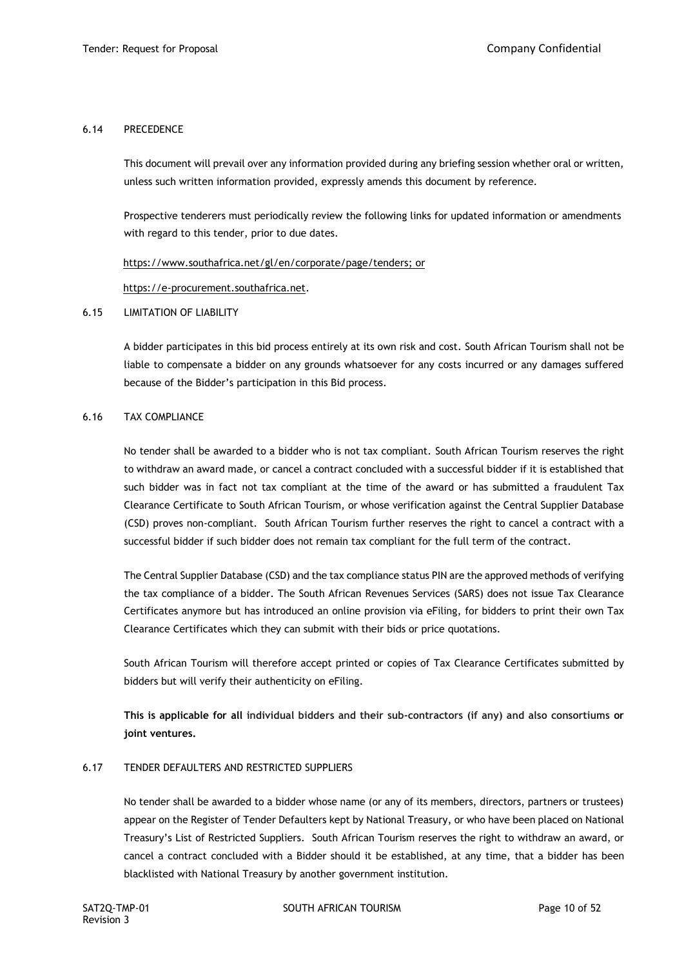## 6.14 PRECEDENCE

This document will prevail over any information provided during any briefing session whether oral or written, unless such written information provided, expressly amends this document by reference.

Prospective tenderers must periodically review the following links for updated information or amendments with regard to this tender, prior to due dates.

[https://www.southafrica.net/gl/en/corporate/page/tenders;](https://www.southafrica.net/gl/en/corporate/page/tenders) or

[https://e-procurement.southafrica.net.](https://e-procurement.southafrica.net/)

### 6.15 LIMITATION OF LIABILITY

A bidder participates in this bid process entirely at its own risk and cost. South African Tourism shall not be liable to compensate a bidder on any grounds whatsoever for any costs incurred or any damages suffered because of the Bidder's participation in this Bid process.

### 6.16 TAX COMPLIANCE

No tender shall be awarded to a bidder who is not tax compliant. South African Tourism reserves the right to withdraw an award made, or cancel a contract concluded with a successful bidder if it is established that such bidder was in fact not tax compliant at the time of the award or has submitted a fraudulent Tax Clearance Certificate to South African Tourism, or whose verification against the Central Supplier Database (CSD) proves non-compliant. South African Tourism further reserves the right to cancel a contract with a successful bidder if such bidder does not remain tax compliant for the full term of the contract.

The Central Supplier Database (CSD) and the tax compliance status PIN are the approved methods of verifying the tax compliance of a bidder. The South African Revenues Services (SARS) does not issue Tax Clearance Certificates anymore but has introduced an online provision via eFiling, for bidders to print their own Tax Clearance Certificates which they can submit with their bids or price quotations.

South African Tourism will therefore accept printed or copies of Tax Clearance Certificates submitted by bidders but will verify their authenticity on eFiling.

**This is applicable for all individual bidders and their sub-contractors (if any) and also consortiums or joint ventures.**

### 6.17 TENDER DEFAULTERS AND RESTRICTED SUPPLIERS

No tender shall be awarded to a bidder whose name (or any of its members, directors, partners or trustees) appear on the Register of Tender Defaulters kept by National Treasury, or who have been placed on National Treasury's List of Restricted Suppliers. South African Tourism reserves the right to withdraw an award, or cancel a contract concluded with a Bidder should it be established, at any time, that a bidder has been blacklisted with National Treasury by another government institution.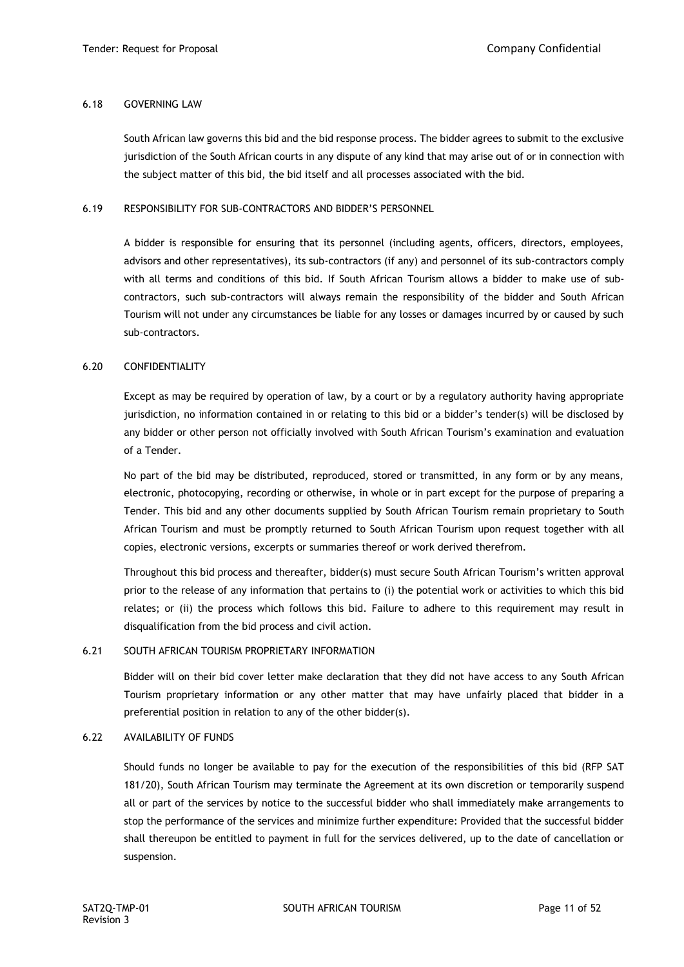#### 6.18 GOVERNING LAW

South African law governs this bid and the bid response process. The bidder agrees to submit to the exclusive jurisdiction of the South African courts in any dispute of any kind that may arise out of or in connection with the subject matter of this bid, the bid itself and all processes associated with the bid.

#### 6.19 RESPONSIBILITY FOR SUB-CONTRACTORS AND BIDDER'S PERSONNEL

A bidder is responsible for ensuring that its personnel (including agents, officers, directors, employees, advisors and other representatives), its sub-contractors (if any) and personnel of its sub-contractors comply with all terms and conditions of this bid. If South African Tourism allows a bidder to make use of subcontractors, such sub-contractors will always remain the responsibility of the bidder and South African Tourism will not under any circumstances be liable for any losses or damages incurred by or caused by such sub-contractors.

### 6.20 CONFIDENTIALITY

Except as may be required by operation of law, by a court or by a regulatory authority having appropriate jurisdiction, no information contained in or relating to this bid or a bidder's tender(s) will be disclosed by any bidder or other person not officially involved with South African Tourism's examination and evaluation of a Tender.

No part of the bid may be distributed, reproduced, stored or transmitted, in any form or by any means, electronic, photocopying, recording or otherwise, in whole or in part except for the purpose of preparing a Tender. This bid and any other documents supplied by South African Tourism remain proprietary to South African Tourism and must be promptly returned to South African Tourism upon request together with all copies, electronic versions, excerpts or summaries thereof or work derived therefrom.

Throughout this bid process and thereafter, bidder(s) must secure South African Tourism's written approval prior to the release of any information that pertains to (i) the potential work or activities to which this bid relates; or (ii) the process which follows this bid. Failure to adhere to this requirement may result in disqualification from the bid process and civil action.

### 6.21 SOUTH AFRICAN TOURISM PROPRIETARY INFORMATION

Bidder will on their bid cover letter make declaration that they did not have access to any South African Tourism proprietary information or any other matter that may have unfairly placed that bidder in a preferential position in relation to any of the other bidder(s).

### 6.22 AVAILABILITY OF FUNDS

Should funds no longer be available to pay for the execution of the responsibilities of this bid (RFP SAT 181/20), South African Tourism may terminate the Agreement at its own discretion or temporarily suspend all or part of the services by notice to the successful bidder who shall immediately make arrangements to stop the performance of the services and minimize further expenditure: Provided that the successful bidder shall thereupon be entitled to payment in full for the services delivered, up to the date of cancellation or suspension.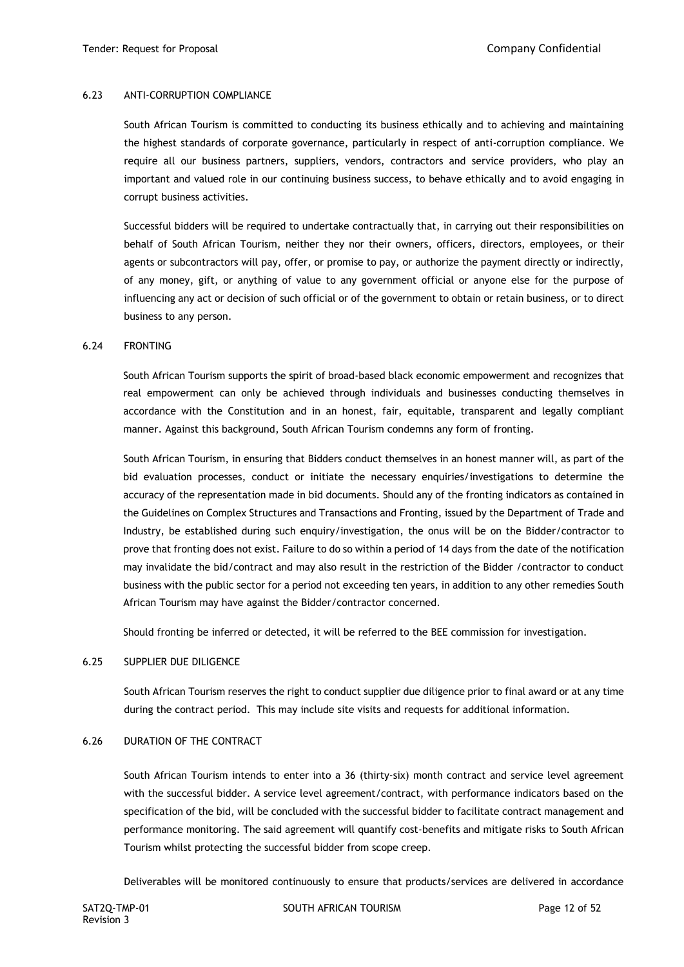## 6.23 ANTI-CORRUPTION COMPLIANCE

South African Tourism is committed to conducting its business ethically and to achieving and maintaining the highest standards of corporate governance, particularly in respect of anti-corruption compliance. We require all our business partners, suppliers, vendors, contractors and service providers, who play an important and valued role in our continuing business success, to behave ethically and to avoid engaging in corrupt business activities.

Successful bidders will be required to undertake contractually that, in carrying out their responsibilities on behalf of South African Tourism, neither they nor their owners, officers, directors, employees, or their agents or subcontractors will pay, offer, or promise to pay, or authorize the payment directly or indirectly, of any money, gift, or anything of value to any government official or anyone else for the purpose of influencing any act or decision of such official or of the government to obtain or retain business, or to direct business to any person.

#### 6.24 FRONTING

South African Tourism supports the spirit of broad-based black economic empowerment and recognizes that real empowerment can only be achieved through individuals and businesses conducting themselves in accordance with the Constitution and in an honest, fair, equitable, transparent and legally compliant manner. Against this background, South African Tourism condemns any form of fronting.

South African Tourism, in ensuring that Bidders conduct themselves in an honest manner will, as part of the bid evaluation processes, conduct or initiate the necessary enquiries/investigations to determine the accuracy of the representation made in bid documents. Should any of the fronting indicators as contained in the Guidelines on Complex Structures and Transactions and Fronting, issued by the Department of Trade and Industry, be established during such enquiry/investigation, the onus will be on the Bidder/contractor to prove that fronting does not exist. Failure to do so within a period of 14 days from the date of the notification may invalidate the bid/contract and may also result in the restriction of the Bidder /contractor to conduct business with the public sector for a period not exceeding ten years, in addition to any other remedies South African Tourism may have against the Bidder/contractor concerned.

Should fronting be inferred or detected, it will be referred to the BEE commission for investigation.

#### 6.25 SUPPLIER DUE DILIGENCE

South African Tourism reserves the right to conduct supplier due diligence prior to final award or at any time during the contract period. This may include site visits and requests for additional information.

### 6.26 DURATION OF THE CONTRACT

South African Tourism intends to enter into a 36 (thirty-six) month contract and service level agreement with the successful bidder. A service level agreement/contract, with performance indicators based on the specification of the bid, will be concluded with the successful bidder to facilitate contract management and performance monitoring. The said agreement will quantify cost-benefits and mitigate risks to South African Tourism whilst protecting the successful bidder from scope creep.

Deliverables will be monitored continuously to ensure that products/services are delivered in accordance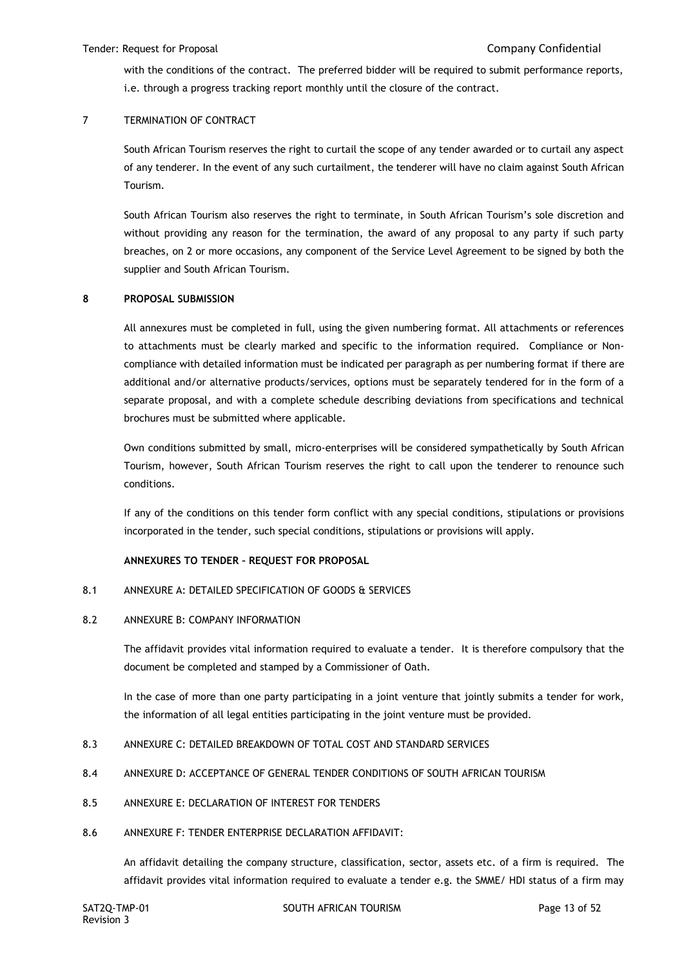with the conditions of the contract. The preferred bidder will be required to submit performance reports, i.e. through a progress tracking report monthly until the closure of the contract.

## 7 TERMINATION OF CONTRACT

South African Tourism reserves the right to curtail the scope of any tender awarded or to curtail any aspect of any tenderer. In the event of any such curtailment, the tenderer will have no claim against South African Tourism.

South African Tourism also reserves the right to terminate, in South African Tourism's sole discretion and without providing any reason for the termination, the award of any proposal to any party if such party breaches, on 2 or more occasions, any component of the Service Level Agreement to be signed by both the supplier and South African Tourism.

#### **8 PROPOSAL SUBMISSION**

All annexures must be completed in full, using the given numbering format. All attachments or references to attachments must be clearly marked and specific to the information required. Compliance or Noncompliance with detailed information must be indicated per paragraph as per numbering format if there are additional and/or alternative products/services, options must be separately tendered for in the form of a separate proposal, and with a complete schedule describing deviations from specifications and technical brochures must be submitted where applicable.

Own conditions submitted by small, micro-enterprises will be considered sympathetically by South African Tourism, however, South African Tourism reserves the right to call upon the tenderer to renounce such conditions.

If any of the conditions on this tender form conflict with any special conditions, stipulations or provisions incorporated in the tender, such special conditions, stipulations or provisions will apply.

### **ANNEXURES TO TENDER – REQUEST FOR PROPOSAL**

### 8.1 ANNEXURE A: DETAILED SPECIFICATION OF GOODS & SERVICES

#### 8.2 ANNEXURE B: COMPANY INFORMATION

The affidavit provides vital information required to evaluate a tender. It is therefore compulsory that the document be completed and stamped by a Commissioner of Oath.

In the case of more than one party participating in a joint venture that jointly submits a tender for work, the information of all legal entities participating in the joint venture must be provided.

- 8.3 ANNEXURE C: DETAILED BREAKDOWN OF TOTAL COST AND STANDARD SERVICES
- 8.4 ANNEXURE D: ACCEPTANCE OF GENERAL TENDER CONDITIONS OF SOUTH AFRICAN TOURISM
- 8.5 ANNEXURE E: DECLARATION OF INTEREST FOR TENDERS
- 8.6 ANNEXURE F: TENDER ENTERPRISE DECLARATION AFFIDAVIT:

An affidavit detailing the company structure, classification, sector, assets etc. of a firm is required. The affidavit provides vital information required to evaluate a tender e.g. the SMME/ HDI status of a firm may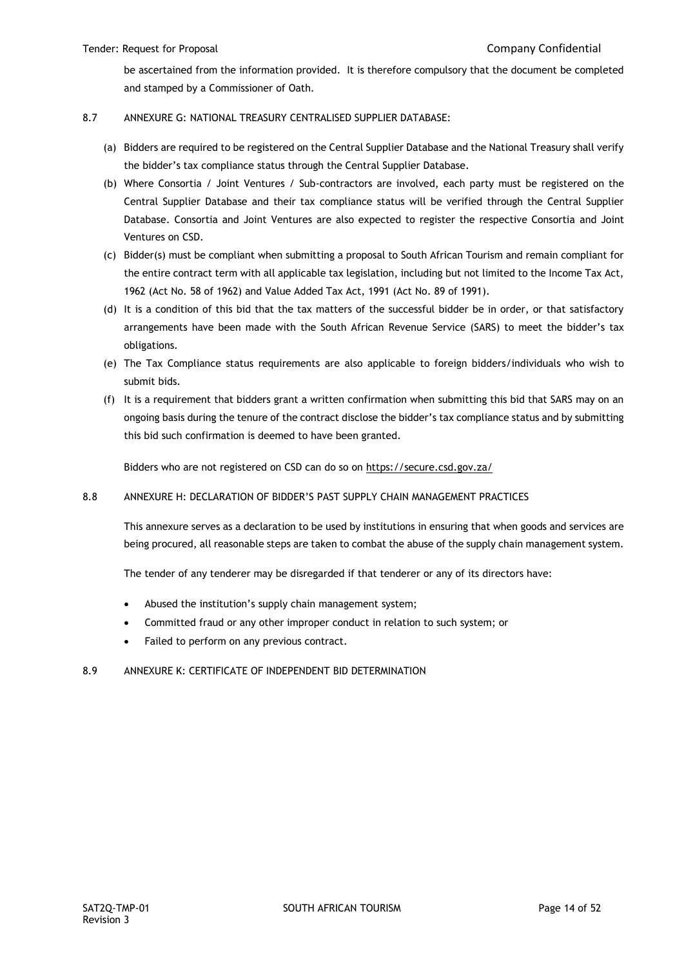be ascertained from the information provided. It is therefore compulsory that the document be completed and stamped by a Commissioner of Oath.

## 8.7 ANNEXURE G: NATIONAL TREASURY CENTRALISED SUPPLIER DATABASE:

- (a) Bidders are required to be registered on the Central Supplier Database and the National Treasury shall verify the bidder's tax compliance status through the Central Supplier Database.
- (b) Where Consortia / Joint Ventures / Sub-contractors are involved, each party must be registered on the Central Supplier Database and their tax compliance status will be verified through the Central Supplier Database. Consortia and Joint Ventures are also expected to register the respective Consortia and Joint Ventures on CSD.
- (c) Bidder(s) must be compliant when submitting a proposal to South African Tourism and remain compliant for the entire contract term with all applicable tax legislation, including but not limited to the Income Tax Act, 1962 (Act No. 58 of 1962) and Value Added Tax Act, 1991 (Act No. 89 of 1991).
- (d) It is a condition of this bid that the tax matters of the successful bidder be in order, or that satisfactory arrangements have been made with the South African Revenue Service (SARS) to meet the bidder's tax obligations.
- (e) The Tax Compliance status requirements are also applicable to foreign bidders/individuals who wish to submit bids.
- (f) It is a requirement that bidders grant a written confirmation when submitting this bid that SARS may on an ongoing basis during the tenure of the contract disclose the bidder's tax compliance status and by submitting this bid such confirmation is deemed to have been granted.

Bidders who are not registered on CSD can do so on<https://secure.csd.gov.za/>

### 8.8 ANNEXURE H: DECLARATION OF BIDDER'S PAST SUPPLY CHAIN MANAGEMENT PRACTICES

This annexure serves as a declaration to be used by institutions in ensuring that when goods and services are being procured, all reasonable steps are taken to combat the abuse of the supply chain management system.

The tender of any tenderer may be disregarded if that tenderer or any of its directors have:

- Abused the institution's supply chain management system;
- Committed fraud or any other improper conduct in relation to such system; or
- Failed to perform on any previous contract.

### 8.9 ANNEXURE K: CERTIFICATE OF INDEPENDENT BID DETERMINATION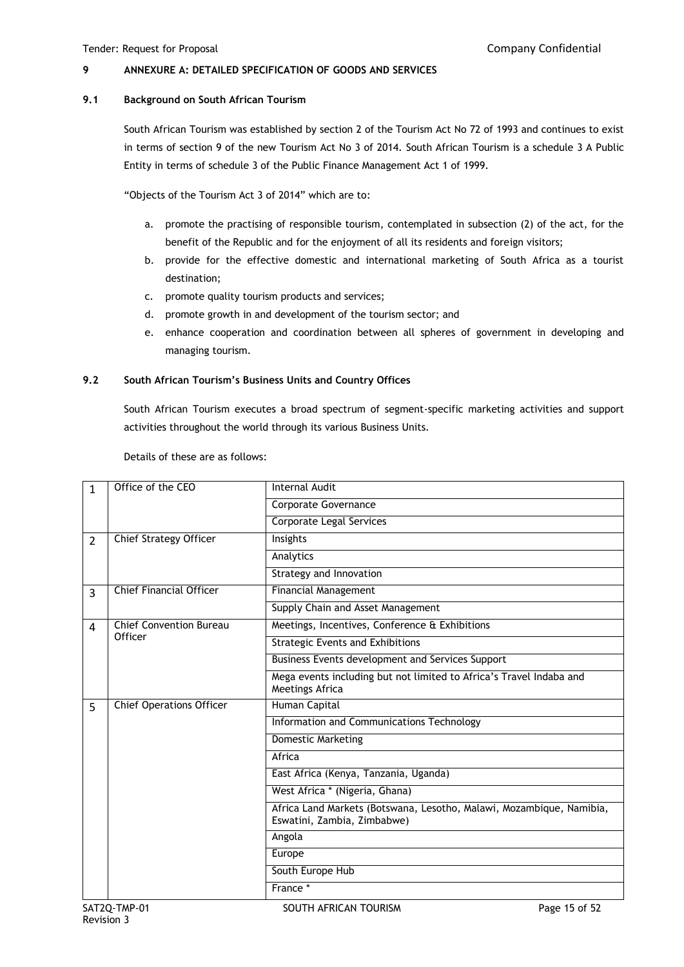## **9 ANNEXURE A: DETAILED SPECIFICATION OF GOODS AND SERVICES**

#### **9.1 Background on South African Tourism**

South African Tourism was established by section 2 of the Tourism Act No 72 of 1993 and continues to exist in terms of section 9 of the new Tourism Act No 3 of 2014. South African Tourism is a schedule 3 A Public Entity in terms of schedule 3 of the Public Finance Management Act 1 of 1999.

"Objects of the Tourism Act 3 of 2014" which are to:

- a. promote the practising of responsible tourism, contemplated in subsection (2) of the act, for the benefit of the Republic and for the enjoyment of all its residents and foreign visitors;
- b. provide for the effective domestic and international marketing of South Africa as a tourist destination;
- c. promote quality tourism products and services;
- d. promote growth in and development of the tourism sector; and
- e. enhance cooperation and coordination between all spheres of government in developing and managing tourism.

## **9.2 South African Tourism's Business Units and Country Offices**

South African Tourism executes a broad spectrum of segment-specific marketing activities and support activities throughout the world through its various Business Units.

| 1              | Office of the CEO               | <b>Internal Audit</b>                                                                               |
|----------------|---------------------------------|-----------------------------------------------------------------------------------------------------|
|                |                                 | Corporate Governance                                                                                |
|                |                                 | Corporate Legal Services                                                                            |
| $\overline{2}$ | <b>Chief Strategy Officer</b>   | Insights                                                                                            |
|                |                                 | Analytics                                                                                           |
|                |                                 | Strategy and Innovation                                                                             |
| $\overline{3}$ | <b>Chief Financial Officer</b>  | <b>Financial Management</b>                                                                         |
|                |                                 | Supply Chain and Asset Management                                                                   |
| 4              | <b>Chief Convention Bureau</b>  | Meetings, Incentives, Conference & Exhibitions                                                      |
|                | Officer                         | <b>Strategic Events and Exhibitions</b>                                                             |
|                |                                 | Business Events development and Services Support                                                    |
|                |                                 | Mega events including but not limited to Africa's Travel Indaba and<br>Meetings Africa              |
| 5              | <b>Chief Operations Officer</b> | Human Capital                                                                                       |
|                |                                 | Information and Communications Technology                                                           |
|                |                                 | Domestic Marketing                                                                                  |
|                |                                 | Africa                                                                                              |
|                |                                 | East Africa (Kenya, Tanzania, Uganda)                                                               |
|                |                                 | West Africa * (Nigeria, Ghana)                                                                      |
|                |                                 | Africa Land Markets (Botswana, Lesotho, Malawi, Mozambique, Namibia,<br>Eswatini, Zambia, Zimbabwe) |
|                |                                 | Angola                                                                                              |
|                |                                 | Europe                                                                                              |
|                |                                 | South Europe Hub                                                                                    |
|                |                                 | France *                                                                                            |
|                |                                 |                                                                                                     |

Details of these are as follows: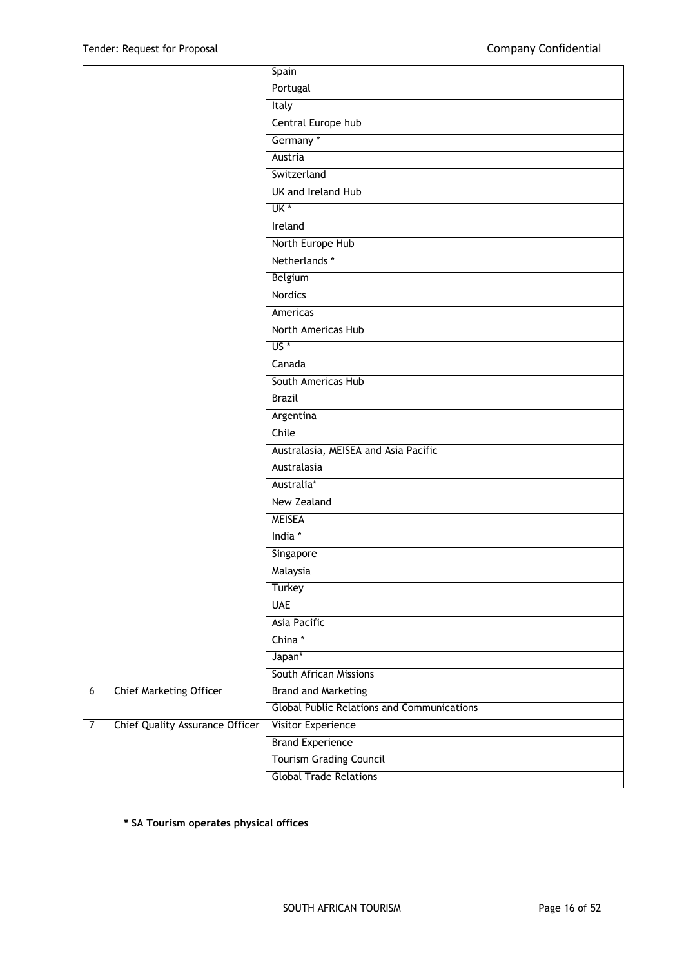| Spain<br>Portugal<br>Italy<br>Central Europe hub<br>Germany *<br>Austria<br>Switzerland<br>UK and Ireland Hub<br>UK <sup>*</sup><br>Ireland<br>North Europe Hub<br>Netherlands *<br>Belgium<br><b>Nordics</b><br>Americas<br>North Americas Hub<br>$US^*$<br>Canada<br>South Americas Hub<br><b>Brazil</b><br>Argentina<br>Chile<br>Australasia, MEISEA and Asia Pacific<br>Australasia<br>Australia*<br>New Zealand<br><b>MEISEA</b><br>India *<br>Singapore<br>Malaysia<br><b>Turkey</b><br><b>UAE</b><br>Asia Pacific<br>China *<br>Japan*<br>South African Missions<br>$\overline{6}$<br>Chief Marketing Officer<br><b>Brand and Marketing</b><br><b>Global Public Relations and Communications</b><br>$\overline{7}$<br><b>Chief Quality Assurance Officer</b><br>Visitor Experience<br><b>Brand Experience</b><br><b>Tourism Grading Council</b><br><b>Global Trade Relations</b> |  |  |
|-----------------------------------------------------------------------------------------------------------------------------------------------------------------------------------------------------------------------------------------------------------------------------------------------------------------------------------------------------------------------------------------------------------------------------------------------------------------------------------------------------------------------------------------------------------------------------------------------------------------------------------------------------------------------------------------------------------------------------------------------------------------------------------------------------------------------------------------------------------------------------------------|--|--|
|                                                                                                                                                                                                                                                                                                                                                                                                                                                                                                                                                                                                                                                                                                                                                                                                                                                                                         |  |  |
|                                                                                                                                                                                                                                                                                                                                                                                                                                                                                                                                                                                                                                                                                                                                                                                                                                                                                         |  |  |
|                                                                                                                                                                                                                                                                                                                                                                                                                                                                                                                                                                                                                                                                                                                                                                                                                                                                                         |  |  |
|                                                                                                                                                                                                                                                                                                                                                                                                                                                                                                                                                                                                                                                                                                                                                                                                                                                                                         |  |  |
|                                                                                                                                                                                                                                                                                                                                                                                                                                                                                                                                                                                                                                                                                                                                                                                                                                                                                         |  |  |
|                                                                                                                                                                                                                                                                                                                                                                                                                                                                                                                                                                                                                                                                                                                                                                                                                                                                                         |  |  |
|                                                                                                                                                                                                                                                                                                                                                                                                                                                                                                                                                                                                                                                                                                                                                                                                                                                                                         |  |  |
|                                                                                                                                                                                                                                                                                                                                                                                                                                                                                                                                                                                                                                                                                                                                                                                                                                                                                         |  |  |
|                                                                                                                                                                                                                                                                                                                                                                                                                                                                                                                                                                                                                                                                                                                                                                                                                                                                                         |  |  |
|                                                                                                                                                                                                                                                                                                                                                                                                                                                                                                                                                                                                                                                                                                                                                                                                                                                                                         |  |  |
|                                                                                                                                                                                                                                                                                                                                                                                                                                                                                                                                                                                                                                                                                                                                                                                                                                                                                         |  |  |
|                                                                                                                                                                                                                                                                                                                                                                                                                                                                                                                                                                                                                                                                                                                                                                                                                                                                                         |  |  |
|                                                                                                                                                                                                                                                                                                                                                                                                                                                                                                                                                                                                                                                                                                                                                                                                                                                                                         |  |  |
|                                                                                                                                                                                                                                                                                                                                                                                                                                                                                                                                                                                                                                                                                                                                                                                                                                                                                         |  |  |
|                                                                                                                                                                                                                                                                                                                                                                                                                                                                                                                                                                                                                                                                                                                                                                                                                                                                                         |  |  |
|                                                                                                                                                                                                                                                                                                                                                                                                                                                                                                                                                                                                                                                                                                                                                                                                                                                                                         |  |  |
|                                                                                                                                                                                                                                                                                                                                                                                                                                                                                                                                                                                                                                                                                                                                                                                                                                                                                         |  |  |
|                                                                                                                                                                                                                                                                                                                                                                                                                                                                                                                                                                                                                                                                                                                                                                                                                                                                                         |  |  |
|                                                                                                                                                                                                                                                                                                                                                                                                                                                                                                                                                                                                                                                                                                                                                                                                                                                                                         |  |  |
|                                                                                                                                                                                                                                                                                                                                                                                                                                                                                                                                                                                                                                                                                                                                                                                                                                                                                         |  |  |
|                                                                                                                                                                                                                                                                                                                                                                                                                                                                                                                                                                                                                                                                                                                                                                                                                                                                                         |  |  |
|                                                                                                                                                                                                                                                                                                                                                                                                                                                                                                                                                                                                                                                                                                                                                                                                                                                                                         |  |  |
|                                                                                                                                                                                                                                                                                                                                                                                                                                                                                                                                                                                                                                                                                                                                                                                                                                                                                         |  |  |
|                                                                                                                                                                                                                                                                                                                                                                                                                                                                                                                                                                                                                                                                                                                                                                                                                                                                                         |  |  |
|                                                                                                                                                                                                                                                                                                                                                                                                                                                                                                                                                                                                                                                                                                                                                                                                                                                                                         |  |  |
|                                                                                                                                                                                                                                                                                                                                                                                                                                                                                                                                                                                                                                                                                                                                                                                                                                                                                         |  |  |
|                                                                                                                                                                                                                                                                                                                                                                                                                                                                                                                                                                                                                                                                                                                                                                                                                                                                                         |  |  |
|                                                                                                                                                                                                                                                                                                                                                                                                                                                                                                                                                                                                                                                                                                                                                                                                                                                                                         |  |  |
|                                                                                                                                                                                                                                                                                                                                                                                                                                                                                                                                                                                                                                                                                                                                                                                                                                                                                         |  |  |
|                                                                                                                                                                                                                                                                                                                                                                                                                                                                                                                                                                                                                                                                                                                                                                                                                                                                                         |  |  |
|                                                                                                                                                                                                                                                                                                                                                                                                                                                                                                                                                                                                                                                                                                                                                                                                                                                                                         |  |  |
|                                                                                                                                                                                                                                                                                                                                                                                                                                                                                                                                                                                                                                                                                                                                                                                                                                                                                         |  |  |
|                                                                                                                                                                                                                                                                                                                                                                                                                                                                                                                                                                                                                                                                                                                                                                                                                                                                                         |  |  |
|                                                                                                                                                                                                                                                                                                                                                                                                                                                                                                                                                                                                                                                                                                                                                                                                                                                                                         |  |  |
|                                                                                                                                                                                                                                                                                                                                                                                                                                                                                                                                                                                                                                                                                                                                                                                                                                                                                         |  |  |
|                                                                                                                                                                                                                                                                                                                                                                                                                                                                                                                                                                                                                                                                                                                                                                                                                                                                                         |  |  |
|                                                                                                                                                                                                                                                                                                                                                                                                                                                                                                                                                                                                                                                                                                                                                                                                                                                                                         |  |  |
|                                                                                                                                                                                                                                                                                                                                                                                                                                                                                                                                                                                                                                                                                                                                                                                                                                                                                         |  |  |
|                                                                                                                                                                                                                                                                                                                                                                                                                                                                                                                                                                                                                                                                                                                                                                                                                                                                                         |  |  |
|                                                                                                                                                                                                                                                                                                                                                                                                                                                                                                                                                                                                                                                                                                                                                                                                                                                                                         |  |  |
|                                                                                                                                                                                                                                                                                                                                                                                                                                                                                                                                                                                                                                                                                                                                                                                                                                                                                         |  |  |
|                                                                                                                                                                                                                                                                                                                                                                                                                                                                                                                                                                                                                                                                                                                                                                                                                                                                                         |  |  |

## **\* SA Tourism operates physical offices**

Revision 3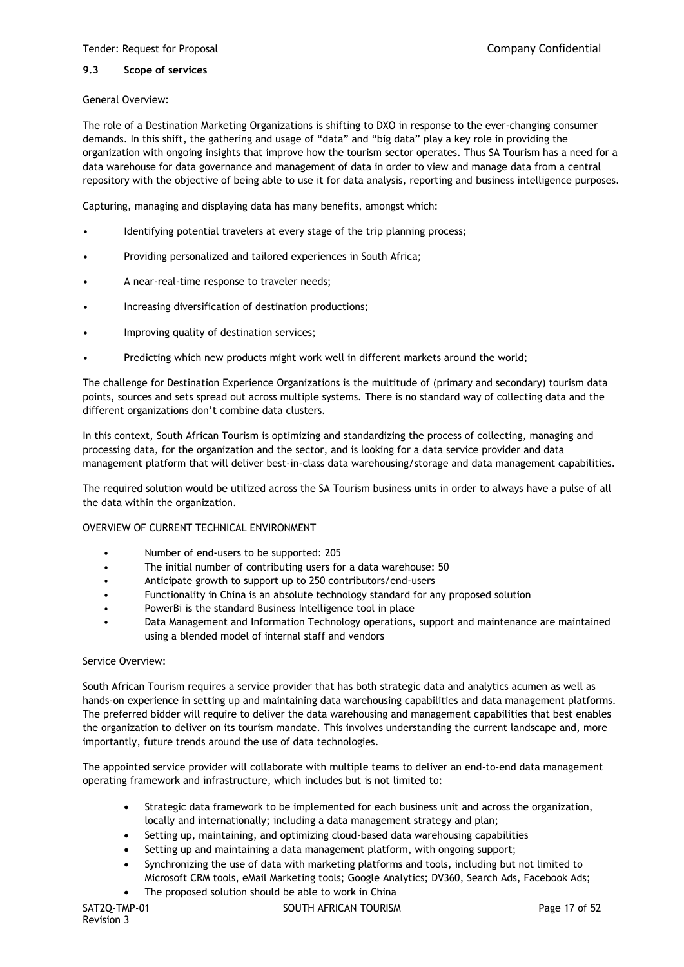#### **9.3 Scope of services**

#### General Overview:

The role of a Destination Marketing Organizations is shifting to DXO in response to the ever-changing consumer demands. In this shift, the gathering and usage of "data" and "big data" play a key role in providing the organization with ongoing insights that improve how the tourism sector operates. Thus SA Tourism has a need for a data warehouse for data governance and management of data in order to view and manage data from a central repository with the objective of being able to use it for data analysis, reporting and business intelligence purposes.

Capturing, managing and displaying data has many benefits, amongst which:

- Identifying potential travelers at every stage of the trip planning process;
- Providing personalized and tailored experiences in South Africa;
- A near-real-time response to traveler needs;
- Increasing diversification of destination productions;
- Improving quality of destination services;
- Predicting which new products might work well in different markets around the world;

The challenge for Destination Experience Organizations is the multitude of (primary and secondary) tourism data points, sources and sets spread out across multiple systems. There is no standard way of collecting data and the different organizations don't combine data clusters.

In this context, South African Tourism is optimizing and standardizing the process of collecting, managing and processing data, for the organization and the sector, and is looking for a data service provider and data management platform that will deliver best-in-class data warehousing/storage and data management capabilities.

The required solution would be utilized across the SA Tourism business units in order to always have a pulse of all the data within the organization.

### OVERVIEW OF CURRENT TECHNICAL ENVIRONMENT

- Number of end-users to be supported: 205
- The initial number of contributing users for a data warehouse: 50
- Anticipate growth to support up to 250 contributors/end-users
- Functionality in China is an absolute technology standard for any proposed solution
- PowerBi is the standard Business Intelligence tool in place
- Data Management and Information Technology operations, support and maintenance are maintained using a blended model of internal staff and vendors

#### Service Overview:

South African Tourism requires a service provider that has both strategic data and analytics acumen as well as hands-on experience in setting up and maintaining data warehousing capabilities and data management platforms. The preferred bidder will require to deliver the data warehousing and management capabilities that best enables the organization to deliver on its tourism mandate. This involves understanding the current landscape and, more importantly, future trends around the use of data technologies.

The appointed service provider will collaborate with multiple teams to deliver an end-to-end data management operating framework and infrastructure, which includes but is not limited to:

- Strategic data framework to be implemented for each business unit and across the organization, locally and internationally; including a data management strategy and plan;
- Setting up, maintaining, and optimizing cloud-based data warehousing capabilities
- Setting up and maintaining a data management platform, with ongoing support;
- Synchronizing the use of data with marketing platforms and tools, including but not limited to Microsoft CRM tools, eMail Marketing tools; Google Analytics; DV360, Search Ads, Facebook Ads;
- The proposed solution should be able to work in China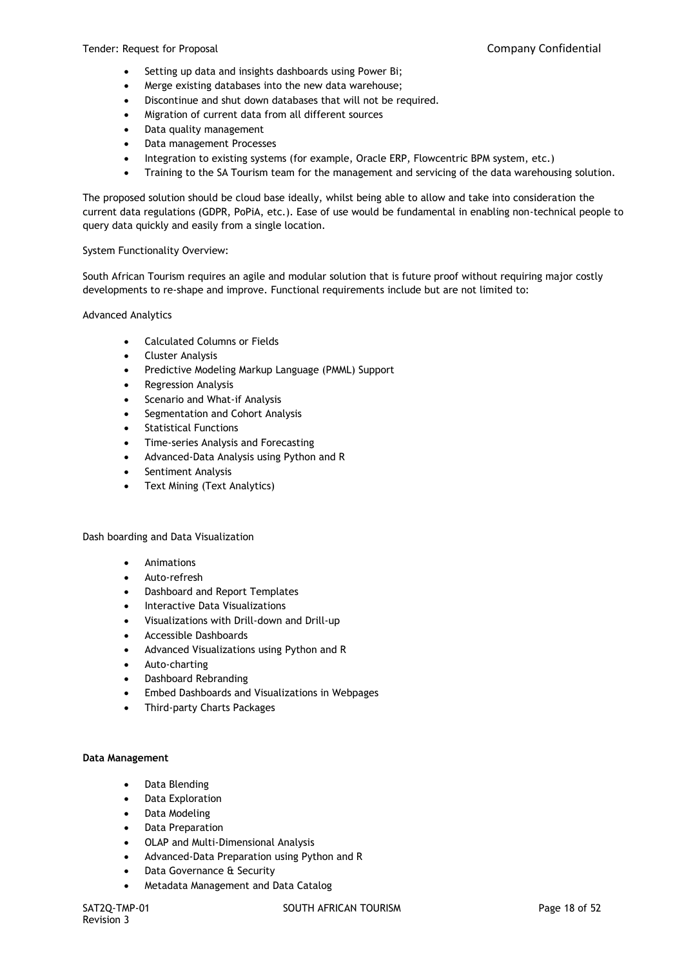- Setting up data and insights dashboards using Power Bi;
- Merge existing databases into the new data warehouse;
- Discontinue and shut down databases that will not be required.
- Migration of current data from all different sources
- Data quality management
- Data management Processes
- Integration to existing systems (for example, Oracle ERP, Flowcentric BPM system, etc.)
- Training to the SA Tourism team for the management and servicing of the data warehousing solution.

The proposed solution should be cloud base ideally, whilst being able to allow and take into consideration the current data regulations (GDPR, PoPiA, etc.). Ease of use would be fundamental in enabling non-technical people to query data quickly and easily from a single location.

#### System Functionality Overview:

South African Tourism requires an agile and modular solution that is future proof without requiring major costly developments to re-shape and improve. Functional requirements include but are not limited to:

#### Advanced Analytics

- Calculated Columns or Fields
- Cluster Analysis
- Predictive Modeling Markup Language (PMML) Support
- Regression Analysis
- Scenario and What-if Analysis
- Segmentation and Cohort Analysis
- Statistical Functions
- Time-series Analysis and Forecasting
- Advanced-Data Analysis using Python and R
- Sentiment Analysis
- Text Mining (Text Analytics)

### Dash boarding and Data Visualization

- Animations
- Auto-refresh
- Dashboard and Report Templates
- Interactive Data Visualizations
- Visualizations with Drill-down and Drill-up
- Accessible Dashboards
- Advanced Visualizations using Python and R
- Auto-charting
- Dashboard Rebranding
- Embed Dashboards and Visualizations in Webpages
- Third-party Charts Packages

#### **Data Management**

- Data Blending
- Data Exploration
- Data Modeling
- Data Preparation
- OLAP and Multi-Dimensional Analysis
- Advanced-Data Preparation using Python and R
- Data Governance & Security
- Metadata Management and Data Catalog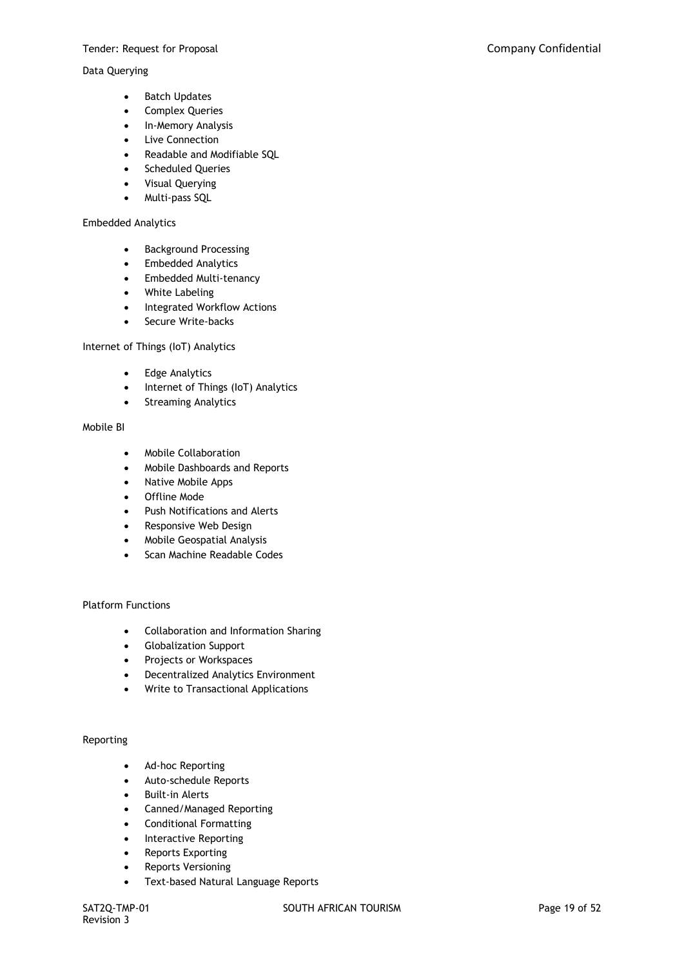#### Data Querying

- Batch Updates
- Complex Queries
- In-Memory Analysis
- Live Connection
- Readable and Modifiable SQL
- Scheduled Queries
- Visual Querying
- Multi-pass SQL

#### Embedded Analytics

- Background Processing
- Embedded Analytics
- Embedded Multi-tenancy
- White Labeling
- Integrated Workflow Actions
- Secure Write-backs

### Internet of Things (IoT) Analytics

- Edge Analytics
- Internet of Things (IoT) Analytics
- Streaming Analytics

#### Mobile BI

- Mobile Collaboration
- Mobile Dashboards and Reports
- Native Mobile Apps
- Offline Mode
- Push Notifications and Alerts
- Responsive Web Design
- Mobile Geospatial Analysis
- Scan Machine Readable Codes

### Platform Functions

- Collaboration and Information Sharing
- Globalization Support
- Projects or Workspaces
- Decentralized Analytics Environment
- Write to Transactional Applications

### Reporting

- Ad-hoc Reporting
- Auto-schedule Reports
- Built-in Alerts
- Canned/Managed Reporting
- Conditional Formatting
- Interactive Reporting
- Reports Exporting
- Reports Versioning
- Text-based Natural Language Reports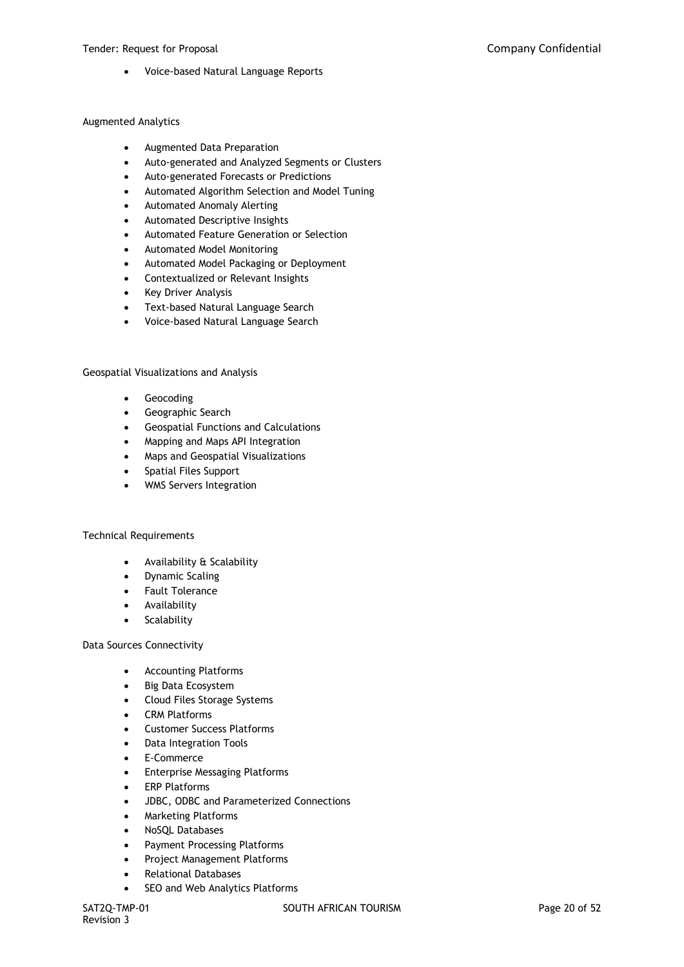Voice-based Natural Language Reports

#### Augmented Analytics

- Augmented Data Preparation
- Auto-generated and Analyzed Segments or Clusters
- Auto-generated Forecasts or Predictions
- Automated Algorithm Selection and Model Tuning
- Automated Anomaly Alerting
- Automated Descriptive Insights
- Automated Feature Generation or Selection
- Automated Model Monitoring
- Automated Model Packaging or Deployment
- Contextualized or Relevant Insights
- Key Driver Analysis
- Text-based Natural Language Search
- Voice-based Natural Language Search

#### Geospatial Visualizations and Analysis

- **•** Geocoding
- Geographic Search
- Geospatial Functions and Calculations
- Mapping and Maps API Integration
- Maps and Geospatial Visualizations
- Spatial Files Support
- WMS Servers Integration

#### Technical Requirements

- Availability & Scalability
- Dynamic Scaling
- Fault Tolerance
- Availability
- **Scalability**

#### Data Sources Connectivity

- Accounting Platforms
- Big Data Ecosystem
- Cloud Files Storage Systems
- CRM Platforms
- Customer Success Platforms
- Data Integration Tools
- E-Commerce
- Enterprise Messaging Platforms
- ERP Platforms
- JDBC, ODBC and Parameterized Connections
- Marketing Platforms
- NoSQL Databases
- Payment Processing Platforms
- Project Management Platforms
- Relational Databases
- SEO and Web Analytics Platforms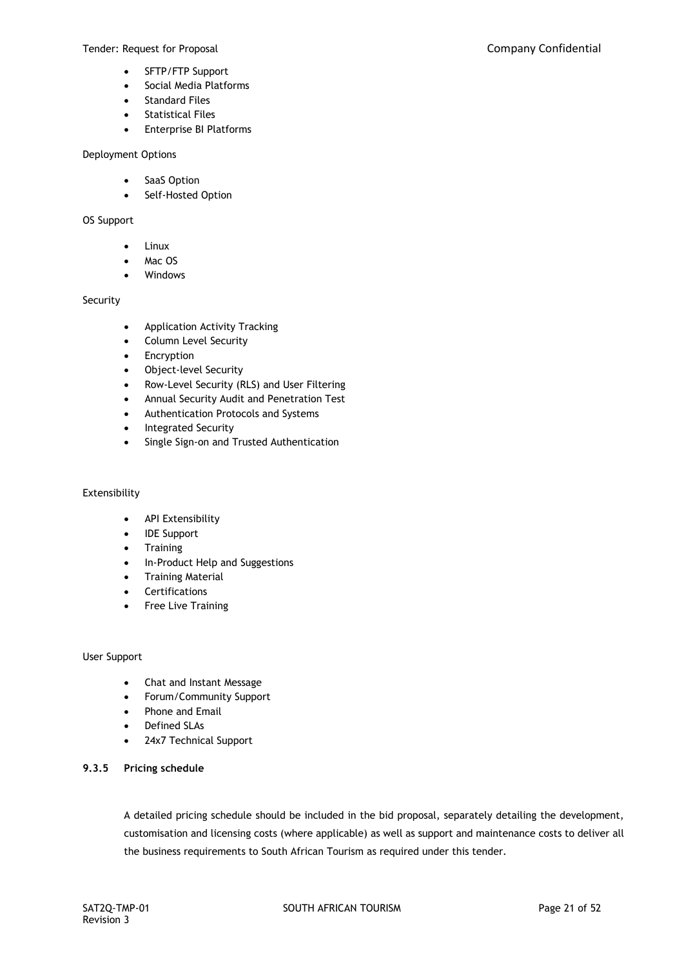- SFTP/FTP Support
- Social Media Platforms
- Standard Files
- Statistical Files
- Enterprise BI Platforms

#### Deployment Options

- SaaS Option
- Self-Hosted Option

### OS Support

- Linux
- Mac OS
- Windows

## Security

- Application Activity Tracking
- Column Level Security
- Encryption
- Object-level Security
- Row-Level Security (RLS) and User Filtering
- Annual Security Audit and Penetration Test
- Authentication Protocols and Systems
- Integrated Security
- Single Sign-on and Trusted Authentication

### Extensibility

- API Extensibility
- IDE Support
- Training
- In-Product Help and Suggestions
- Training Material
- Certifications
- Free Live Training

### User Support

- Chat and Instant Message
- Forum/Community Support
- Phone and Email
- Defined SLAs
- 24x7 Technical Support

### **9.3.5 Pricing schedule**

A detailed pricing schedule should be included in the bid proposal, separately detailing the development, customisation and licensing costs (where applicable) as well as support and maintenance costs to deliver all the business requirements to South African Tourism as required under this tender.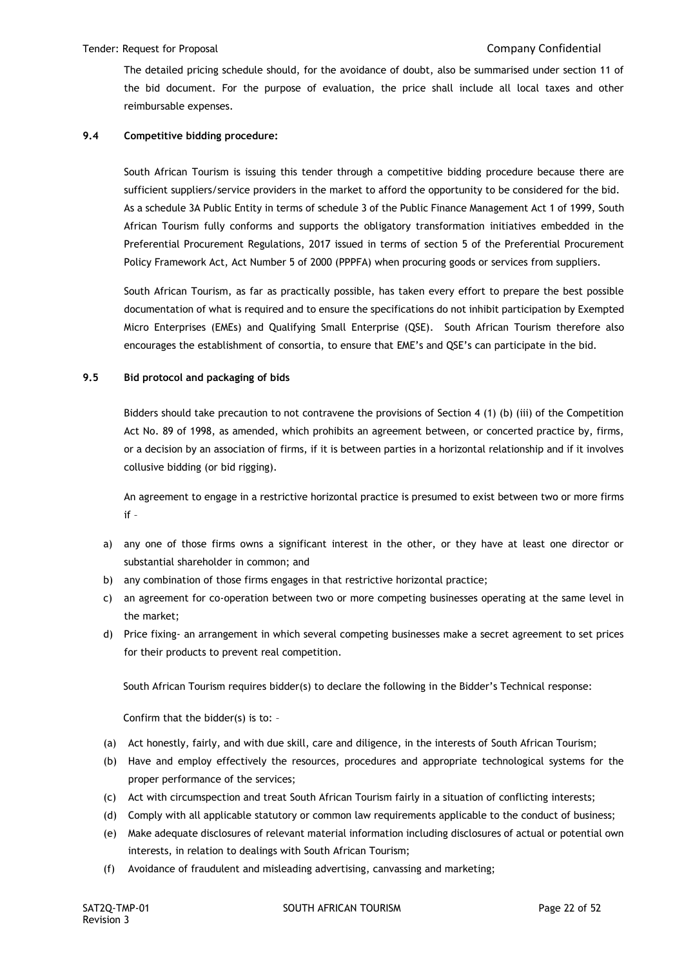The detailed pricing schedule should, for the avoidance of doubt, also be summarised under section 11 of the bid document. For the purpose of evaluation, the price shall include all local taxes and other reimbursable expenses.

## **9.4 Competitive bidding procedure:**

South African Tourism is issuing this tender through a competitive bidding procedure because there are sufficient suppliers/service providers in the market to afford the opportunity to be considered for the bid. As a schedule 3A Public Entity in terms of schedule 3 of the Public Finance Management Act 1 of 1999, South African Tourism fully conforms and supports the obligatory transformation initiatives embedded in the Preferential Procurement Regulations, 2017 issued in terms of section 5 of the Preferential Procurement Policy Framework Act, Act Number 5 of 2000 (PPPFA) when procuring goods or services from suppliers.

South African Tourism, as far as practically possible, has taken every effort to prepare the best possible documentation of what is required and to ensure the specifications do not inhibit participation by Exempted Micro Enterprises (EMEs) and Qualifying Small Enterprise (QSE). South African Tourism therefore also encourages the establishment of consortia, to ensure that EME's and QSE's can participate in the bid.

### **9.5 Bid protocol and packaging of bids**

Bidders should take precaution to not contravene the provisions of Section 4 (1) (b) (iii) of the Competition Act No. 89 of 1998, as amended, which prohibits an agreement between, or concerted practice by, firms, or a decision by an association of firms, if it is between parties in a horizontal relationship and if it involves collusive bidding (or bid rigging).

An agreement to engage in a restrictive horizontal practice is presumed to exist between two or more firms if –

- a) any one of those firms owns a significant interest in the other, or they have at least one director or substantial shareholder in common; and
- b) any combination of those firms engages in that restrictive horizontal practice;
- c) an agreement for co-operation between two or more competing businesses operating at the same level in the market;
- d) Price fixing- an arrangement in which several competing businesses make a secret agreement to set prices for their products to prevent real competition.

South African Tourism requires bidder(s) to declare the following in the Bidder's Technical response:

Confirm that the bidder(s) is to: –

- (a) Act honestly, fairly, and with due skill, care and diligence, in the interests of South African Tourism;
- (b) Have and employ effectively the resources, procedures and appropriate technological systems for the proper performance of the services;
- (c) Act with circumspection and treat South African Tourism fairly in a situation of conflicting interests;
- (d) Comply with all applicable statutory or common law requirements applicable to the conduct of business;
- (e) Make adequate disclosures of relevant material information including disclosures of actual or potential own interests, in relation to dealings with South African Tourism;
- (f) Avoidance of fraudulent and misleading advertising, canvassing and marketing;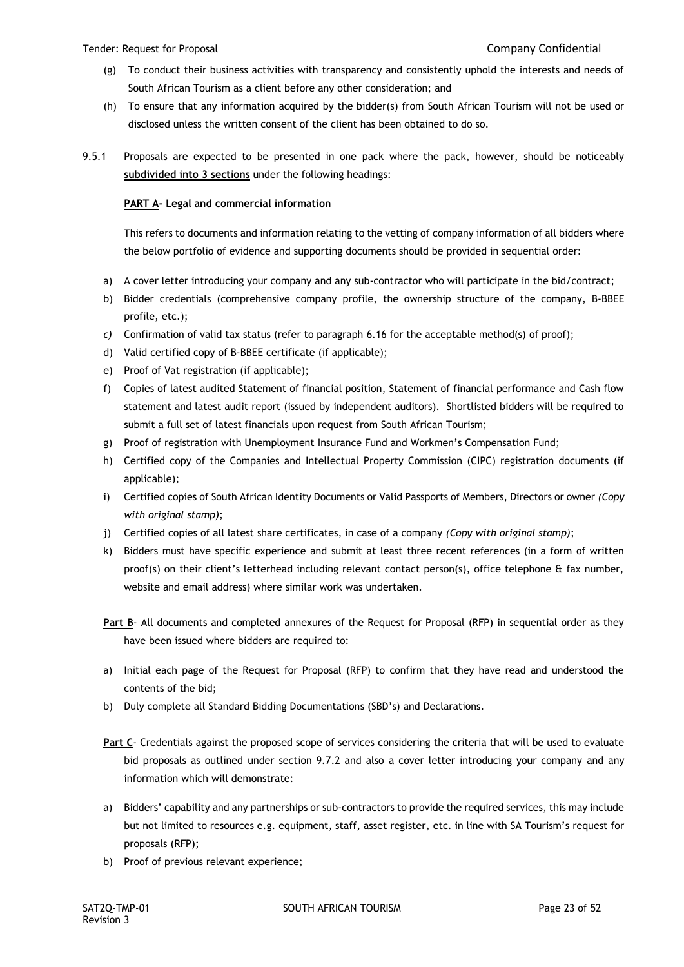- (g) To conduct their business activities with transparency and consistently uphold the interests and needs of South African Tourism as a client before any other consideration; and
- (h) To ensure that any information acquired by the bidder(s) from South African Tourism will not be used or disclosed unless the written consent of the client has been obtained to do so.
- 9.5.1 Proposals are expected to be presented in one pack where the pack, however, should be noticeably **subdivided into 3 sections** under the following headings:

## **PART A- Legal and commercial information**

This refers to documents and information relating to the vetting of company information of all bidders where the below portfolio of evidence and supporting documents should be provided in sequential order:

- a) A cover letter introducing your company and any sub-contractor who will participate in the bid/contract;
- b) Bidder credentials (comprehensive company profile, the ownership structure of the company, B-BBEE profile, etc.);
- *c)* Confirmation of valid tax status (refer to paragraph 6.16 for the acceptable method(s) of proof);
- d) Valid certified copy of B-BBEE certificate (if applicable);
- e) Proof of Vat registration (if applicable);
- f) Copies of latest audited Statement of financial position, Statement of financial performance and Cash flow statement and latest audit report (issued by independent auditors). Shortlisted bidders will be required to submit a full set of latest financials upon request from South African Tourism;
- g) Proof of registration with Unemployment Insurance Fund and Workmen's Compensation Fund;
- h) Certified copy of the Companies and Intellectual Property Commission (CIPC) registration documents (if applicable);
- i) Certified copies of South African Identity Documents or Valid Passports of Members, Directors or owner *(Copy with original stamp)*;
- j) Certified copies of all latest share certificates, in case of a company *(Copy with original stamp)*;
- k) Bidders must have specific experience and submit at least three recent references (in a form of written proof(s) on their client's letterhead including relevant contact person(s), office telephone & fax number, website and email address) where similar work was undertaken.
- **Part B** All documents and completed annexures of the Request for Proposal (RFP) in sequential order as they have been issued where bidders are required to:
- a) Initial each page of the Request for Proposal (RFP) to confirm that they have read and understood the contents of the bid;
- b) Duly complete all Standard Bidding Documentations (SBD's) and Declarations.
- **Part C** Credentials against the proposed scope of services considering the criteria that will be used to evaluate bid proposals as outlined under section 9.7.2 and also a cover letter introducing your company and any information which will demonstrate:
- a) Bidders' capability and any partnerships or sub-contractors to provide the required services, this may include but not limited to resources e.g. equipment, staff, asset register, etc. in line with SA Tourism's request for proposals (RFP);
- b) Proof of previous relevant experience;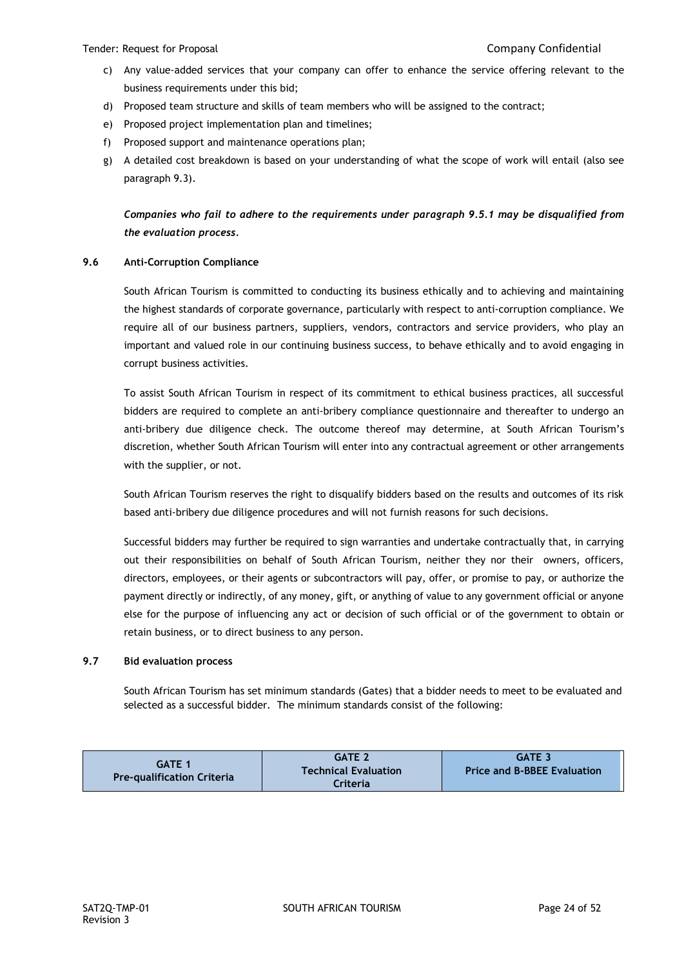- c) Any value-added services that your company can offer to enhance the service offering relevant to the business requirements under this bid;
- d) Proposed team structure and skills of team members who will be assigned to the contract;
- e) Proposed project implementation plan and timelines;
- f) Proposed support and maintenance operations plan;
- g) A detailed cost breakdown is based on your understanding of what the scope of work will entail (also see paragraph 9.3).

*Companies who fail to adhere to the requirements under paragraph 9.5.1 may be disqualified from the evaluation process.*

## **9.6 Anti-Corruption Compliance**

South African Tourism is committed to conducting its business ethically and to achieving and maintaining the highest standards of corporate governance, particularly with respect to anti-corruption compliance. We require all of our business partners, suppliers, vendors, contractors and service providers, who play an important and valued role in our continuing business success, to behave ethically and to avoid engaging in corrupt business activities.

To assist South African Tourism in respect of its commitment to ethical business practices, all successful bidders are required to complete an anti-bribery compliance questionnaire and thereafter to undergo an anti-bribery due diligence check. The outcome thereof may determine, at South African Tourism's discretion, whether South African Tourism will enter into any contractual agreement or other arrangements with the supplier, or not.

South African Tourism reserves the right to disqualify bidders based on the results and outcomes of its risk based anti-bribery due diligence procedures and will not furnish reasons for such decisions.

Successful bidders may further be required to sign warranties and undertake contractually that, in carrying out their responsibilities on behalf of South African Tourism, neither they nor their owners, officers, directors, employees, or their agents or subcontractors will pay, offer, or promise to pay, or authorize the payment directly or indirectly, of any money, gift, or anything of value to any government official or anyone else for the purpose of influencing any act or decision of such official or of the government to obtain or retain business, or to direct business to any person.

### **9.7 Bid evaluation process**

South African Tourism has set minimum standards (Gates) that a bidder needs to meet to be evaluated and selected as a successful bidder. The minimum standards consist of the following:

| <b>GATE 1</b>                     | <b>GATE 2</b>               | <b>GATE 3</b>                      |
|-----------------------------------|-----------------------------|------------------------------------|
| <b>Pre-qualification Criteria</b> | <b>Technical Evaluation</b> | <b>Price and B-BBEE Evaluation</b> |
|                                   | Criteria                    |                                    |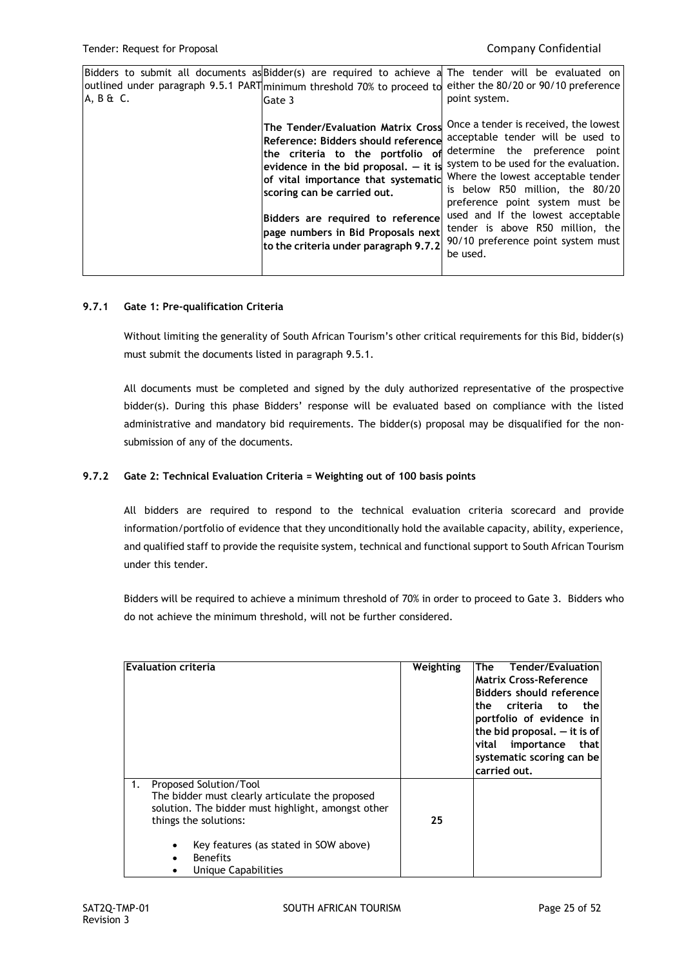| Bidders to submit all documents as Bidder(s) are required to achieve<br>$A, B \& C.$ | outlined under paragraph 9.5.1 PART minimum threshold 70% to proceed to<br>Gate 3                                                                                                                                                                                                                                                                  | a The tender will be evaluated on<br>either the 80/20 or 90/10 preference<br>point system.                                                                                                                                                                                                                                                                                                   |
|--------------------------------------------------------------------------------------|----------------------------------------------------------------------------------------------------------------------------------------------------------------------------------------------------------------------------------------------------------------------------------------------------------------------------------------------------|----------------------------------------------------------------------------------------------------------------------------------------------------------------------------------------------------------------------------------------------------------------------------------------------------------------------------------------------------------------------------------------------|
|                                                                                      | The Tender/Evaluation Matrix Cross<br>Reference: Bidders should reference<br>the criteria to the portfolio of<br>evidence in the bid proposal, $-$ it is<br>of vital importance that systematic<br>scoring can be carried out.<br>Bidders are required to reference<br>page numbers in Bid Proposals next<br>to the criteria under paragraph 9.7.2 | Once a tender is received, the lowest<br>acceptable tender will be used to<br>determine the preference point<br>system to be used for the evaluation.<br>Where the lowest acceptable tender<br>is below R50 million, the 80/20<br>preference point system must be<br>used and If the lowest acceptable<br>tender is above R50 million, the<br>90/10 preference point system must<br>be used. |

### **9.7.1 Gate 1: Pre-qualification Criteria**

Without limiting the generality of South African Tourism's other critical requirements for this Bid, bidder(s) must submit the documents listed in paragraph 9.5.1.

All documents must be completed and signed by the duly authorized representative of the prospective bidder(s). During this phase Bidders' response will be evaluated based on compliance with the listed administrative and mandatory bid requirements. The bidder(s) proposal may be disqualified for the nonsubmission of any of the documents.

## **9.7.2 Gate 2: Technical Evaluation Criteria = Weighting out of 100 basis points**

All bidders are required to respond to the technical evaluation criteria scorecard and provide information/portfolio of evidence that they unconditionally hold the available capacity, ability, experience, and qualified staff to provide the requisite system, technical and functional support to South African Tourism under this tender.

Bidders will be required to achieve a minimum threshold of 70% in order to proceed to Gate 3. Bidders who do not achieve the minimum threshold, will not be further considered.

| <b>Evaluation criteria</b>                                                                                                                                                                                                                                     | Weighting | Tender/Evaluation<br>The<br><b>Matrix Cross-Reference</b><br>Bidders should reference<br>criteria to<br>thel<br>the<br>portfolio of evidence in<br>the bid proposal. $-$ it is of<br>importance<br>thatl<br>vital<br>systematic scoring can be<br>carried out. |
|----------------------------------------------------------------------------------------------------------------------------------------------------------------------------------------------------------------------------------------------------------------|-----------|----------------------------------------------------------------------------------------------------------------------------------------------------------------------------------------------------------------------------------------------------------------|
| Proposed Solution/Tool<br>1.<br>The bidder must clearly articulate the proposed<br>solution. The bidder must highlight, amongst other<br>things the solutions:<br>Key features (as stated in SOW above)<br>$\bullet$<br><b>Benefits</b><br>Unique Capabilities | 25        |                                                                                                                                                                                                                                                                |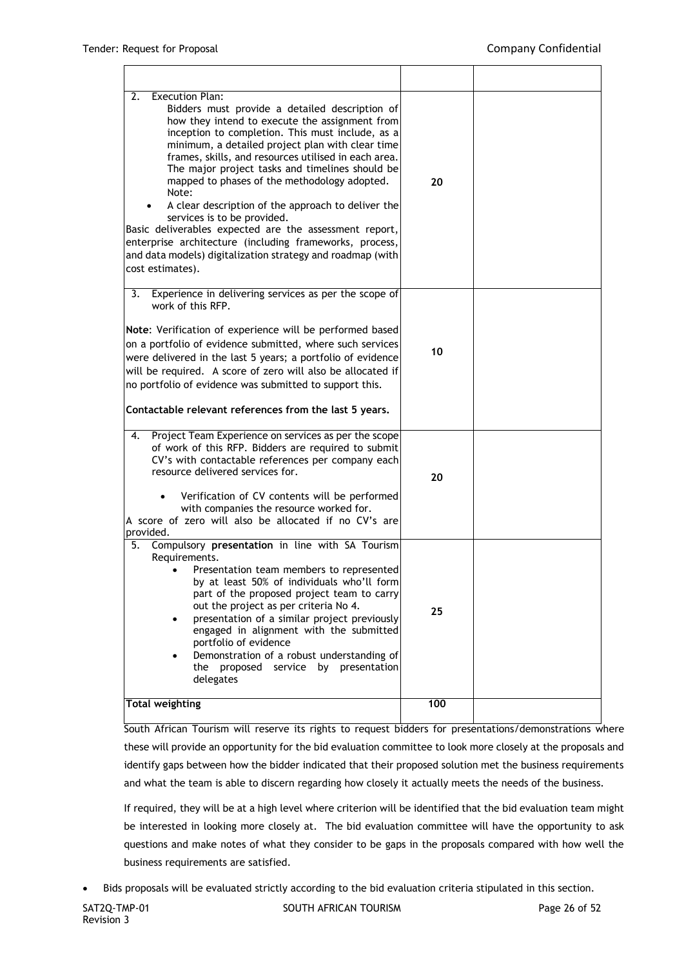r.

| <b>Execution Plan:</b><br>2.<br>Bidders must provide a detailed description of<br>how they intend to execute the assignment from<br>inception to completion. This must include, as a<br>minimum, a detailed project plan with clear time<br>frames, skills, and resources utilised in each area.<br>The major project tasks and timelines should be<br>mapped to phases of the methodology adopted.<br>Note:<br>A clear description of the approach to deliver the<br>services is to be provided.<br>Basic deliverables expected are the assessment report,<br>enterprise architecture (including frameworks, process,<br>and data models) digitalization strategy and roadmap (with<br>cost estimates). | 20  |  |
|----------------------------------------------------------------------------------------------------------------------------------------------------------------------------------------------------------------------------------------------------------------------------------------------------------------------------------------------------------------------------------------------------------------------------------------------------------------------------------------------------------------------------------------------------------------------------------------------------------------------------------------------------------------------------------------------------------|-----|--|
| Experience in delivering services as per the scope of<br>3.<br>work of this RFP.<br>Note: Verification of experience will be performed based<br>on a portfolio of evidence submitted, where such services<br>were delivered in the last 5 years; a portfolio of evidence<br>will be required. A score of zero will also be allocated if<br>no portfolio of evidence was submitted to support this.<br>Contactable relevant references from the last 5 years.                                                                                                                                                                                                                                             | 10  |  |
| Project Team Experience on services as per the scope<br>4.<br>of work of this RFP. Bidders are required to submit<br>CV's with contactable references per company each<br>resource delivered services for.<br>Verification of CV contents will be performed<br>with companies the resource worked for.<br>A score of zero will also be allocated if no CV's are<br>provided.                                                                                                                                                                                                                                                                                                                             | 20  |  |
| 5.<br>Compulsory presentation in line with SA Tourism<br>Requirements.<br>Presentation team members to represented<br>by at least 50% of individuals who'll form<br>part of the proposed project team to carry<br>out the project as per criteria No 4.<br>presentation of a similar project previously<br>$\bullet$<br>engaged in alignment with the submitted<br>portfolio of evidence<br>Demonstration of a robust understanding of<br>the proposed service by presentation<br>delegates                                                                                                                                                                                                              | 25  |  |
| <b>Total weighting</b>                                                                                                                                                                                                                                                                                                                                                                                                                                                                                                                                                                                                                                                                                   | 100 |  |

South African Tourism will reserve its rights to request bidders for presentations/demonstrations where these will provide an opportunity for the bid evaluation committee to look more closely at the proposals and identify gaps between how the bidder indicated that their proposed solution met the business requirements and what the team is able to discern regarding how closely it actually meets the needs of the business.

If required, they will be at a high level where criterion will be identified that the bid evaluation team might be interested in looking more closely at. The bid evaluation committee will have the opportunity to ask questions and make notes of what they consider to be gaps in the proposals compared with how well the business requirements are satisfied.

Bids proposals will be evaluated strictly according to the bid evaluation criteria stipulated in this section.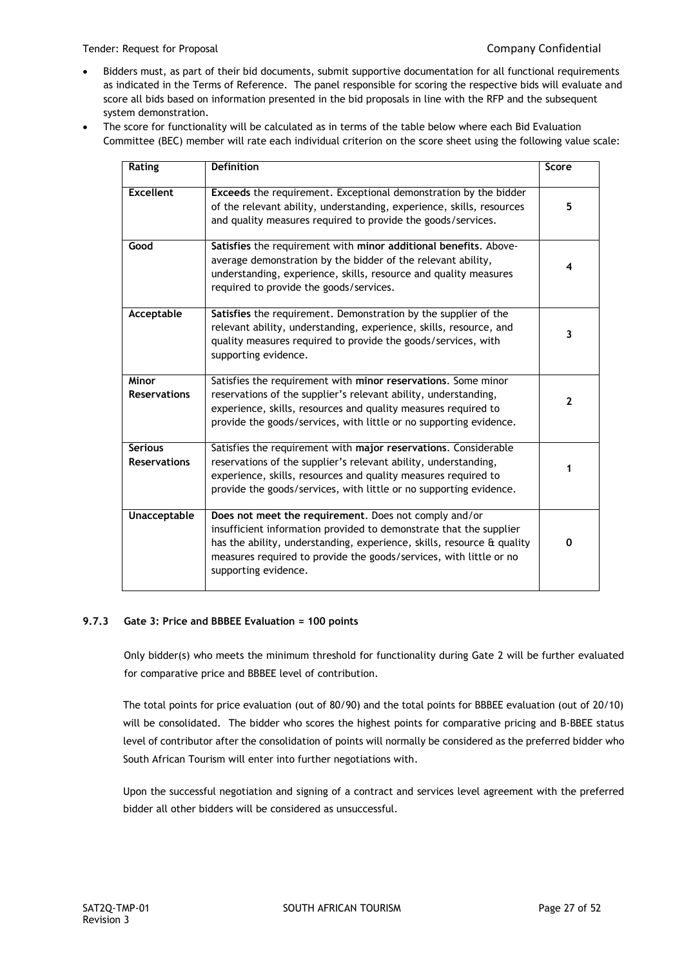- Bidders must, as part of their bid documents, submit supportive documentation for all functional requirements as indicated in the Terms of Reference. The panel responsible for scoring the respective bids will evaluate and score all bids based on information presented in the bid proposals in line with the RFP and the subsequent system demonstration.
- The score for functionality will be calculated as in terms of the table below where each Bid Evaluation Committee (BEC) member will rate each individual criterion on the score sheet using the following value scale:

| Rating                                | <b>Definition</b>                                                                                                                                                                                                                                                                                   | Score |
|---------------------------------------|-----------------------------------------------------------------------------------------------------------------------------------------------------------------------------------------------------------------------------------------------------------------------------------------------------|-------|
| <b>Excellent</b>                      | Exceeds the requirement. Exceptional demonstration by the bidder<br>of the relevant ability, understanding, experience, skills, resources<br>and quality measures required to provide the goods/services.                                                                                           | 5     |
| Good                                  | Satisfies the requirement with minor additional benefits. Above-<br>average demonstration by the bidder of the relevant ability,<br>understanding, experience, skills, resource and quality measures<br>required to provide the goods/services.                                                     | 4     |
| Acceptable                            | Satisfies the requirement. Demonstration by the supplier of the<br>relevant ability, understanding, experience, skills, resource, and<br>quality measures required to provide the goods/services, with<br>supporting evidence.                                                                      | 3     |
| Minor<br><b>Reservations</b>          | Satisfies the requirement with minor reservations. Some minor<br>reservations of the supplier's relevant ability, understanding,<br>experience, skills, resources and quality measures required to<br>provide the goods/services, with little or no supporting evidence.                            | 2     |
| <b>Serious</b><br><b>Reservations</b> | Satisfies the requirement with major reservations. Considerable<br>reservations of the supplier's relevant ability, understanding,<br>experience, skills, resources and quality measures required to<br>provide the goods/services, with little or no supporting evidence.                          | 1     |
| <b>Unacceptable</b>                   | Does not meet the requirement. Does not comply and/or<br>insufficient information provided to demonstrate that the supplier<br>has the ability, understanding, experience, skills, resource & quality<br>measures required to provide the goods/services, with little or no<br>supporting evidence. | 0     |

## **9.7.3 Gate 3: Price and BBBEE Evaluation = 100 points**

Only bidder(s) who meets the minimum threshold for functionality during Gate 2 will be further evaluated for comparative price and BBBEE level of contribution.

The total points for price evaluation (out of 80/90) and the total points for BBBEE evaluation (out of 20/10) will be consolidated. The bidder who scores the highest points for comparative pricing and B-BBEE status level of contributor after the consolidation of points will normally be considered as the preferred bidder who South African Tourism will enter into further negotiations with.

Upon the successful negotiation and signing of a contract and services level agreement with the preferred bidder all other bidders will be considered as unsuccessful.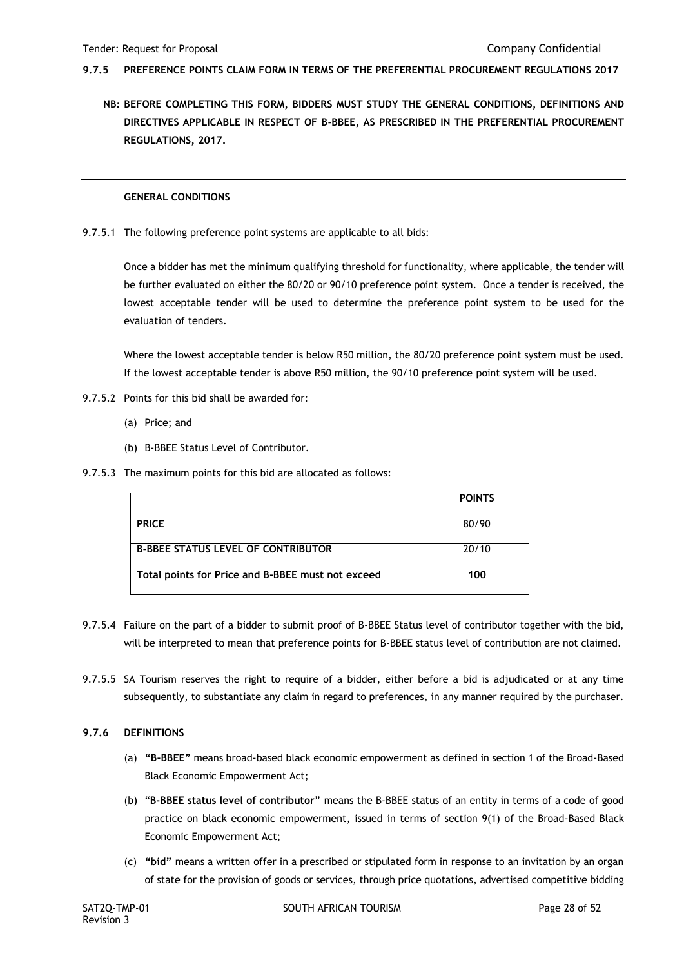- **9.7.5 PREFERENCE POINTS CLAIM FORM IN TERMS OF THE PREFERENTIAL PROCUREMENT REGULATIONS 2017**
	- **NB: BEFORE COMPLETING THIS FORM, BIDDERS MUST STUDY THE GENERAL CONDITIONS, DEFINITIONS AND DIRECTIVES APPLICABLE IN RESPECT OF B-BBEE, AS PRESCRIBED IN THE PREFERENTIAL PROCUREMENT REGULATIONS, 2017.**

#### **GENERAL CONDITIONS**

9.7.5.1 The following preference point systems are applicable to all bids:

Once a bidder has met the minimum qualifying threshold for functionality, where applicable, the tender will be further evaluated on either the 80/20 or 90/10 preference point system. Once a tender is received, the lowest acceptable tender will be used to determine the preference point system to be used for the evaluation of tenders.

Where the lowest acceptable tender is below R50 million, the 80/20 preference point system must be used. If the lowest acceptable tender is above R50 million, the 90/10 preference point system will be used.

- 9.7.5.2 Points for this bid shall be awarded for:
	- (a) Price; and
	- (b) B-BBEE Status Level of Contributor.
- 9.7.5.3 The maximum points for this bid are allocated as follows:

|                                                   | <b>POINTS</b> |
|---------------------------------------------------|---------------|
|                                                   |               |
| <b>PRICE</b>                                      | 80/90         |
|                                                   |               |
| <b>B-BBEE STATUS LEVEL OF CONTRIBUTOR</b>         | 20/10         |
|                                                   |               |
| Total points for Price and B-BBEE must not exceed | 100           |
|                                                   |               |

- 9.7.5.4 Failure on the part of a bidder to submit proof of B-BBEE Status level of contributor together with the bid, will be interpreted to mean that preference points for B-BBEE status level of contribution are not claimed.
- 9.7.5.5 SA Tourism reserves the right to require of a bidder, either before a bid is adjudicated or at any time subsequently, to substantiate any claim in regard to preferences, in any manner required by the purchaser.

### **9.7.6 DEFINITIONS**

- (a) **"B-BBEE"** means broad-based black economic empowerment as defined in section 1 of the Broad-Based Black Economic Empowerment Act;
- (b) "**B-BBEE status level of contributor"** means the B-BBEE status of an entity in terms of a code of good practice on black economic empowerment, issued in terms of section 9(1) of the Broad-Based Black Economic Empowerment Act;
- (c) **"bid"** means a written offer in a prescribed or stipulated form in response to an invitation by an organ of state for the provision of goods or services, through price quotations, advertised competitive bidding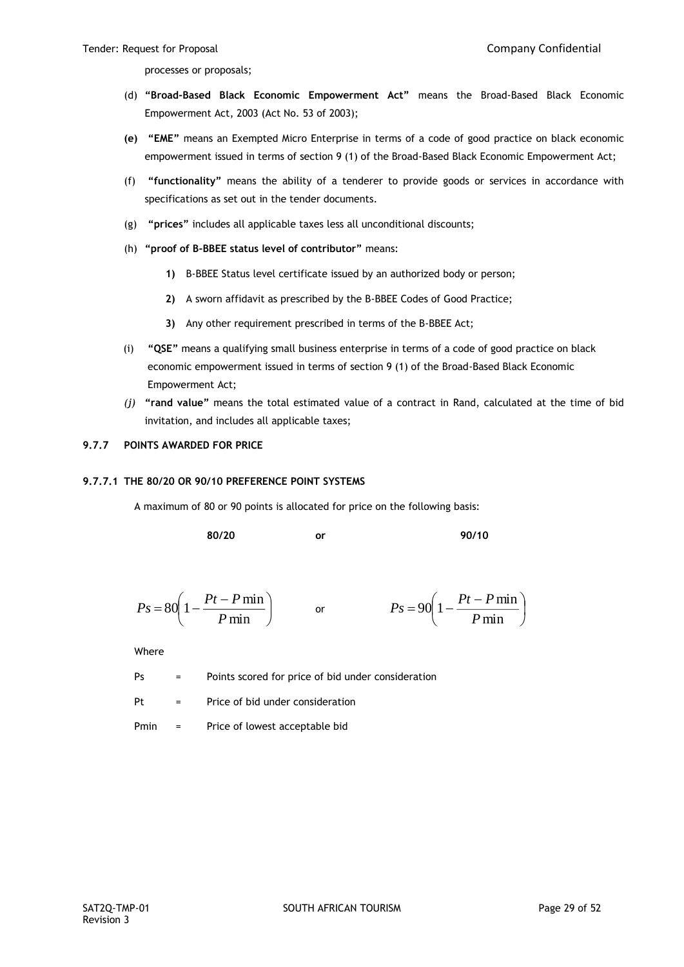processes or proposals;

- (d) **"Broad-Based Black Economic Empowerment Act"** means the Broad-Based Black Economic Empowerment Act, 2003 (Act No. 53 of 2003);
- **(e) "EME"** means an Exempted Micro Enterprise in terms of a code of good practice on black economic empowerment issued in terms of section 9 (1) of the Broad-Based Black Economic Empowerment Act;
- (f) **"functionality"** means the ability of a tenderer to provide goods or services in accordance with specifications as set out in the tender documents.
- (g) **"prices"** includes all applicable taxes less all unconditional discounts;
- (h) **"proof of B-BBEE status level of contributor"** means:
	- **1)** B-BBEE Status level certificate issued by an authorized body or person;
	- **2)** A sworn affidavit as prescribed by the B-BBEE Codes of Good Practice;
	- **3)** Any other requirement prescribed in terms of the B-BBEE Act;
- (i) **"QSE"** means a qualifying small business enterprise in terms of a code of good practice on black economic empowerment issued in terms of section 9 (1) of the Broad-Based Black Economic Empowerment Act;
- *(j)* **"rand value"** means the total estimated value of a contract in Rand, calculated at the time of bid invitation, and includes all applicable taxes;

## **9.7.7 POINTS AWARDED FOR PRICE**

#### **9.7.7.1 THE 80/20 OR 90/10 PREFERENCE POINT SYSTEMS**

A maximum of 80 or 90 points is allocated for price on the following basis:

**80/20 or 90/10**

$$
Ps = 80\left(1 - \frac{Pt - P\min P}{\min}\right) \qquad \text{or} \qquad \qquad Ps = 90\left(1 - \frac{Pt - P\min P}{\min}\right)
$$

Where

Ps = Points scored for price of bid under consideration

 $Pt =$  Price of bid under consideration

Pmin = Price of lowest acceptable bid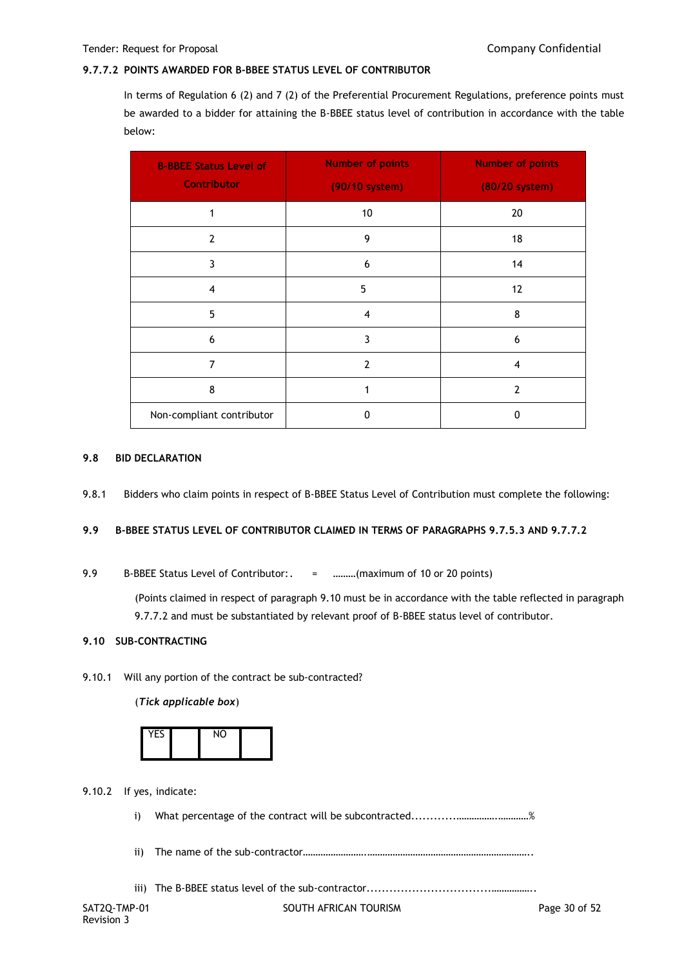### **9.7.7.2 POINTS AWARDED FOR B-BBEE STATUS LEVEL OF CONTRIBUTOR**

In terms of Regulation 6 (2) and 7 (2) of the Preferential Procurement Regulations, preference points must be awarded to a bidder for attaining the B-BBEE status level of contribution in accordance with the table below:

| <b>B-BBEE Status Level of</b><br><b>Contributor</b> | <b>Number of points</b><br>(90/10 system) | <b>Number of points</b><br>(80/20 system) |
|-----------------------------------------------------|-------------------------------------------|-------------------------------------------|
| 1                                                   | 10                                        | 20                                        |
| $\overline{2}$                                      | 9                                         | 18                                        |
| 3                                                   | 6                                         | 14                                        |
| 4                                                   | 5                                         | 12                                        |
| 5                                                   | $\overline{4}$                            | 8                                         |
| 6                                                   | 3                                         | 6                                         |
| 7                                                   | $\overline{2}$                            | 4                                         |
| 8                                                   | 1                                         | $\overline{2}$                            |
| Non-compliant contributor                           | $\Omega$                                  | 0                                         |

#### **9.8 BID DECLARATION**

9.8.1 Bidders who claim points in respect of B-BBEE Status Level of Contribution must complete the following:

## **9.9 B-BBEE STATUS LEVEL OF CONTRIBUTOR CLAIMED IN TERMS OF PARAGRAPHS 9.7.5.3 AND 9.7.7.2**

9.9 B-BBEE Status Level of Contributor:. = ………(maximum of 10 or 20 points)

(Points claimed in respect of paragraph 9.10 must be in accordance with the table reflected in paragraph 9.7.7.2 and must be substantiated by relevant proof of B-BBEE status level of contributor.

### **9.10 SUB-CONTRACTING**

9.10.1 Will any portion of the contract be sub-contracted?

(*Tick applicable box*)

| <b>YFS</b> | <b>NO</b> |  |
|------------|-----------|--|
|            |           |  |

9.10.2 If yes, indicate:

i) What percentage of the contract will be subcontracted............…………….…………%

ii) The name of the sub-contractor…………………….………………………………………………………..

iii) The B-BBEE status level of the sub-contractor.................................……………..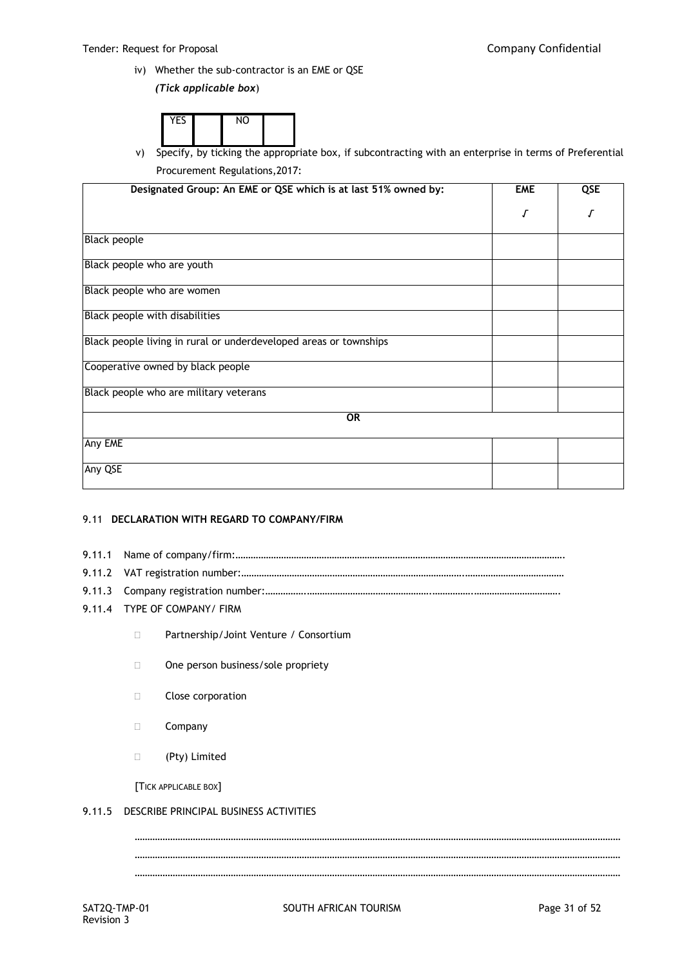iv) Whether the sub-contractor is an EME or QSE

*(Tick applicable box*)

| $V = C$ | <b>A</b> 14 |  |
|---------|-------------|--|
|         |             |  |

v) Specify, by ticking the appropriate box, if subcontracting with an enterprise in terms of Preferential Procurement Regulations,2017:

| Designated Group: An EME or QSE which is at last 51% owned by:    | <b>EME</b> | QSE |
|-------------------------------------------------------------------|------------|-----|
|                                                                   | Г          | Г   |
| Black people                                                      |            |     |
| Black people who are youth                                        |            |     |
| Black people who are women                                        |            |     |
| Black people with disabilities                                    |            |     |
| Black people living in rural or underdeveloped areas or townships |            |     |
| Cooperative owned by black people                                 |            |     |
| Black people who are military veterans                            |            |     |
| <b>OR</b>                                                         |            |     |
| Any EME                                                           |            |     |
| Any QSE                                                           |            |     |

### 9.11 **DECLARATION WITH REGARD TO COMPANY/FIRM**

- 9.11.1 Name of company/firm:………………………………………………………………………………………………………………….
- 9.11.2 VAT registration number:…………………………………………………………………………….…………………………………
- 9.11.3 Company registration number:…………….………………………………………….…………….…………………………….
- 9.11.4 TYPE OF COMPANY/ FIRM
	- □ Partnership/Joint Venture / Consortium
	- □ One person business/sole propriety
	- **Close corporation**
	- D Company
	- (Pty) Limited

[TICK APPLICABLE BOX]

## 9.11.5 DESCRIBE PRINCIPAL BUSINESS ACTIVITIES

SAT2Q-TMP-01 SOUTH AFRICAN TOURISM SAT2Q-TMP-01 Page 31 of 52 ………………………………………………………………………………………………………………………………………………………………………… ………………………………………………………………………………………………………………………………………………………………………… …………………………………………………………………………………………………………………………………………………………………………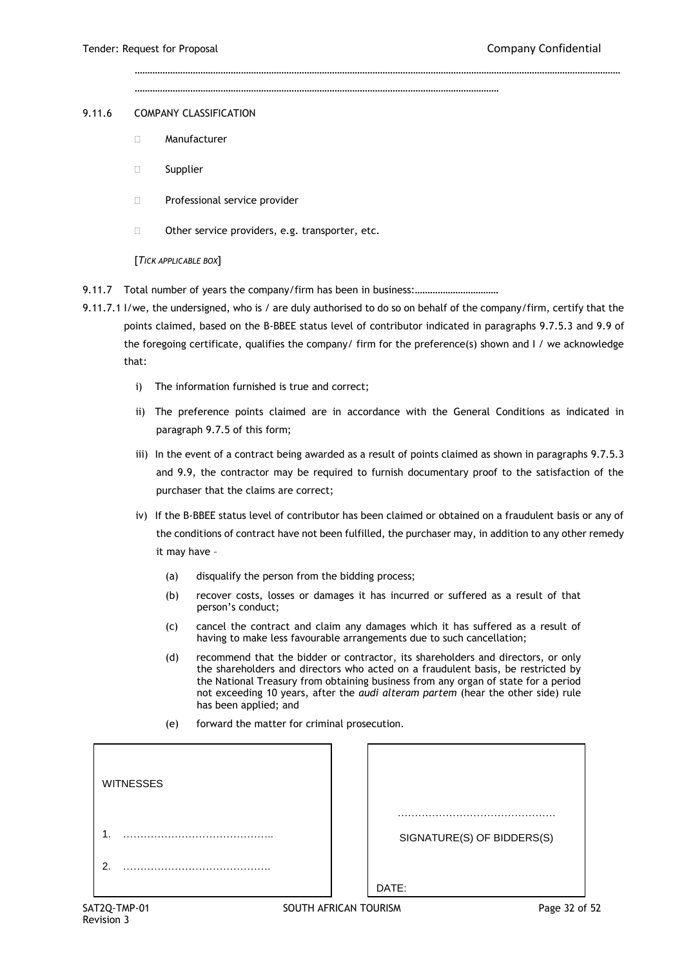………………………………………………………………………………………………………………………………

…………………………………………………………………………………………………………………………………………………………………………

#### 9.11.6 COMPANY CLASSIFICATION

- Manufacturer
- □ Supplier
- **Professional service provider**
- $\Box$  Other service providers, e.g. transporter, etc.

#### [*TICK APPLICABLE BOX*]

9.11.7 Total number of years the company/firm has been in business:.................................

- 9.11.7.1 I/we, the undersigned, who is / are duly authorised to do so on behalf of the company/firm, certify that the points claimed, based on the B-BBEE status level of contributor indicated in paragraphs 9.7.5.3 and 9.9 of the foregoing certificate, qualifies the company/ firm for the preference(s) shown and I / we acknowledge that:
	- i) The information furnished is true and correct;
	- ii) The preference points claimed are in accordance with the General Conditions as indicated in paragraph 9.7.5 of this form;
	- iii) In the event of a contract being awarded as a result of points claimed as shown in paragraphs 9.7.5.3 and 9.9, the contractor may be required to furnish documentary proof to the satisfaction of the purchaser that the claims are correct;
	- iv) If the B-BBEE status level of contributor has been claimed or obtained on a fraudulent basis or any of the conditions of contract have not been fulfilled, the purchaser may, in addition to any other remedy it may have –
		- (a) disqualify the person from the bidding process;
		- (b) recover costs, losses or damages it has incurred or suffered as a result of that person's conduct;
		- (c) cancel the contract and claim any damages which it has suffered as a result of having to make less favourable arrangements due to such cancellation;
		- (d) recommend that the bidder or contractor, its shareholders and directors, or only the shareholders and directors who acted on a fraudulent basis, be restricted by the National Treasury from obtaining business from any organ of state for a period not exceeding 10 years, after the *audi alteram partem* (hear the other side) rule has been applied; and
		- (e) forward the matter for criminal prosecution.

| <b>WITNESSES</b> |                            |
|------------------|----------------------------|
| ٠                | SIGNATURE(S) OF BIDDERS(S) |
| ົ                | DATE:                      |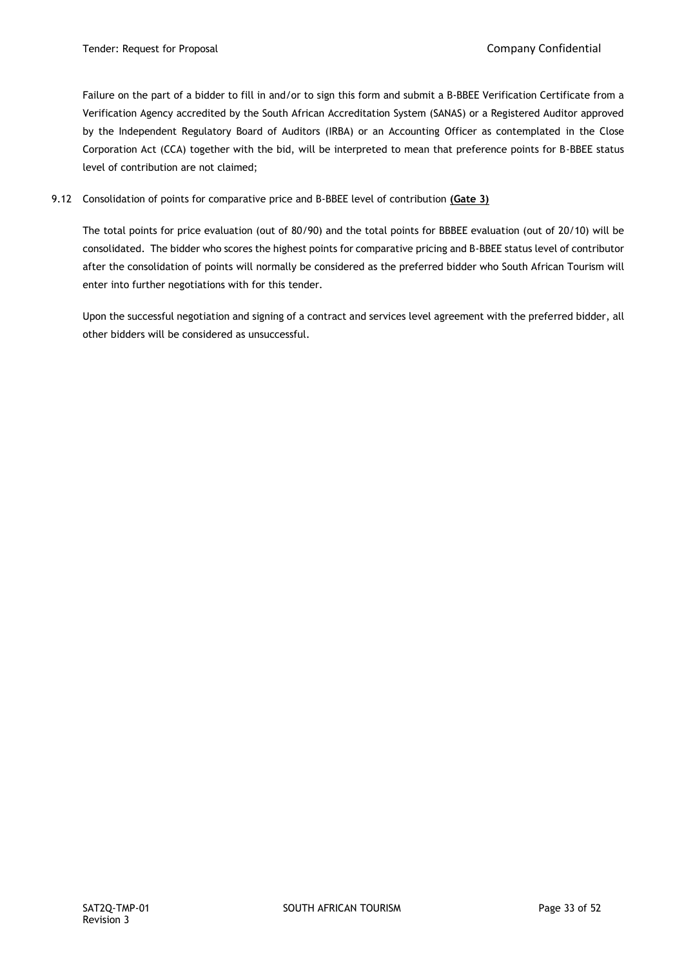Failure on the part of a bidder to fill in and/or to sign this form and submit a B-BBEE Verification Certificate from a Verification Agency accredited by the South African Accreditation System (SANAS) or a Registered Auditor approved by the Independent Regulatory Board of Auditors (IRBA) or an Accounting Officer as contemplated in the Close Corporation Act (CCA) together with the bid, will be interpreted to mean that preference points for B-BBEE status level of contribution are not claimed;

## 9.12 Consolidation of points for comparative price and B-BBEE level of contribution **(Gate 3)**

The total points for price evaluation (out of 80/90) and the total points for BBBEE evaluation (out of 20/10) will be consolidated. The bidder who scores the highest points for comparative pricing and B-BBEE status level of contributor after the consolidation of points will normally be considered as the preferred bidder who South African Tourism will enter into further negotiations with for this tender.

Upon the successful negotiation and signing of a contract and services level agreement with the preferred bidder, all other bidders will be considered as unsuccessful.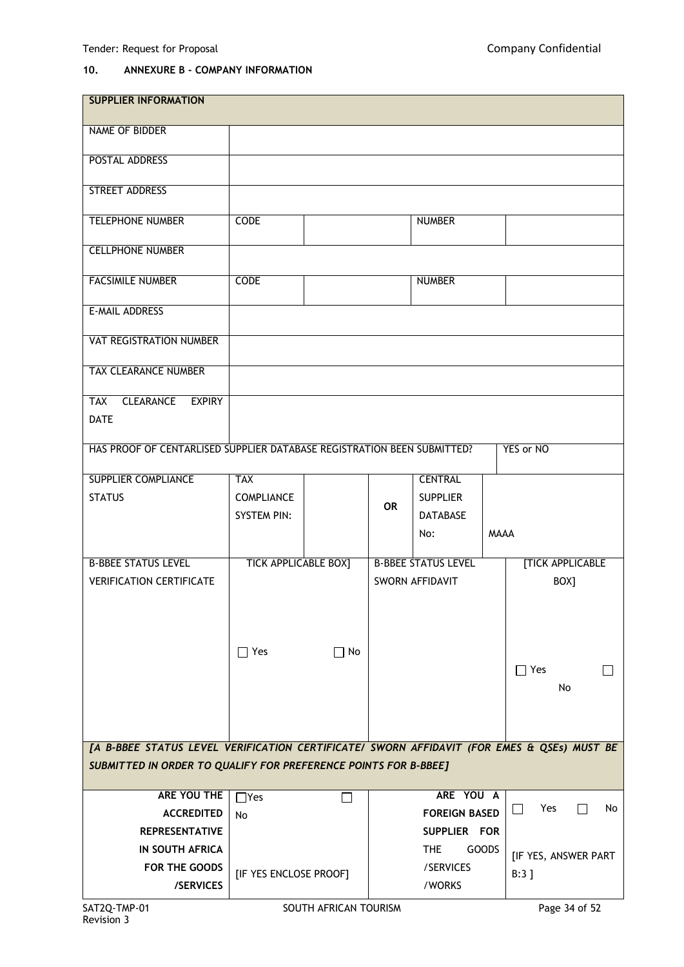# **10. ANNEXURE B - COMPANY INFORMATION**

| <b>SUPPLIER INFORMATION</b>                                                                |                             |                       |           |                            |              |                        |
|--------------------------------------------------------------------------------------------|-----------------------------|-----------------------|-----------|----------------------------|--------------|------------------------|
| <b>NAME OF BIDDER</b>                                                                      |                             |                       |           |                            |              |                        |
| POSTAL ADDRESS                                                                             |                             |                       |           |                            |              |                        |
| <b>STREET ADDRESS</b>                                                                      |                             |                       |           |                            |              |                        |
|                                                                                            |                             |                       |           |                            |              |                        |
| <b>TELEPHONE NUMBER</b>                                                                    | <b>CODE</b>                 |                       |           | <b>NUMBER</b>              |              |                        |
| <b>CELLPHONE NUMBER</b>                                                                    |                             |                       |           |                            |              |                        |
| <b>FACSIMILE NUMBER</b>                                                                    | <b>CODE</b>                 |                       |           | <b>NUMBER</b>              |              |                        |
| <b>E-MAIL ADDRESS</b>                                                                      |                             |                       |           |                            |              |                        |
| <b>VAT REGISTRATION NUMBER</b>                                                             |                             |                       |           |                            |              |                        |
| <b>TAX CLEARANCE NUMBER</b>                                                                |                             |                       |           |                            |              |                        |
| <b>CLEARANCE</b><br><b>EXPIRY</b><br>TAX                                                   |                             |                       |           |                            |              |                        |
| <b>DATE</b>                                                                                |                             |                       |           |                            |              |                        |
| HAS PROOF OF CENTARLISED SUPPLIER DATABASE REGISTRATION BEEN SUBMITTED?                    |                             |                       |           |                            |              | YES or NO              |
| <b>SUPPLIER COMPLIANCE</b>                                                                 | <b>TAX</b>                  |                       |           | <b>CENTRAL</b>             |              |                        |
| <b>STATUS</b>                                                                              | <b>COMPLIANCE</b>           |                       |           | <b>SUPPLIER</b>            |              |                        |
|                                                                                            | <b>SYSTEM PIN:</b>          |                       | <b>OR</b> | <b>DATABASE</b>            |              |                        |
|                                                                                            |                             |                       |           | No:                        | <b>MAAA</b>  |                        |
| <b>B-BBEE STATUS LEVEL</b>                                                                 | <b>TICK APPLICABLE BOX]</b> |                       |           | <b>B-BBEE STATUS LEVEL</b> |              | <b>TICK APPLICABLE</b> |
| <b>VERIFICATION CERTIFICATE</b>                                                            |                             |                       |           | SWORN AFFIDAVIT            |              | BOX]                   |
|                                                                                            |                             |                       |           |                            |              |                        |
|                                                                                            | $\Box$ Yes                  | $\Box$ No             |           |                            |              |                        |
|                                                                                            |                             |                       |           |                            |              | $\Box$ Yes             |
|                                                                                            |                             |                       |           |                            |              | No                     |
|                                                                                            |                             |                       |           |                            |              |                        |
|                                                                                            |                             |                       |           |                            |              |                        |
| [A B-BBEE STATUS LEVEL VERIFICATION CERTIFICATE/ SWORN AFFIDAVIT (FOR EMES & QSEs) MUST BE |                             |                       |           |                            |              |                        |
| SUBMITTED IN ORDER TO QUALIFY FOR PREFERENCE POINTS FOR B-BBEE]                            |                             |                       |           |                            |              |                        |
| ARE YOU THE                                                                                | $\Box$ Yes                  |                       |           | ARE YOU A                  |              |                        |
| <b>ACCREDITED</b>                                                                          | <b>No</b>                   |                       |           | <b>FOREIGN BASED</b>       |              | П<br>Yes<br>No         |
| <b>REPRESENTATIVE</b>                                                                      |                             |                       |           | SUPPLIER FOR               |              |                        |
| <b>IN SOUTH AFRICA</b>                                                                     |                             |                       |           | THE                        | <b>GOODS</b> | [IF YES, ANSWER PART   |
| FOR THE GOODS                                                                              | [IF YES ENCLOSE PROOF]      |                       |           | /SERVICES                  |              | $B:3$ ]                |
| /SERVICES                                                                                  |                             |                       |           | /WORKS                     |              |                        |
| SAT2Q-TMP-01                                                                               |                             | SOUTH AFRICAN TOURISM |           |                            |              | Page 34 of 52          |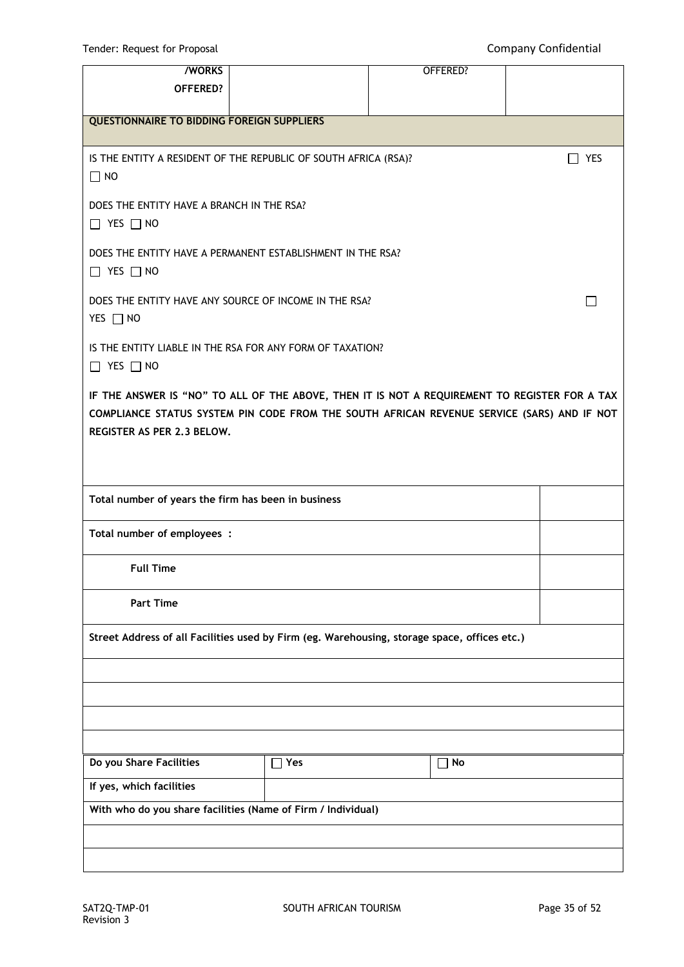| <b>/WORKS</b>                                                                                                                                                                                                             |            | OFFERED?  |                 |  |
|---------------------------------------------------------------------------------------------------------------------------------------------------------------------------------------------------------------------------|------------|-----------|-----------------|--|
| OFFERED?                                                                                                                                                                                                                  |            |           |                 |  |
| <b>QUESTIONNAIRE TO BIDDING FOREIGN SUPPLIERS</b>                                                                                                                                                                         |            |           |                 |  |
| IS THE ENTITY A RESIDENT OF THE REPUBLIC OF SOUTH AFRICA (RSA)?<br>$\Box$ NO                                                                                                                                              |            |           | YES             |  |
| DOES THE ENTITY HAVE A BRANCH IN THE RSA?<br>$\Box$ YES $\Box$ NO                                                                                                                                                         |            |           |                 |  |
| DOES THE ENTITY HAVE A PERMANENT ESTABLISHMENT IN THE RSA?<br>$\Box$ YES $\Box$ NO                                                                                                                                        |            |           |                 |  |
| DOES THE ENTITY HAVE ANY SOURCE OF INCOME IN THE RSA?<br>YES □ NO                                                                                                                                                         |            |           | <b>Contract</b> |  |
| IS THE ENTITY LIABLE IN THE RSA FOR ANY FORM OF TAXATION?<br>$\Box$ YES $\Box$ NO                                                                                                                                         |            |           |                 |  |
| IF THE ANSWER IS "NO" TO ALL OF THE ABOVE, THEN IT IS NOT A REQUIREMENT TO REGISTER FOR A TAX<br>COMPLIANCE STATUS SYSTEM PIN CODE FROM THE SOUTH AFRICAN REVENUE SERVICE (SARS) AND IF NOT<br>REGISTER AS PER 2.3 BELOW. |            |           |                 |  |
| Total number of years the firm has been in business                                                                                                                                                                       |            |           |                 |  |
| Total number of employees :                                                                                                                                                                                               |            |           |                 |  |
| <b>Full Time</b>                                                                                                                                                                                                          |            |           |                 |  |
| <b>Part Time</b>                                                                                                                                                                                                          |            |           |                 |  |
| Street Address of all Facilities used by Firm (eg. Warehousing, storage space, offices etc.)                                                                                                                              |            |           |                 |  |
|                                                                                                                                                                                                                           |            |           |                 |  |
|                                                                                                                                                                                                                           |            |           |                 |  |
|                                                                                                                                                                                                                           |            |           |                 |  |
| Do you Share Facilities                                                                                                                                                                                                   | $\Box$ Yes | $\Box$ No |                 |  |
| If yes, which facilities                                                                                                                                                                                                  |            |           |                 |  |
| With who do you share facilities (Name of Firm / Individual)                                                                                                                                                              |            |           |                 |  |
|                                                                                                                                                                                                                           |            |           |                 |  |
|                                                                                                                                                                                                                           |            |           |                 |  |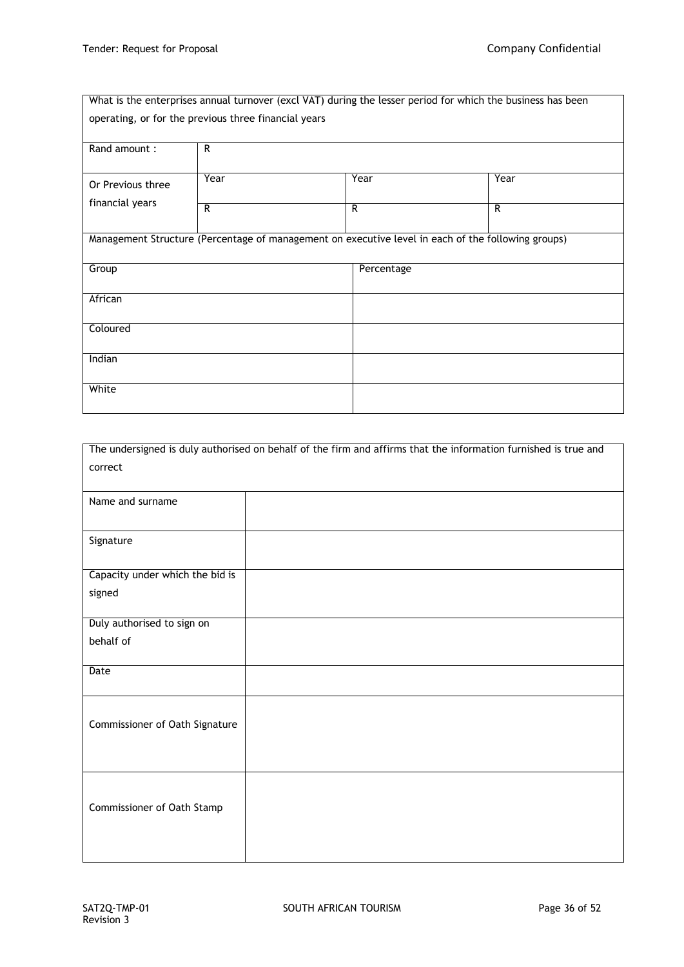|                                                      |                |                                                                                                    | What is the enterprises annual turnover (excl VAT) during the lesser period for which the business has been |
|------------------------------------------------------|----------------|----------------------------------------------------------------------------------------------------|-------------------------------------------------------------------------------------------------------------|
| operating, or for the previous three financial years |                |                                                                                                    |                                                                                                             |
|                                                      |                |                                                                                                    |                                                                                                             |
| Rand amount:                                         | R              |                                                                                                    |                                                                                                             |
|                                                      |                |                                                                                                    |                                                                                                             |
| Or Previous three                                    | Year           | Year                                                                                               | Year                                                                                                        |
| financial years                                      | $\overline{R}$ | R                                                                                                  | R                                                                                                           |
|                                                      |                |                                                                                                    |                                                                                                             |
|                                                      |                | Management Structure (Percentage of management on executive level in each of the following groups) |                                                                                                             |
|                                                      |                |                                                                                                    |                                                                                                             |
| Group                                                |                | Percentage                                                                                         |                                                                                                             |
|                                                      |                |                                                                                                    |                                                                                                             |
| African                                              |                |                                                                                                    |                                                                                                             |
| Coloured                                             |                |                                                                                                    |                                                                                                             |
|                                                      |                |                                                                                                    |                                                                                                             |
| Indian                                               |                |                                                                                                    |                                                                                                             |
|                                                      |                |                                                                                                    |                                                                                                             |
| White                                                |                |                                                                                                    |                                                                                                             |
|                                                      |                |                                                                                                    |                                                                                                             |

| The undersigned is duly authorised on behalf of the firm and affirms that the information furnished is true and |
|-----------------------------------------------------------------------------------------------------------------|
| correct                                                                                                         |
|                                                                                                                 |
| Name and surname                                                                                                |
|                                                                                                                 |
| Signature                                                                                                       |
|                                                                                                                 |
| Capacity under which the bid is                                                                                 |
| signed                                                                                                          |
|                                                                                                                 |
| Duly authorised to sign on                                                                                      |
| behalf of                                                                                                       |
| Date                                                                                                            |
|                                                                                                                 |
|                                                                                                                 |
| Commissioner of Oath Signature                                                                                  |
|                                                                                                                 |
|                                                                                                                 |
|                                                                                                                 |
|                                                                                                                 |
| Commissioner of Oath Stamp                                                                                      |
|                                                                                                                 |
|                                                                                                                 |
|                                                                                                                 |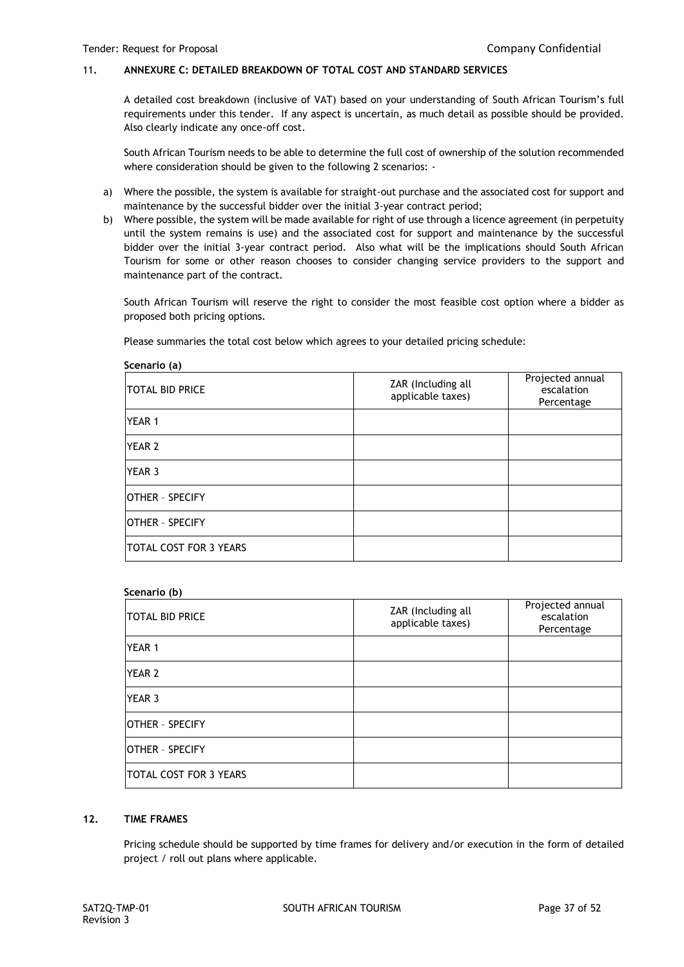### 11**. ANNEXURE C: DETAILED BREAKDOWN OF TOTAL COST AND STANDARD SERVICES**

A detailed cost breakdown (inclusive of VAT) based on your understanding of South African Tourism's full requirements under this tender. If any aspect is uncertain, as much detail as possible should be provided. Also clearly indicate any once-off cost.

South African Tourism needs to be able to determine the full cost of ownership of the solution recommended where consideration should be given to the following 2 scenarios: -

- a) Where the possible, the system is available for straight-out purchase and the associated cost for support and maintenance by the successful bidder over the initial 3-year contract period;
- b) Where possible, the system will be made available for right of use through a licence agreement (in perpetuity until the system remains is use) and the associated cost for support and maintenance by the successful bidder over the initial 3-year contract period. Also what will be the implications should South African Tourism for some or other reason chooses to consider changing service providers to the support and maintenance part of the contract.

South African Tourism will reserve the right to consider the most feasible cost option where a bidder as proposed both pricing options.

Please summaries the total cost below which agrees to your detailed pricing schedule:

| Scenario (a)                  |                                         |                                              |
|-------------------------------|-----------------------------------------|----------------------------------------------|
| <b>TOTAL BID PRICE</b>        | ZAR (Including all<br>applicable taxes) | Projected annual<br>escalation<br>Percentage |
| <b>YEAR 1</b>                 |                                         |                                              |
| <b>YEAR 2</b>                 |                                         |                                              |
| <b>YEAR 3</b>                 |                                         |                                              |
| <b>OTHER - SPECIFY</b>        |                                         |                                              |
| <b>IOTHER - SPECIFY</b>       |                                         |                                              |
| <b>TOTAL COST FOR 3 YEARS</b> |                                         |                                              |

#### **Scenario (b)**

| ITOTAL BID PRICE        | ZAR (Including all<br>applicable taxes) | Projected annual<br>escalation<br>Percentage |
|-------------------------|-----------------------------------------|----------------------------------------------|
| <b>YEAR 1</b>           |                                         |                                              |
| <b>YEAR 2</b>           |                                         |                                              |
| <b>YEAR 3</b>           |                                         |                                              |
| OTHER - SPECIFY         |                                         |                                              |
| <b>IOTHER - SPECIFY</b> |                                         |                                              |
| TOTAL COST FOR 3 YEARS  |                                         |                                              |

### **12. TIME FRAMES**

Pricing schedule should be supported by time frames for delivery and/or execution in the form of detailed project / roll out plans where applicable.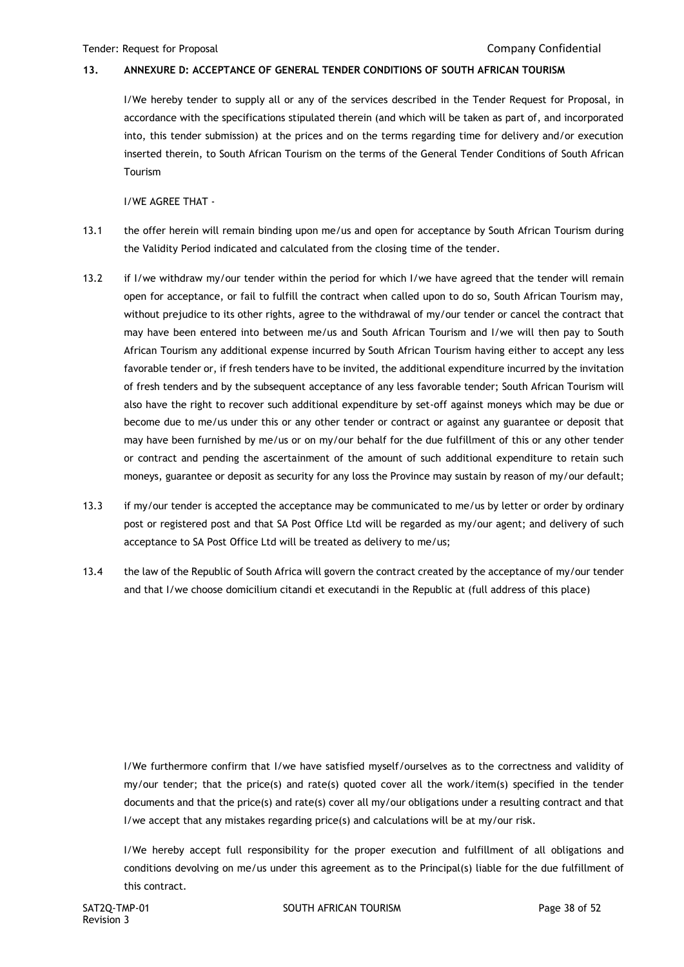#### **13. ANNEXURE D: ACCEPTANCE OF GENERAL TENDER CONDITIONS OF SOUTH AFRICAN TOURISM**

I/We hereby tender to supply all or any of the services described in the Tender Request for Proposal, in accordance with the specifications stipulated therein (and which will be taken as part of, and incorporated into, this tender submission) at the prices and on the terms regarding time for delivery and/or execution inserted therein, to South African Tourism on the terms of the General Tender Conditions of South African Tourism

I/WE AGREE THAT -

- 13.1 the offer herein will remain binding upon me/us and open for acceptance by South African Tourism during the Validity Period indicated and calculated from the closing time of the tender.
- 13.2 if I/we withdraw my/our tender within the period for which I/we have agreed that the tender will remain open for acceptance, or fail to fulfill the contract when called upon to do so, South African Tourism may, without prejudice to its other rights, agree to the withdrawal of my/our tender or cancel the contract that may have been entered into between me/us and South African Tourism and I/we will then pay to South African Tourism any additional expense incurred by South African Tourism having either to accept any less favorable tender or, if fresh tenders have to be invited, the additional expenditure incurred by the invitation of fresh tenders and by the subsequent acceptance of any less favorable tender; South African Tourism will also have the right to recover such additional expenditure by set-off against moneys which may be due or become due to me/us under this or any other tender or contract or against any guarantee or deposit that may have been furnished by me/us or on my/our behalf for the due fulfillment of this or any other tender or contract and pending the ascertainment of the amount of such additional expenditure to retain such moneys, guarantee or deposit as security for any loss the Province may sustain by reason of my/our default;
- 13.3 if my/our tender is accepted the acceptance may be communicated to me/us by letter or order by ordinary post or registered post and that SA Post Office Ltd will be regarded as my/our agent; and delivery of such acceptance to SA Post Office Ltd will be treated as delivery to me/us;
- 13.4 the law of the Republic of South Africa will govern the contract created by the acceptance of my/our tender and that I/we choose domicilium citandi et executandi in the Republic at (full address of this place)

I/We furthermore confirm that I/we have satisfied myself/ourselves as to the correctness and validity of my/our tender; that the price(s) and rate(s) quoted cover all the work/item(s) specified in the tender documents and that the price(s) and rate(s) cover all my/our obligations under a resulting contract and that I/we accept that any mistakes regarding price(s) and calculations will be at my/our risk.

I/We hereby accept full responsibility for the proper execution and fulfillment of all obligations and conditions devolving on me/us under this agreement as to the Principal(s) liable for the due fulfillment of this contract.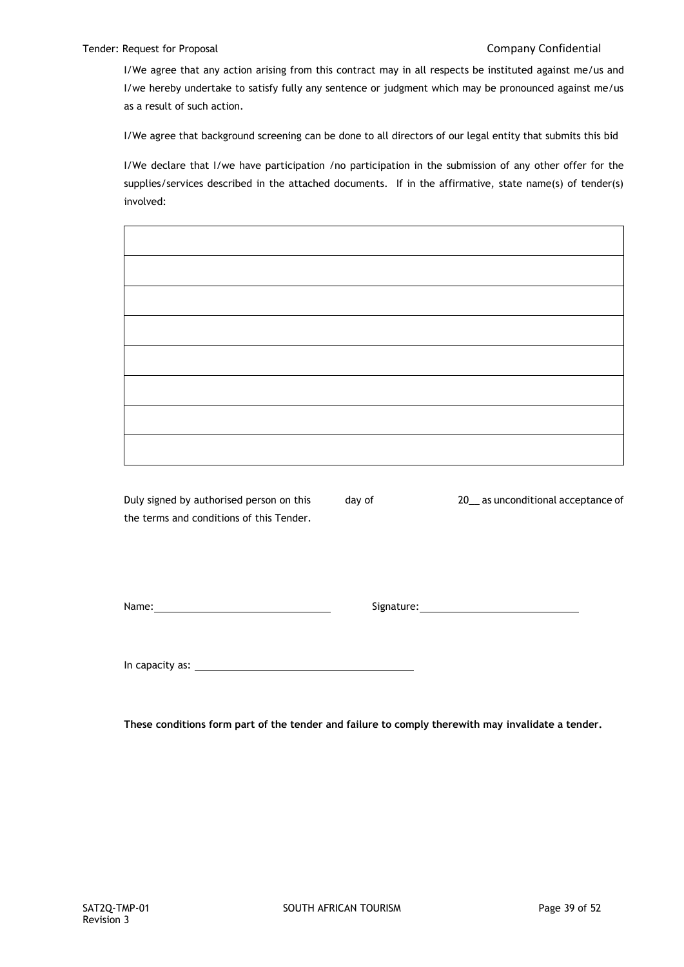I/We agree that any action arising from this contract may in all respects be instituted against me/us and I/we hereby undertake to satisfy fully any sentence or judgment which may be pronounced against me/us as a result of such action.

I/We agree that background screening can be done to all directors of our legal entity that submits this bid

I/We declare that I/we have participation /no participation in the submission of any other offer for the supplies/services described in the attached documents. If in the affirmative, state name(s) of tender(s) involved:

Duly signed by authorised person on this day of 20\_\_ as unconditional acceptance of the terms and conditions of this Tender.

Name: Signature:

In capacity as:

**These conditions form part of the tender and failure to comply therewith may invalidate a tender.**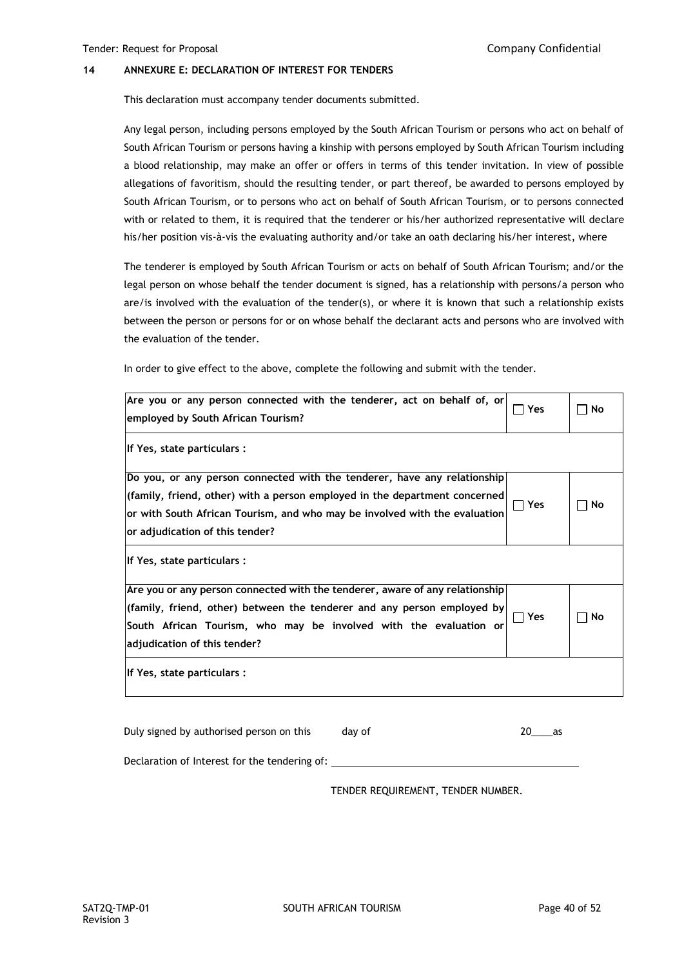#### **14 ANNEXURE E: DECLARATION OF INTEREST FOR TENDERS**

This declaration must accompany tender documents submitted.

Any legal person, including persons employed by the South African Tourism or persons who act on behalf of South African Tourism or persons having a kinship with persons employed by South African Tourism including a blood relationship, may make an offer or offers in terms of this tender invitation. In view of possible allegations of favoritism, should the resulting tender, or part thereof, be awarded to persons employed by South African Tourism, or to persons who act on behalf of South African Tourism, or to persons connected with or related to them, it is required that the tenderer or his/her authorized representative will declare his/her position vis-à-vis the evaluating authority and/or take an oath declaring his/her interest, where

The tenderer is employed by South African Tourism or acts on behalf of South African Tourism; and/or the legal person on whose behalf the tender document is signed, has a relationship with persons/a person who are/is involved with the evaluation of the tender(s), or where it is known that such a relationship exists between the person or persons for or on whose behalf the declarant acts and persons who are involved with the evaluation of the tender.

In order to give effect to the above, complete the following and submit with the tender.

| Are you or any person connected with the tenderer, act on behalf of, or<br>employed by South African Tourism?                                                                                                                                                           | Yes        | No |
|-------------------------------------------------------------------------------------------------------------------------------------------------------------------------------------------------------------------------------------------------------------------------|------------|----|
| If Yes, state particulars:                                                                                                                                                                                                                                              |            |    |
| Do you, or any person connected with the tenderer, have any relationship<br>(family, friend, other) with a person employed in the department concerned<br>or with South African Tourism, and who may be involved with the evaluation<br>or adjudication of this tender? | $\Box$ Yes | No |
| If Yes, state particulars:                                                                                                                                                                                                                                              |            |    |
| Are you or any person connected with the tenderer, aware of any relationship<br>(family, friend, other) between the tenderer and any person employed by<br>South African Tourism, who may be involved with the evaluation or<br>adjudication of this tender?            | Yes        | No |
| If Yes, state particulars:                                                                                                                                                                                                                                              |            |    |

| Duly signed by authorised person on this      | day of | 20 as |  |
|-----------------------------------------------|--------|-------|--|
| Declaration of Interest for the tendering of: |        |       |  |

TENDER REQUIREMENT, TENDER NUMBER.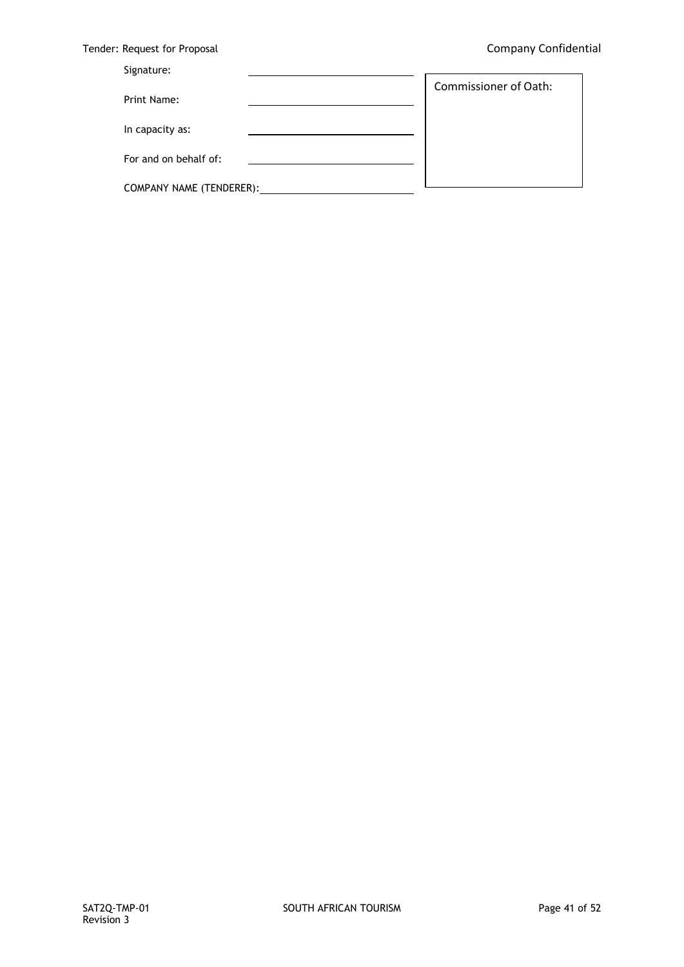$\overline{\phantom{a}}$ 

|  | Tender: Request for Proposal |  |  |  |
|--|------------------------------|--|--|--|
|--|------------------------------|--|--|--|

## Signature:

| Print Name:              | <b>Commissioner of Oath:</b> |
|--------------------------|------------------------------|
|                          |                              |
| In capacity as:          |                              |
| For and on behalf of:    |                              |
| COMPANY NAME (TENDERER): |                              |

 $\mathbf{r}$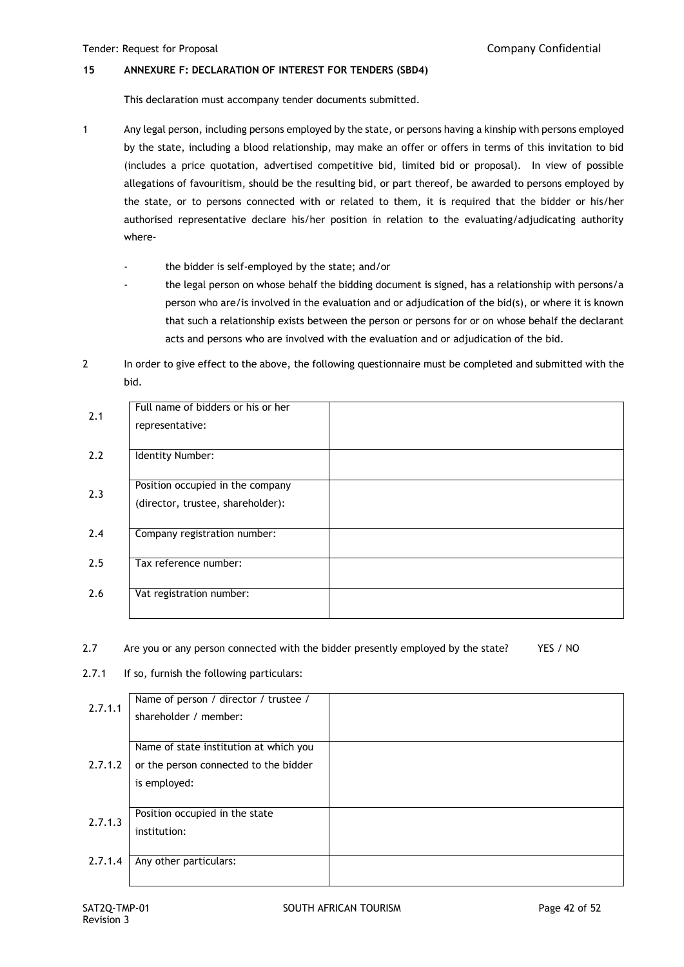#### **15 ANNEXURE F: DECLARATION OF INTEREST FOR TENDERS (SBD4)**

This declaration must accompany tender documents submitted.

- 1 Any legal person, including persons employed by the state, or persons having a kinship with persons employed by the state, including a blood relationship, may make an offer or offers in terms of this invitation to bid (includes a price quotation, advertised competitive bid, limited bid or proposal). In view of possible allegations of favouritism, should be the resulting bid, or part thereof, be awarded to persons employed by the state, or to persons connected with or related to them, it is required that the bidder or his/her authorised representative declare his/her position in relation to the evaluating/adjudicating authority where
	- the bidder is self-employed by the state; and/or
	- the legal person on whose behalf the bidding document is signed, has a relationship with persons/a person who are/is involved in the evaluation and or adjudication of the bid(s), or where it is known that such a relationship exists between the person or persons for or on whose behalf the declarant acts and persons who are involved with the evaluation and or adjudication of the bid.
- 2 In order to give effect to the above, the following questionnaire must be completed and submitted with the bid.

| 2.1 | Full name of bidders or his or her |  |
|-----|------------------------------------|--|
|     | representative:                    |  |
|     |                                    |  |
| 2.2 | Identity Number:                   |  |
|     |                                    |  |
| 2.3 | Position occupied in the company   |  |
|     | (director, trustee, shareholder):  |  |
|     |                                    |  |
| 2.4 | Company registration number:       |  |
|     |                                    |  |
| 2.5 | Tax reference number:              |  |
|     |                                    |  |
| 2.6 | Vat registration number:           |  |
|     |                                    |  |

### 2.7 Are you or any person connected with the bidder presently employed by the state? YES / NO

2.7.1 If so, furnish the following particulars:

| 2.7.1.1 | Name of person / director / trustee /  |  |
|---------|----------------------------------------|--|
|         | shareholder / member:                  |  |
|         |                                        |  |
|         | Name of state institution at which you |  |
| 2.7.1.2 | or the person connected to the bidder  |  |
|         | is employed:                           |  |
|         |                                        |  |
| 2.7.1.3 | Position occupied in the state         |  |
|         | institution:                           |  |
|         |                                        |  |
| 2.7.1.4 | Any other particulars:                 |  |
|         |                                        |  |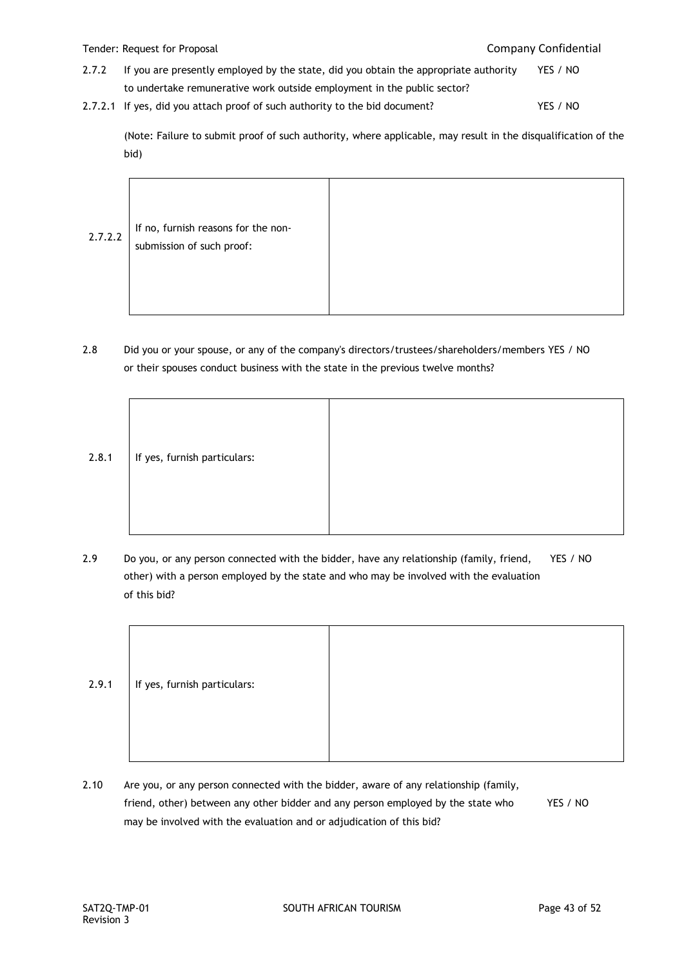- 2.7.2 If you are presently employed by the state, did you obtain the appropriate authority YES / NO to undertake remunerative work outside employment in the public sector?
- 2.7.2.1 If yes, did you attach proof of such authority to the bid document? YES / NO

(Note: Failure to submit proof of such authority, where applicable, may result in the disqualification of the bid)

2.7.2.2 If no, furnish reasons for the nonsubmission of such proof:

2.8 Did you or your spouse, or any of the company's directors/trustees/shareholders/members YES / NO or their spouses conduct business with the state in the previous twelve months?



2.9 Do you, or any person connected with the bidder, have any relationship (family, friend, YES / NO other) with a person employed by the state and who may be involved with the evaluation of this bid?

| 2.9.1 | If yes, furnish particulars: |  |
|-------|------------------------------|--|
|       |                              |  |

2.10 Are you, or any person connected with the bidder, aware of any relationship (family, friend, other) between any other bidder and any person employed by the state who YES / NO may be involved with the evaluation and or adjudication of this bid?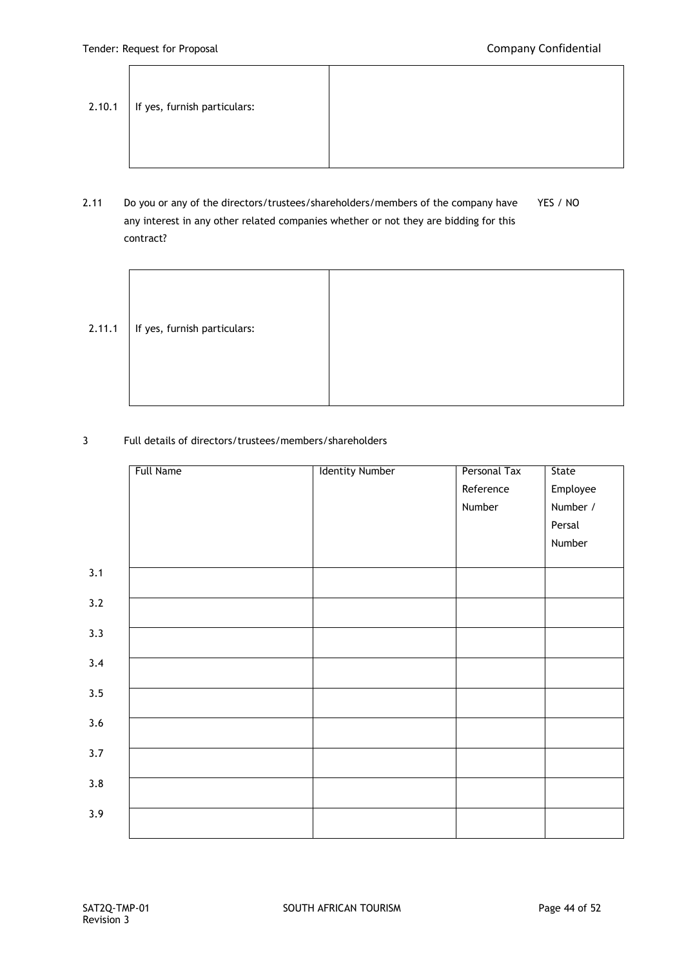.

| 2.10.1 | If yes, furnish particulars: |  |
|--------|------------------------------|--|
|--------|------------------------------|--|

2.11 Do you or any of the directors/trustees/shareholders/members of the company have YES / NO any interest in any other related companies whether or not they are bidding for this contract?

| 2.11.1 | If yes, furnish particulars: |  |
|--------|------------------------------|--|
|        |                              |  |

3 Full details of directors/trustees/members/shareholders

|     | Full Name | <b>Identity Number</b> | Personal Tax | State    |
|-----|-----------|------------------------|--------------|----------|
|     |           |                        | Reference    | Employee |
|     |           |                        | Number       | Number / |
|     |           |                        |              | Persal   |
|     |           |                        |              | Number   |
|     |           |                        |              |          |
| 3.1 |           |                        |              |          |
| 3.2 |           |                        |              |          |
| 3.3 |           |                        |              |          |
|     |           |                        |              |          |
| 3.4 |           |                        |              |          |
| 3.5 |           |                        |              |          |
| 3.6 |           |                        |              |          |
|     |           |                        |              |          |
| 3.7 |           |                        |              |          |
| 3.8 |           |                        |              |          |
|     |           |                        |              |          |
| 3.9 |           |                        |              |          |
|     |           |                        |              |          |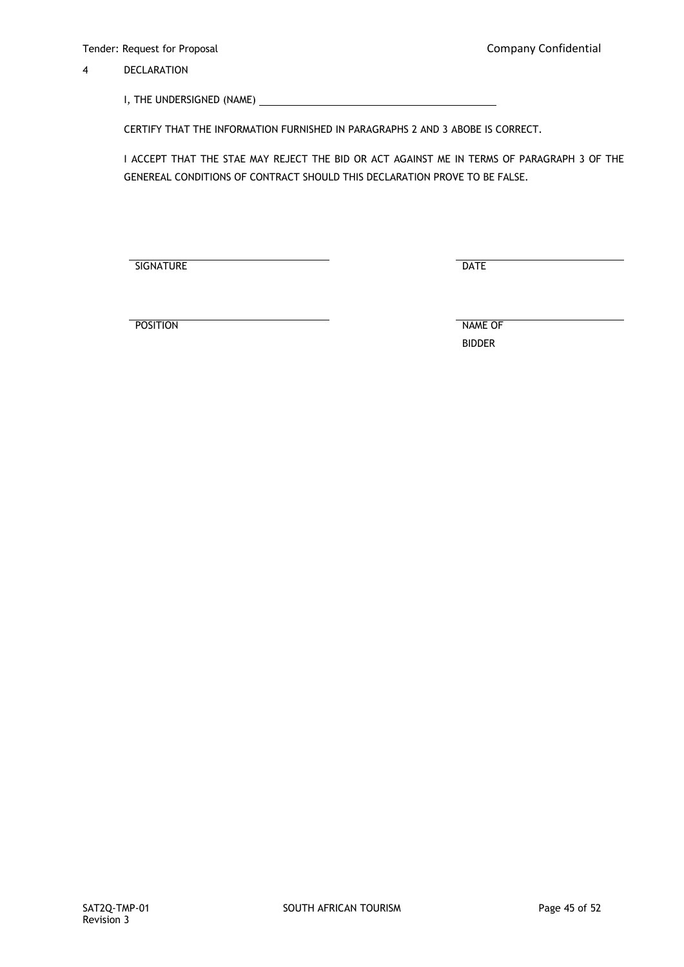4 DECLARATION

I, THE UNDERSIGNED (NAME)

CERTIFY THAT THE INFORMATION FURNISHED IN PARAGRAPHS 2 AND 3 ABOBE IS CORRECT.

I ACCEPT THAT THE STAE MAY REJECT THE BID OR ACT AGAINST ME IN TERMS OF PARAGRAPH 3 OF THE GENEREAL CONDITIONS OF CONTRACT SHOULD THIS DECLARATION PROVE TO BE FALSE.

SIGNATURE DATE

POSITION NAME OF

BIDDER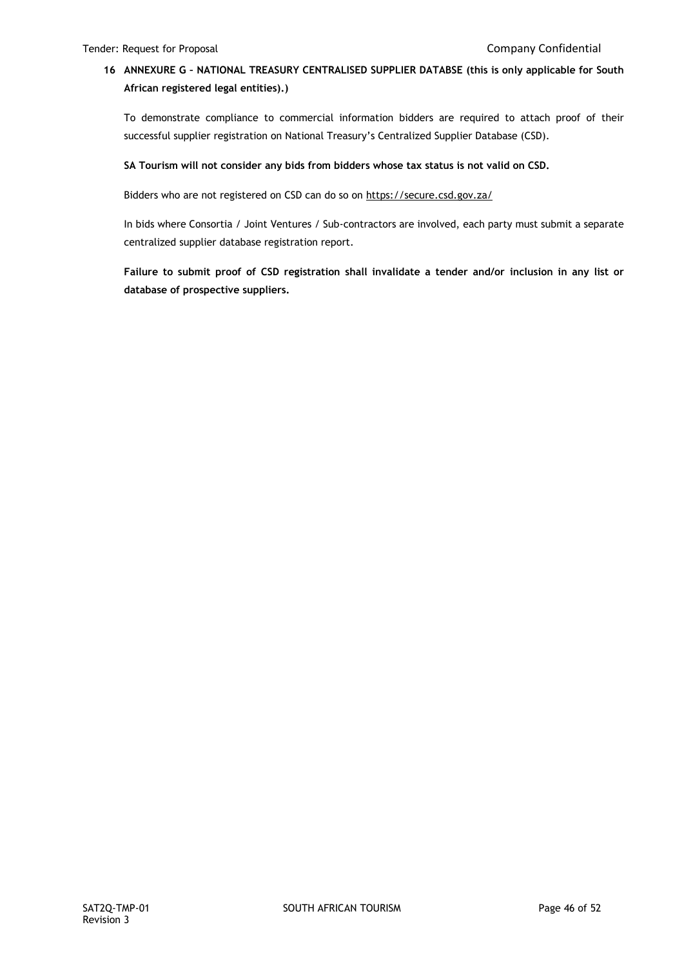# **16 ANNEXURE G – NATIONAL TREASURY CENTRALISED SUPPLIER DATABSE (this is only applicable for South African registered legal entities).)**

To demonstrate compliance to commercial information bidders are required to attach proof of their successful supplier registration on National Treasury's Centralized Supplier Database (CSD).

#### **SA Tourism will not consider any bids from bidders whose tax status is not valid on CSD.**

Bidders who are not registered on CSD can do so on<https://secure.csd.gov.za/>

In bids where Consortia / Joint Ventures / Sub-contractors are involved, each party must submit a separate centralized supplier database registration report.

**Failure to submit proof of CSD registration shall invalidate a tender and/or inclusion in any list or database of prospective suppliers.**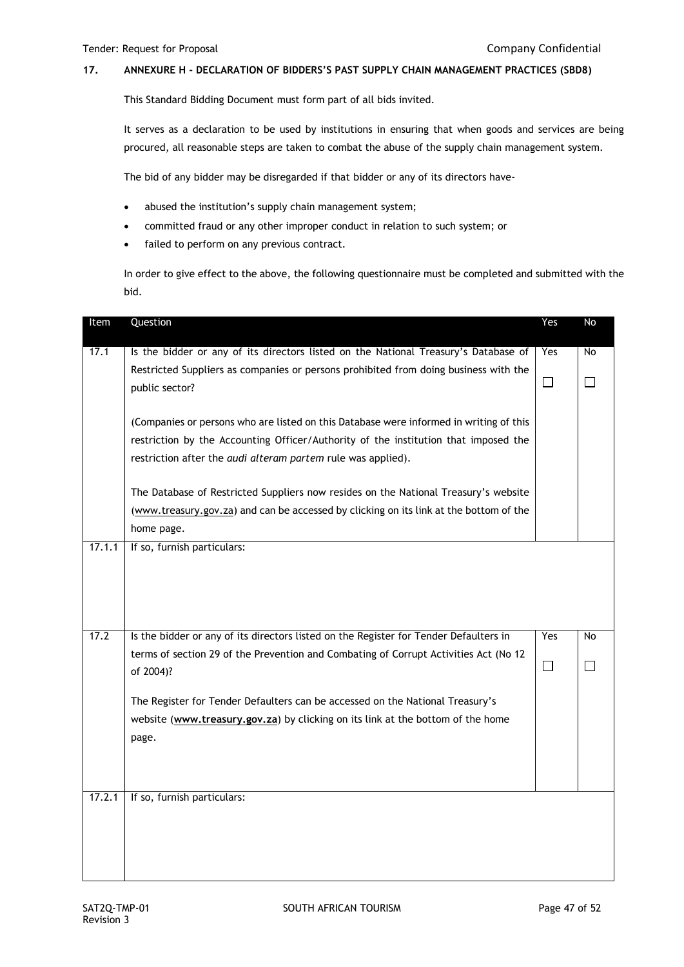## **17. ANNEXURE H - DECLARATION OF BIDDERS'S PAST SUPPLY CHAIN MANAGEMENT PRACTICES (SBD8)**

This Standard Bidding Document must form part of all bids invited.

It serves as a declaration to be used by institutions in ensuring that when goods and services are being procured, all reasonable steps are taken to combat the abuse of the supply chain management system.

The bid of any bidder may be disregarded if that bidder or any of its directors have-

- abused the institution's supply chain management system;
- committed fraud or any other improper conduct in relation to such system; or
- failed to perform on any previous contract.

In order to give effect to the above, the following questionnaire must be completed and submitted with the bid.

| Item   | Question                                                                                                                                                                                                                                      | Yes    | No        |
|--------|-----------------------------------------------------------------------------------------------------------------------------------------------------------------------------------------------------------------------------------------------|--------|-----------|
| 17.1   | Is the bidder or any of its directors listed on the National Treasury's Database of                                                                                                                                                           | Yes    | <b>No</b> |
|        | Restricted Suppliers as companies or persons prohibited from doing business with the<br>public sector?                                                                                                                                        | $\Box$ | ப         |
|        | (Companies or persons who are listed on this Database were informed in writing of this<br>restriction by the Accounting Officer/Authority of the institution that imposed the<br>restriction after the audi alteram partem rule was applied). |        |           |
|        | The Database of Restricted Suppliers now resides on the National Treasury's website<br>(www.treasury.gov.za) and can be accessed by clicking on its link at the bottom of the<br>home page.                                                   |        |           |
| 17.1.1 | If so, furnish particulars:                                                                                                                                                                                                                   |        |           |
| 17.2   | Is the bidder or any of its directors listed on the Register for Tender Defaulters in                                                                                                                                                         | Yes    | No        |
|        | terms of section 29 of the Prevention and Combating of Corrupt Activities Act (No 12<br>of 2004)?                                                                                                                                             | $\Box$ | П         |
|        | The Register for Tender Defaulters can be accessed on the National Treasury's<br>website (www.treasury.gov.za) by clicking on its link at the bottom of the home<br>page.                                                                     |        |           |
| 17.2.1 | If so, furnish particulars:                                                                                                                                                                                                                   |        |           |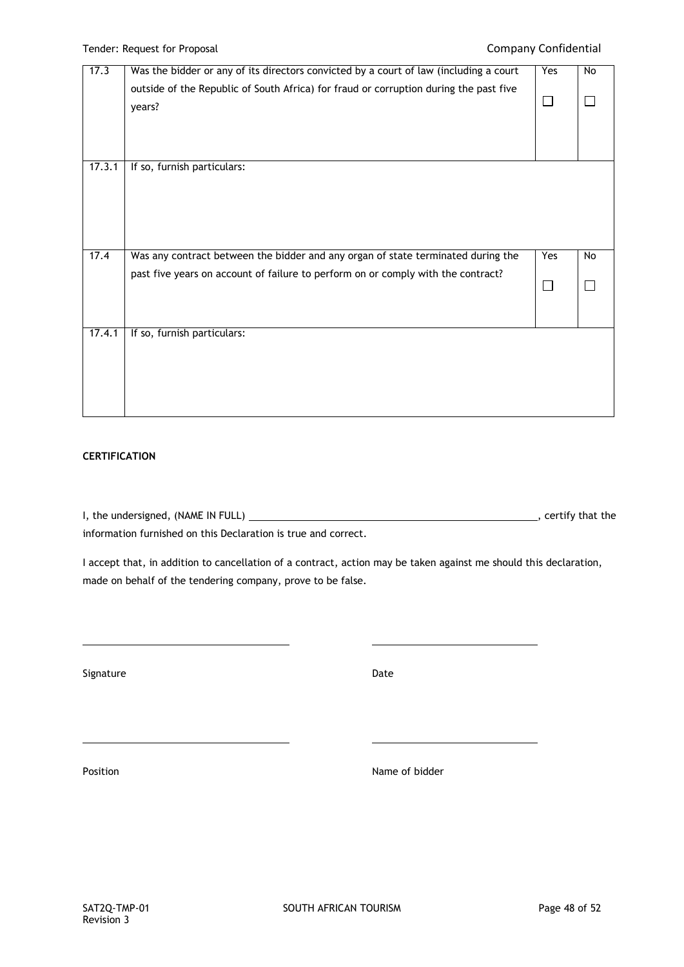| 17.3   | Was the bidder or any of its directors convicted by a court of law (including a court | Yes | No |
|--------|---------------------------------------------------------------------------------------|-----|----|
|        | outside of the Republic of South Africa) for fraud or corruption during the past five |     |    |
|        | years?                                                                                |     |    |
|        |                                                                                       |     |    |
|        |                                                                                       |     |    |
|        |                                                                                       |     |    |
|        |                                                                                       |     |    |
| 17.3.1 | If so, furnish particulars:                                                           |     |    |
|        |                                                                                       |     |    |
|        |                                                                                       |     |    |
|        |                                                                                       |     |    |
|        |                                                                                       |     |    |
|        |                                                                                       |     |    |
| 17.4   | Was any contract between the bidder and any organ of state terminated during the      | Yes | No |
|        | past five years on account of failure to perform on or comply with the contract?      |     |    |
|        |                                                                                       |     |    |
|        |                                                                                       |     |    |
|        |                                                                                       |     |    |
|        |                                                                                       |     |    |
| 17.4.1 | If so, furnish particulars:                                                           |     |    |
|        |                                                                                       |     |    |
|        |                                                                                       |     |    |
|        |                                                                                       |     |    |
|        |                                                                                       |     |    |
|        |                                                                                       |     |    |

## **CERTIFICATION**

I, the undersigned, (NAME IN FULL)  $\overline{\phantom{a}}$  = 0.000  $\overline{\phantom{a}}$  = 0.000  $\overline{\phantom{a}}$  , certify that the information furnished on this Declaration is true and correct.

I accept that, in addition to cancellation of a contract, action may be taken against me should this declaration, made on behalf of the tendering company, prove to be false.

Signature Date Date Date Date

Position **Name of bidder**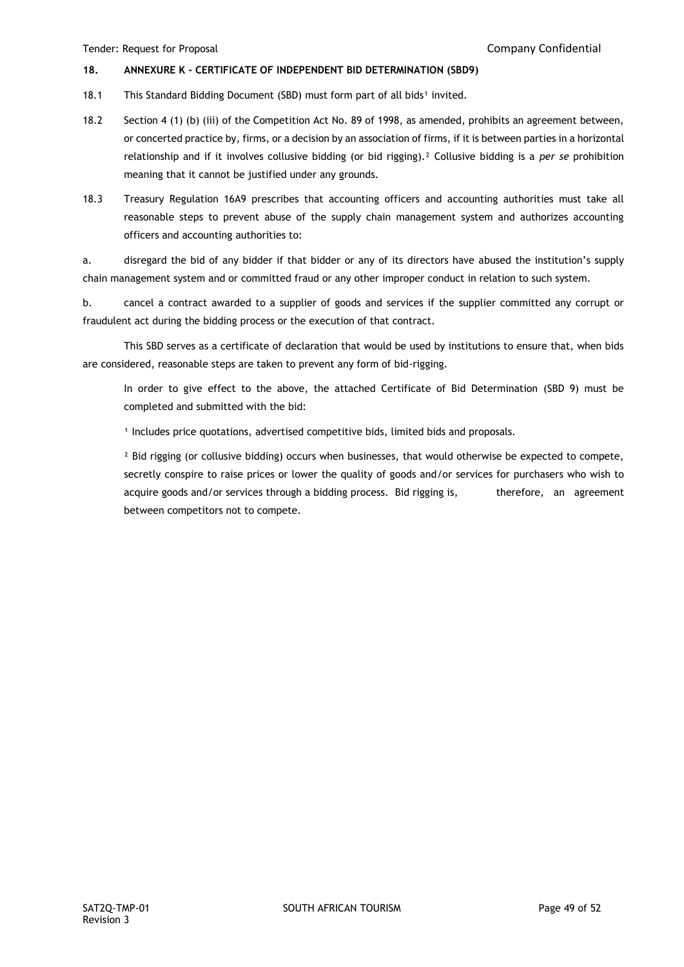#### **18. ANNEXURE K - CERTIFICATE OF INDEPENDENT BID DETERMINATION (SBD9)**

- 18.1 This Standard Bidding Document (SBD) must form part of all bids<sup>1</sup> invited.
- 18.2 Section 4 (1) (b) (iii) of the Competition Act No. 89 of 1998, as amended, prohibits an agreement between, or concerted practice by, firms, or a decision by an association of firms, if it is between parties in a horizontal relationship and if it involves collusive bidding (or bid rigging).² Collusive bidding is a *per se* prohibition meaning that it cannot be justified under any grounds.
- 18.3 Treasury Regulation 16A9 prescribes that accounting officers and accounting authorities must take all reasonable steps to prevent abuse of the supply chain management system and authorizes accounting officers and accounting authorities to:

a. disregard the bid of any bidder if that bidder or any of its directors have abused the institution's supply chain management system and or committed fraud or any other improper conduct in relation to such system.

b. cancel a contract awarded to a supplier of goods and services if the supplier committed any corrupt or fraudulent act during the bidding process or the execution of that contract.

This SBD serves as a certificate of declaration that would be used by institutions to ensure that, when bids are considered, reasonable steps are taken to prevent any form of bid-rigging.

In order to give effect to the above, the attached Certificate of Bid Determination (SBD 9) must be completed and submitted with the bid:

<sup>1</sup> Includes price quotations, advertised competitive bids, limited bids and proposals.

<sup>2</sup> Bid rigging (or collusive bidding) occurs when businesses, that would otherwise be expected to compete, secretly conspire to raise prices or lower the quality of goods and/or services for purchasers who wish to acquire goods and/or services through a bidding process. Bid rigging is, therefore, an agreement between competitors not to compete.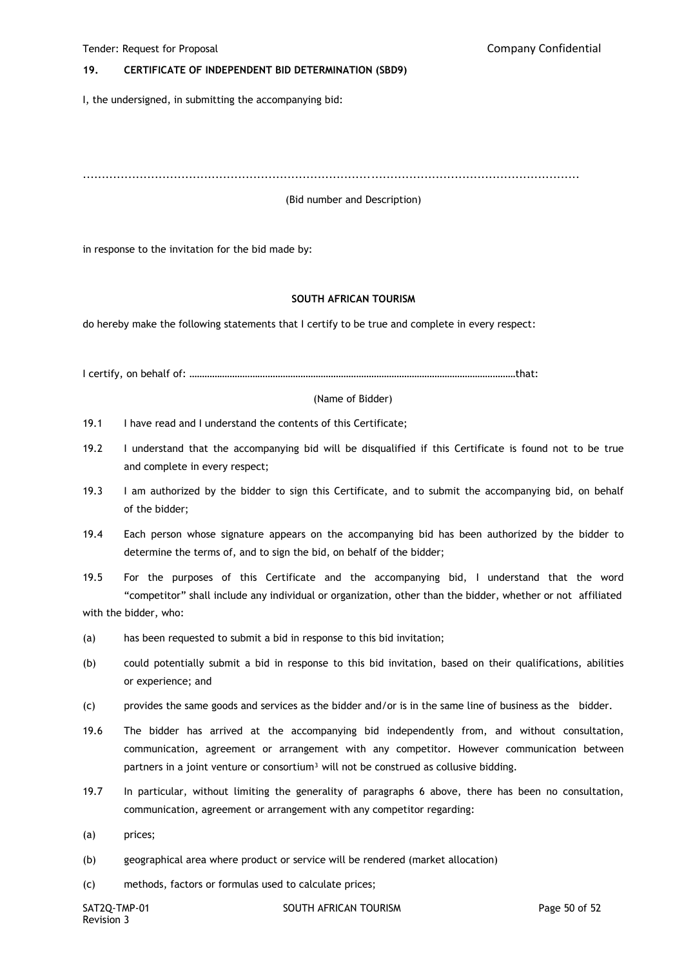#### **19. CERTIFICATE OF INDEPENDENT BID DETERMINATION (SBD9)**

I, the undersigned, in submitting the accompanying bid:

...................................................................................................................................

(Bid number and Description)

in response to the invitation for the bid made by:

#### **SOUTH AFRICAN TOURISM**

do hereby make the following statements that I certify to be true and complete in every respect:

I certify, on behalf of: …………………………………………………………………………………………………………………that:

(Name of Bidder)

- 19.1 I have read and I understand the contents of this Certificate;
- 19.2 I understand that the accompanying bid will be disqualified if this Certificate is found not to be true and complete in every respect;
- 19.3 I am authorized by the bidder to sign this Certificate, and to submit the accompanying bid, on behalf of the bidder;
- 19.4 Each person whose signature appears on the accompanying bid has been authorized by the bidder to determine the terms of, and to sign the bid, on behalf of the bidder;

19.5 For the purposes of this Certificate and the accompanying bid, I understand that the word "competitor" shall include any individual or organization, other than the bidder, whether or not affiliated with the bidder, who:

- (a) has been requested to submit a bid in response to this bid invitation;
- (b) could potentially submit a bid in response to this bid invitation, based on their qualifications, abilities or experience; and
- (c) provides the same goods and services as the bidder and/or is in the same line of business as the bidder.
- 19.6 The bidder has arrived at the accompanying bid independently from, and without consultation, communication, agreement or arrangement with any competitor. However communication between partners in a joint venture or consortium<sup>3</sup> will not be construed as collusive bidding.
- 19.7 In particular, without limiting the generality of paragraphs 6 above, there has been no consultation, communication, agreement or arrangement with any competitor regarding:
- (a) prices;
- (b) geographical area where product or service will be rendered (market allocation)
- (c) methods, factors or formulas used to calculate prices;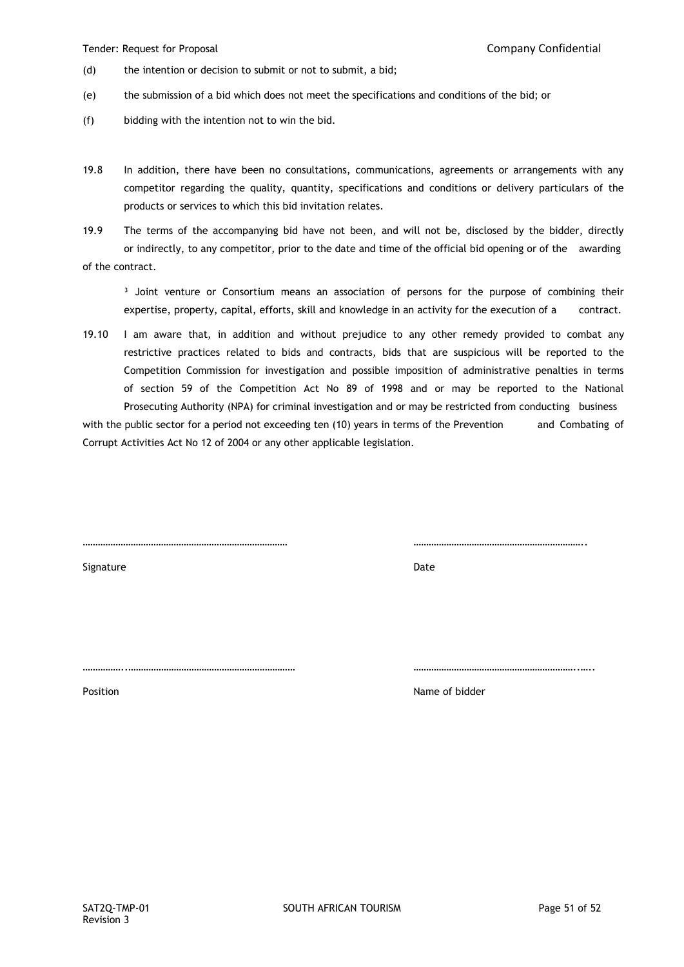- (d) the intention or decision to submit or not to submit, a bid;
- (e) the submission of a bid which does not meet the specifications and conditions of the bid; or
- (f) bidding with the intention not to win the bid.
- 19.8 In addition, there have been no consultations, communications, agreements or arrangements with any competitor regarding the quality, quantity, specifications and conditions or delivery particulars of the products or services to which this bid invitation relates.
- 19.9 The terms of the accompanying bid have not been, and will not be, disclosed by the bidder, directly or indirectly, to any competitor, prior to the date and time of the official bid opening or of the awarding of the contract.

<sup>3</sup> Joint venture or Consortium means an association of persons for the purpose of combining their expertise, property, capital, efforts, skill and knowledge in an activity for the execution of a contract.

19.10 I am aware that, in addition and without prejudice to any other remedy provided to combat any restrictive practices related to bids and contracts, bids that are suspicious will be reported to the Competition Commission for investigation and possible imposition of administrative penalties in terms of section 59 of the Competition Act No 89 of 1998 and or may be reported to the National Prosecuting Authority (NPA) for criminal investigation and or may be restricted from conducting business

with the public sector for a period not exceeding ten (10) years in terms of the Prevention and Combating of Corrupt Activities Act No 12 of 2004 or any other applicable legislation.

……………………………………………………………………… …………………………………………………………..

Signature Date

Position **Name of bidder Name of bidder** 

……………..………………………………………………………… ………………………………………………………..…..